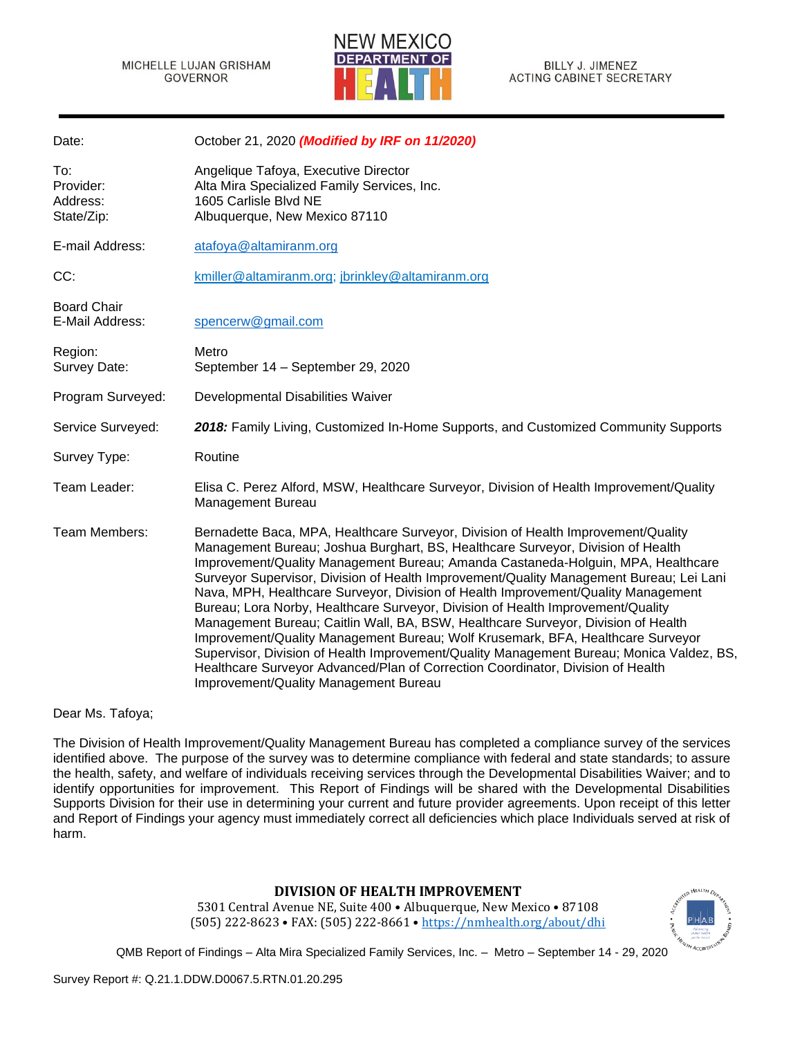

| Date:                                      | October 21, 2020 (Modified by IRF on 11/2020)                                                                                                                                                                                                                                                                                                                                                                                                                                                                                                                                                                                                                                                                                                                                                                                                                                                                               |
|--------------------------------------------|-----------------------------------------------------------------------------------------------------------------------------------------------------------------------------------------------------------------------------------------------------------------------------------------------------------------------------------------------------------------------------------------------------------------------------------------------------------------------------------------------------------------------------------------------------------------------------------------------------------------------------------------------------------------------------------------------------------------------------------------------------------------------------------------------------------------------------------------------------------------------------------------------------------------------------|
| To:<br>Provider:<br>Address:<br>State/Zip: | Angelique Tafoya, Executive Director<br>Alta Mira Specialized Family Services, Inc.<br>1605 Carlisle Blvd NE<br>Albuquerque, New Mexico 87110                                                                                                                                                                                                                                                                                                                                                                                                                                                                                                                                                                                                                                                                                                                                                                               |
| E-mail Address:                            | atafoya@altamiranm.org                                                                                                                                                                                                                                                                                                                                                                                                                                                                                                                                                                                                                                                                                                                                                                                                                                                                                                      |
| CC:                                        | kmiller@altamiranm.org; jbrinkley@altamiranm.org                                                                                                                                                                                                                                                                                                                                                                                                                                                                                                                                                                                                                                                                                                                                                                                                                                                                            |
| <b>Board Chair</b><br>E-Mail Address:      | spencerw@gmail.com                                                                                                                                                                                                                                                                                                                                                                                                                                                                                                                                                                                                                                                                                                                                                                                                                                                                                                          |
| Region:<br>Survey Date:                    | Metro<br>September 14 - September 29, 2020                                                                                                                                                                                                                                                                                                                                                                                                                                                                                                                                                                                                                                                                                                                                                                                                                                                                                  |
| Program Surveyed:                          | Developmental Disabilities Waiver                                                                                                                                                                                                                                                                                                                                                                                                                                                                                                                                                                                                                                                                                                                                                                                                                                                                                           |
| Service Surveyed:                          | 2018: Family Living, Customized In-Home Supports, and Customized Community Supports                                                                                                                                                                                                                                                                                                                                                                                                                                                                                                                                                                                                                                                                                                                                                                                                                                         |
| Survey Type:                               | Routine                                                                                                                                                                                                                                                                                                                                                                                                                                                                                                                                                                                                                                                                                                                                                                                                                                                                                                                     |
| Team Leader:                               | Elisa C. Perez Alford, MSW, Healthcare Surveyor, Division of Health Improvement/Quality<br><b>Management Bureau</b>                                                                                                                                                                                                                                                                                                                                                                                                                                                                                                                                                                                                                                                                                                                                                                                                         |
| Team Members:                              | Bernadette Baca, MPA, Healthcare Surveyor, Division of Health Improvement/Quality<br>Management Bureau; Joshua Burghart, BS, Healthcare Surveyor, Division of Health<br>Improvement/Quality Management Bureau; Amanda Castaneda-Holguin, MPA, Healthcare<br>Surveyor Supervisor, Division of Health Improvement/Quality Management Bureau; Lei Lani<br>Nava, MPH, Healthcare Surveyor, Division of Health Improvement/Quality Management<br>Bureau; Lora Norby, Healthcare Surveyor, Division of Health Improvement/Quality<br>Management Bureau; Caitlin Wall, BA, BSW, Healthcare Surveyor, Division of Health<br>Improvement/Quality Management Bureau; Wolf Krusemark, BFA, Healthcare Surveyor<br>Supervisor, Division of Health Improvement/Quality Management Bureau; Monica Valdez, BS,<br>Healthcare Surveyor Advanced/Plan of Correction Coordinator, Division of Health<br>Improvement/Quality Management Bureau |

Dear Ms. Tafoya;

The Division of Health Improvement/Quality Management Bureau has completed a compliance survey of the services identified above. The purpose of the survey was to determine compliance with federal and state standards; to assure the health, safety, and welfare of individuals receiving services through the Developmental Disabilities Waiver; and to identify opportunities for improvement. This Report of Findings will be shared with the Developmental Disabilities Supports Division for their use in determining your current and future provider agreements. Upon receipt of this letter and Report of Findings your agency must immediately correct all deficiencies which place Individuals served at risk of harm.

#### **DIVISION OF HEALTH IMPROVEMENT**

5301 Central Avenue NE, Suite 400 • Albuquerque, New Mexico • 87108 (505) 222-8623 • FAX: (505) 222-8661 • <https://nmhealth.org/about/dhi>

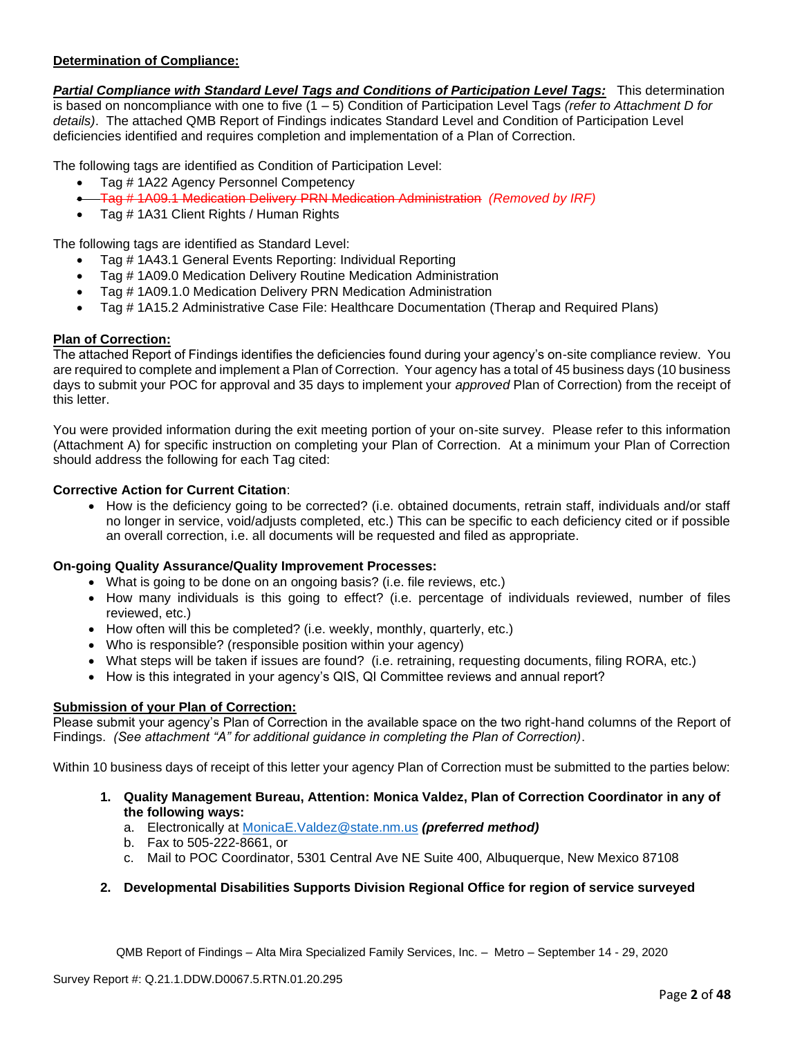## **Determination of Compliance:**

*Partial Compliance with Standard Level Tags and Conditions of Participation Level Tags:* This determination is based on noncompliance with one to five (1 – 5) Condition of Participation Level Tags *(refer to Attachment D for details)*. The attached QMB Report of Findings indicates Standard Level and Condition of Participation Level deficiencies identified and requires completion and implementation of a Plan of Correction.

The following tags are identified as Condition of Participation Level:

- Tag # 1A22 Agency Personnel Competency
- Tag # 1A09.1 Medication Delivery PRN Medication Administration *(Removed by IRF)*
- Tag # 1A31 Client Rights / Human Rights

The following tags are identified as Standard Level:

- Tag # 1A43.1 General Events Reporting: Individual Reporting
- Tag # 1A09.0 Medication Delivery Routine Medication Administration
- Tag # 1A09.1.0 Medication Delivery PRN Medication Administration
- Tag # 1A15.2 Administrative Case File: Healthcare Documentation (Therap and Required Plans)

#### **Plan of Correction:**

The attached Report of Findings identifies the deficiencies found during your agency's on-site compliance review. You are required to complete and implement a Plan of Correction. Your agency has a total of 45 business days (10 business days to submit your POC for approval and 35 days to implement your *approved* Plan of Correction) from the receipt of this letter.

You were provided information during the exit meeting portion of your on-site survey. Please refer to this information (Attachment A) for specific instruction on completing your Plan of Correction. At a minimum your Plan of Correction should address the following for each Tag cited:

#### **Corrective Action for Current Citation**:

• How is the deficiency going to be corrected? (i.e. obtained documents, retrain staff, individuals and/or staff no longer in service, void/adjusts completed, etc.) This can be specific to each deficiency cited or if possible an overall correction, i.e. all documents will be requested and filed as appropriate.

#### **On-going Quality Assurance/Quality Improvement Processes:**

- What is going to be done on an ongoing basis? (i.e. file reviews, etc.)
- How many individuals is this going to effect? (i.e. percentage of individuals reviewed, number of files reviewed, etc.)
- How often will this be completed? (i.e. weekly, monthly, quarterly, etc.)
- Who is responsible? (responsible position within your agency)
- What steps will be taken if issues are found? (i.e. retraining, requesting documents, filing RORA, etc.)
- How is this integrated in your agency's QIS, QI Committee reviews and annual report?

## **Submission of your Plan of Correction:**

Please submit your agency's Plan of Correction in the available space on the two right-hand columns of the Report of Findings. *(See attachment "A" for additional guidance in completing the Plan of Correction)*.

Within 10 business days of receipt of this letter your agency Plan of Correction must be submitted to the parties below:

- **1. Quality Management Bureau, Attention: Monica Valdez, Plan of Correction Coordinator in any of the following ways:**
	- a. Electronically at [MonicaE.Valdez@state.nm.us](mailto:MonicaE.Valdez@state.nm.us) *(preferred method)*
	- b. Fax to 505-222-8661, or
	- c. Mail to POC Coordinator, 5301 Central Ave NE Suite 400, Albuquerque, New Mexico 87108
- **2. Developmental Disabilities Supports Division Regional Office for region of service surveyed**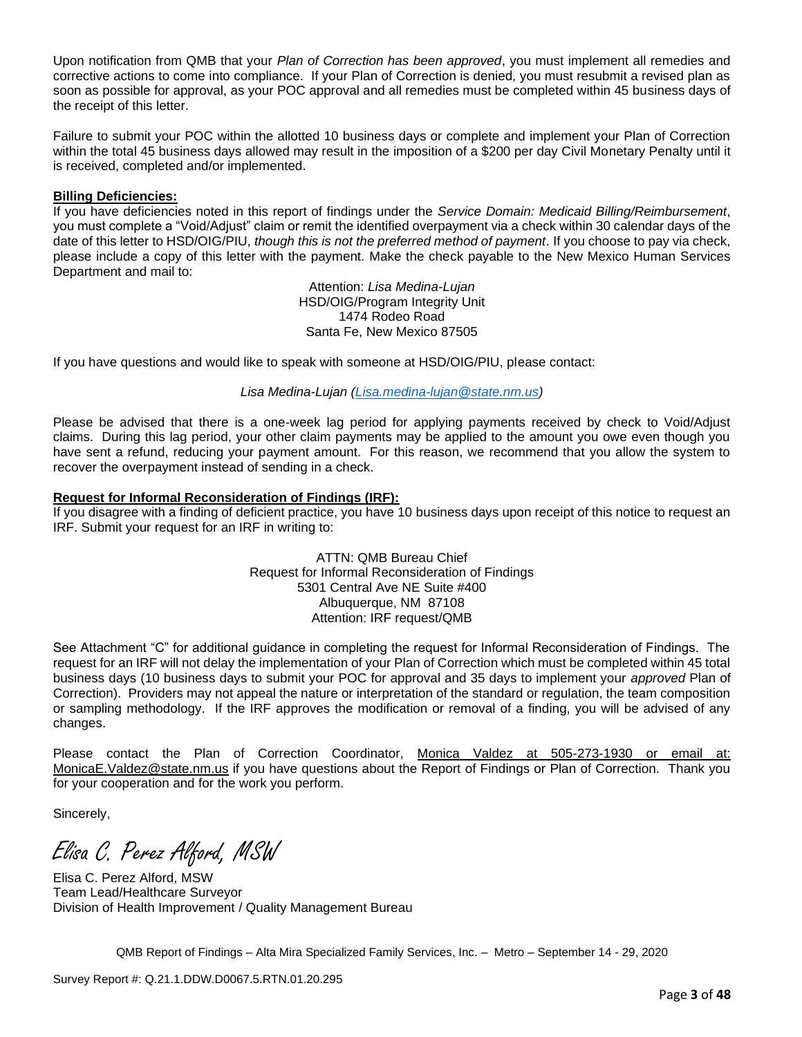Upon notification from QMB that your *Plan of Correction has been approved*, you must implement all remedies and corrective actions to come into compliance. If your Plan of Correction is denied, you must resubmit a revised plan as soon as possible for approval, as your POC approval and all remedies must be completed within 45 business days of the receipt of this letter.

Failure to submit your POC within the allotted 10 business days or complete and implement your Plan of Correction within the total 45 business days allowed may result in the imposition of a \$200 per day Civil Monetary Penalty until it is received, completed and/or implemented.

### **Billing Deficiencies:**

If you have deficiencies noted in this report of findings under the *Service Domain: Medicaid Billing/Reimbursement*, you must complete a "Void/Adjust" claim or remit the identified overpayment via a check within 30 calendar days of the date of this letter to HSD/OIG/PIU, *though this is not the preferred method of payment*. If you choose to pay via check, please include a copy of this letter with the payment. Make the check payable to the New Mexico Human Services Department and mail to:

> Attention: *Lisa Medina-Lujan* HSD/OIG/Program Integrity Unit 1474 Rodeo Road Santa Fe, New Mexico 87505

If you have questions and would like to speak with someone at HSD/OIG/PIU, please contact:

#### *Lisa Medina-Lujan [\(Lisa.medina-lujan@state.nm.us\)](mailto:Lisa.medina-lujan@state.nm.us)*

Please be advised that there is a one-week lag period for applying payments received by check to Void/Adjust claims. During this lag period, your other claim payments may be applied to the amount you owe even though you have sent a refund, reducing your payment amount. For this reason, we recommend that you allow the system to recover the overpayment instead of sending in a check.

#### **Request for Informal Reconsideration of Findings (IRF):**

If you disagree with a finding of deficient practice, you have 10 business days upon receipt of this notice to request an IRF. Submit your request for an IRF in writing to:

> ATTN: QMB Bureau Chief Request for Informal Reconsideration of Findings 5301 Central Ave NE Suite #400 Albuquerque, NM 87108 Attention: IRF request/QMB

See Attachment "C" for additional guidance in completing the request for Informal Reconsideration of Findings. The request for an IRF will not delay the implementation of your Plan of Correction which must be completed within 45 total business days (10 business days to submit your POC for approval and 35 days to implement your *approved* Plan of Correction). Providers may not appeal the nature or interpretation of the standard or regulation, the team composition or sampling methodology. If the IRF approves the modification or removal of a finding, you will be advised of any changes.

Please contact the Plan of Correction Coordinator, Monica Valdez at 505-273-1930 or email at: [MonicaE.Valdez@state.nm.us](mailto:MonicaE.Valdez@state.nm.us) if you have questions about the Report of Findings or Plan of Correction. Thank you for your cooperation and for the work you perform.

Sincerely,

Elisa C. Perez Alford, MSW

Elisa C. Perez Alford, MSW Team Lead/Healthcare Surveyor Division of Health Improvement / Quality Management Bureau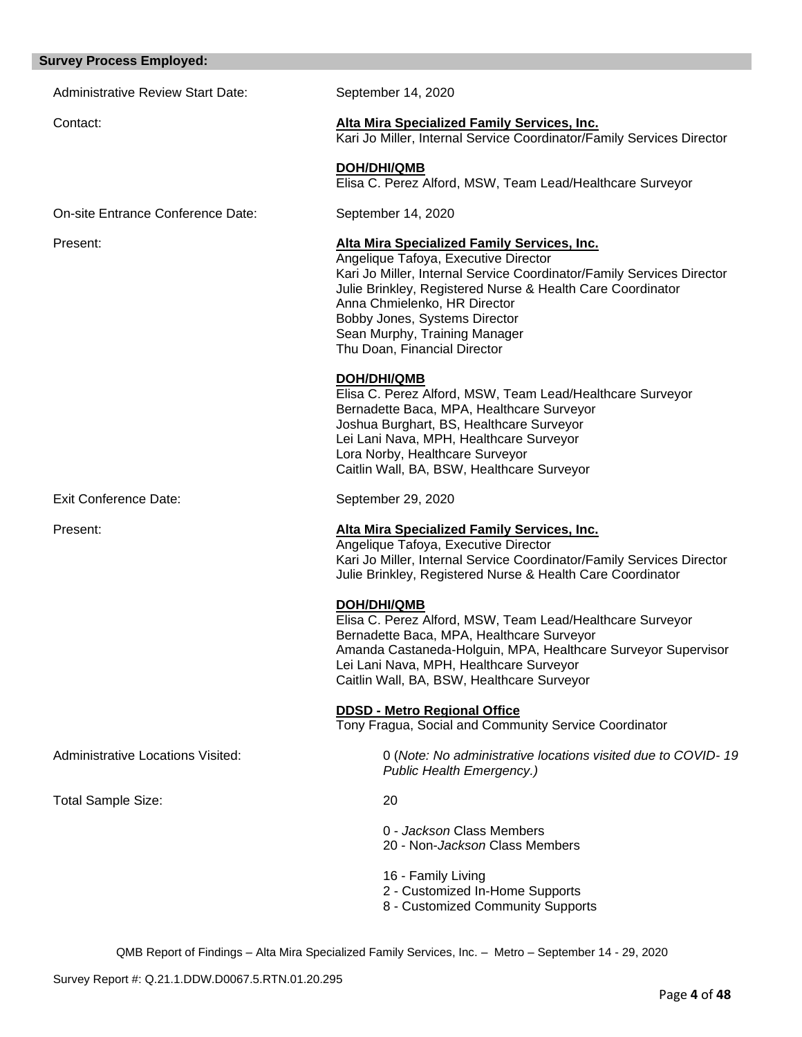# **Survey Process Employed:**

| <b>Administrative Review Start Date:</b> | September 14, 2020                                                                                                                                                                                                                                                                                                                                           |
|------------------------------------------|--------------------------------------------------------------------------------------------------------------------------------------------------------------------------------------------------------------------------------------------------------------------------------------------------------------------------------------------------------------|
| Contact:                                 | Alta Mira Specialized Family Services, Inc.<br>Kari Jo Miller, Internal Service Coordinator/Family Services Director                                                                                                                                                                                                                                         |
|                                          | <b>DOH/DHI/QMB</b><br>Elisa C. Perez Alford, MSW, Team Lead/Healthcare Surveyor                                                                                                                                                                                                                                                                              |
| On-site Entrance Conference Date:        | September 14, 2020                                                                                                                                                                                                                                                                                                                                           |
| Present:                                 | Alta Mira Specialized Family Services, Inc.<br>Angelique Tafoya, Executive Director<br>Kari Jo Miller, Internal Service Coordinator/Family Services Director<br>Julie Brinkley, Registered Nurse & Health Care Coordinator<br>Anna Chmielenko, HR Director<br>Bobby Jones, Systems Director<br>Sean Murphy, Training Manager<br>Thu Doan, Financial Director |
|                                          | <b>DOH/DHI/QMB</b><br>Elisa C. Perez Alford, MSW, Team Lead/Healthcare Surveyor<br>Bernadette Baca, MPA, Healthcare Surveyor<br>Joshua Burghart, BS, Healthcare Surveyor<br>Lei Lani Nava, MPH, Healthcare Surveyor<br>Lora Norby, Healthcare Surveyor<br>Caitlin Wall, BA, BSW, Healthcare Surveyor                                                         |
| <b>Exit Conference Date:</b>             | September 29, 2020                                                                                                                                                                                                                                                                                                                                           |
| Present:                                 | <b>Alta Mira Specialized Family Services, Inc.</b><br>Angelique Tafoya, Executive Director<br>Kari Jo Miller, Internal Service Coordinator/Family Services Director<br>Julie Brinkley, Registered Nurse & Health Care Coordinator                                                                                                                            |
|                                          | <b>DOH/DHI/QMB</b><br>Elisa C. Perez Alford, MSW, Team Lead/Healthcare Surveyor<br>Bernadette Baca, MPA, Healthcare Surveyor<br>Amanda Castaneda-Holguin, MPA, Healthcare Surveyor Supervisor<br>Lei Lani Nava, MPH, Healthcare Surveyor<br>Caitlin Wall, BA, BSW, Healthcare Surveyor                                                                       |
|                                          | <b>DDSD - Metro Regional Office</b><br>Tony Fragua, Social and Community Service Coordinator                                                                                                                                                                                                                                                                 |
| Administrative Locations Visited:        | 0 (Note: No administrative locations visited due to COVID-19<br>Public Health Emergency.)                                                                                                                                                                                                                                                                    |
| Total Sample Size:                       | 20                                                                                                                                                                                                                                                                                                                                                           |
|                                          | 0 - Jackson Class Members<br>20 - Non-Jackson Class Members                                                                                                                                                                                                                                                                                                  |
|                                          | 16 - Family Living<br>2 - Customized In-Home Supports<br>8 - Customized Community Supports                                                                                                                                                                                                                                                                   |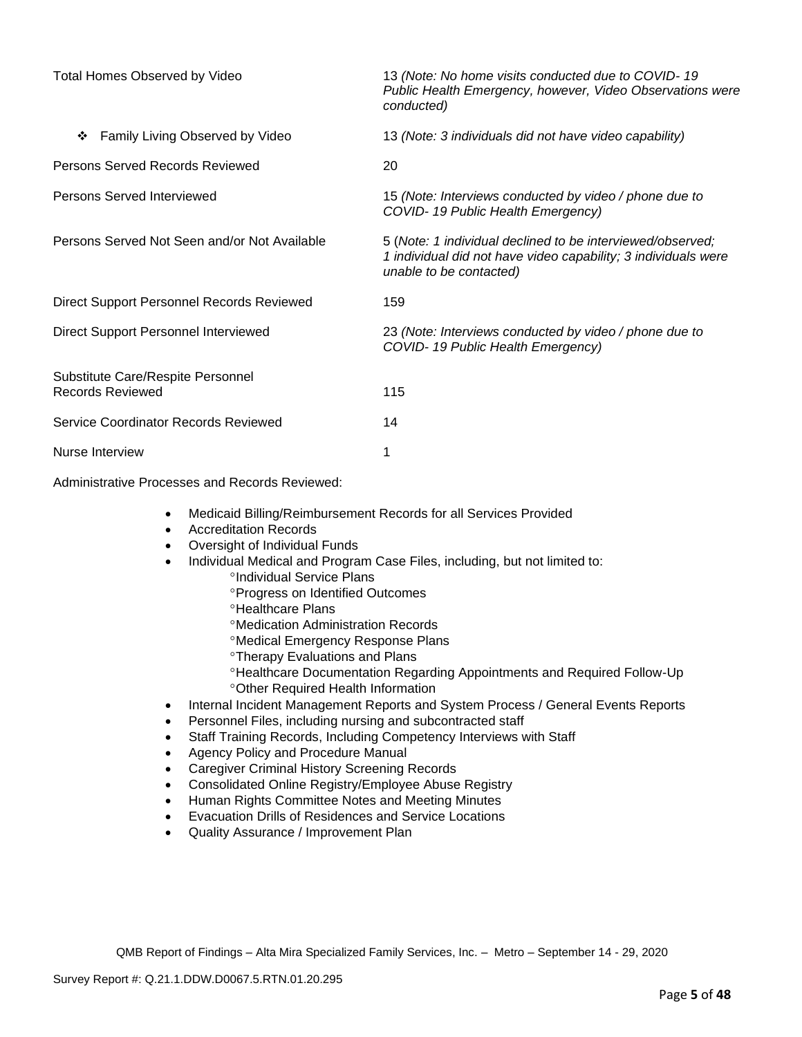| Total Homes Observed by Video                                | 13 (Note: No home visits conducted due to COVID-19<br>Public Health Emergency, however, Video Observations were<br>conducted)                           |
|--------------------------------------------------------------|---------------------------------------------------------------------------------------------------------------------------------------------------------|
| Family Living Observed by Video<br>❖                         | 13 (Note: 3 individuals did not have video capability)                                                                                                  |
| Persons Served Records Reviewed                              | 20                                                                                                                                                      |
| Persons Served Interviewed                                   | 15 (Note: Interviews conducted by video / phone due to<br>COVID-19 Public Health Emergency)                                                             |
| Persons Served Not Seen and/or Not Available                 | 5 (Note: 1 individual declined to be interviewed/observed;<br>1 individual did not have video capability; 3 individuals were<br>unable to be contacted) |
| Direct Support Personnel Records Reviewed                    | 159                                                                                                                                                     |
| Direct Support Personnel Interviewed                         | 23 (Note: Interviews conducted by video / phone due to<br>COVID-19 Public Health Emergency)                                                             |
| Substitute Care/Respite Personnel<br><b>Records Reviewed</b> | 115                                                                                                                                                     |
| Service Coordinator Records Reviewed                         | 14                                                                                                                                                      |
| Nurse Interview                                              | 1                                                                                                                                                       |

Administrative Processes and Records Reviewed:

- Medicaid Billing/Reimbursement Records for all Services Provided
- Accreditation Records
- Oversight of Individual Funds
- Individual Medical and Program Case Files, including, but not limited to:
	- <sup>o</sup>Individual Service Plans
		- **Progress on Identified Outcomes**
		- **<sup>o</sup>Healthcare Plans**
		- Medication Administration Records
		- Medical Emergency Response Plans
		- **Therapy Evaluations and Plans**
		- Healthcare Documentation Regarding Appointments and Required Follow-Up Other Required Health Information
- Internal Incident Management Reports and System Process / General Events Reports
- Personnel Files, including nursing and subcontracted staff
- Staff Training Records, Including Competency Interviews with Staff
- Agency Policy and Procedure Manual
- Caregiver Criminal History Screening Records
- Consolidated Online Registry/Employee Abuse Registry
- Human Rights Committee Notes and Meeting Minutes
- Evacuation Drills of Residences and Service Locations
- Quality Assurance / Improvement Plan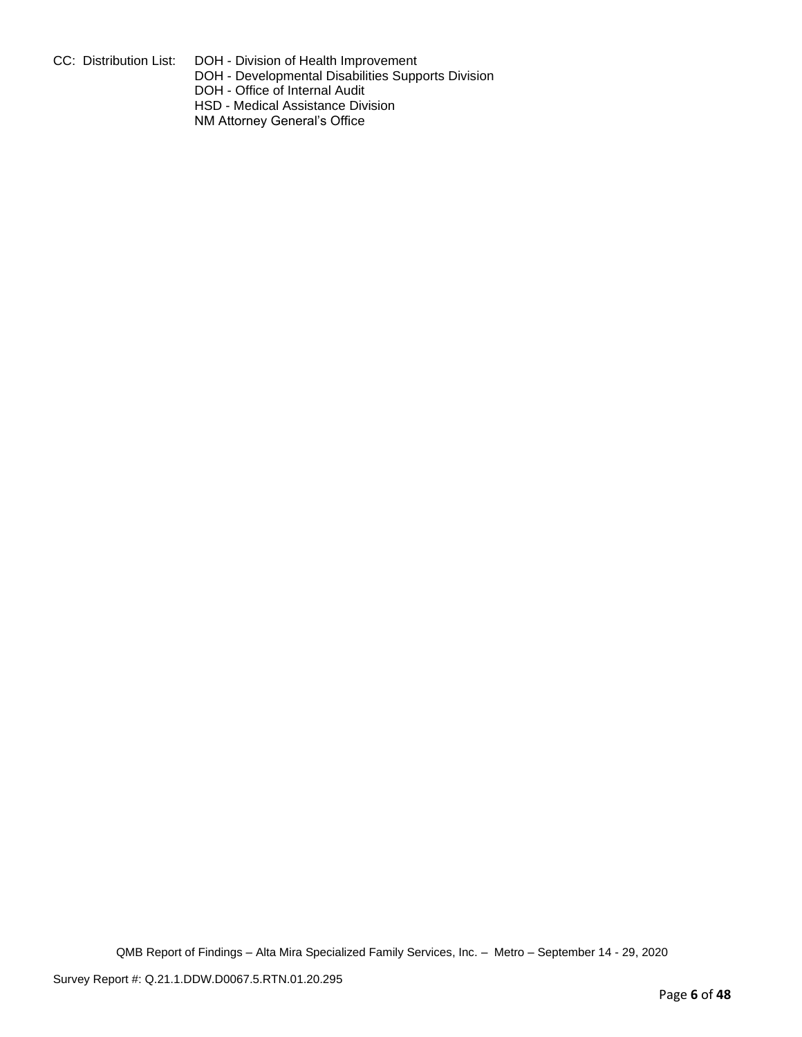CC: Distribution List: DOH - Division of Health Improvement

DOH - Developmental Disabilities Supports Division

DOH - Office of Internal Audit

HSD - Medical Assistance Division

NM Attorney General's Office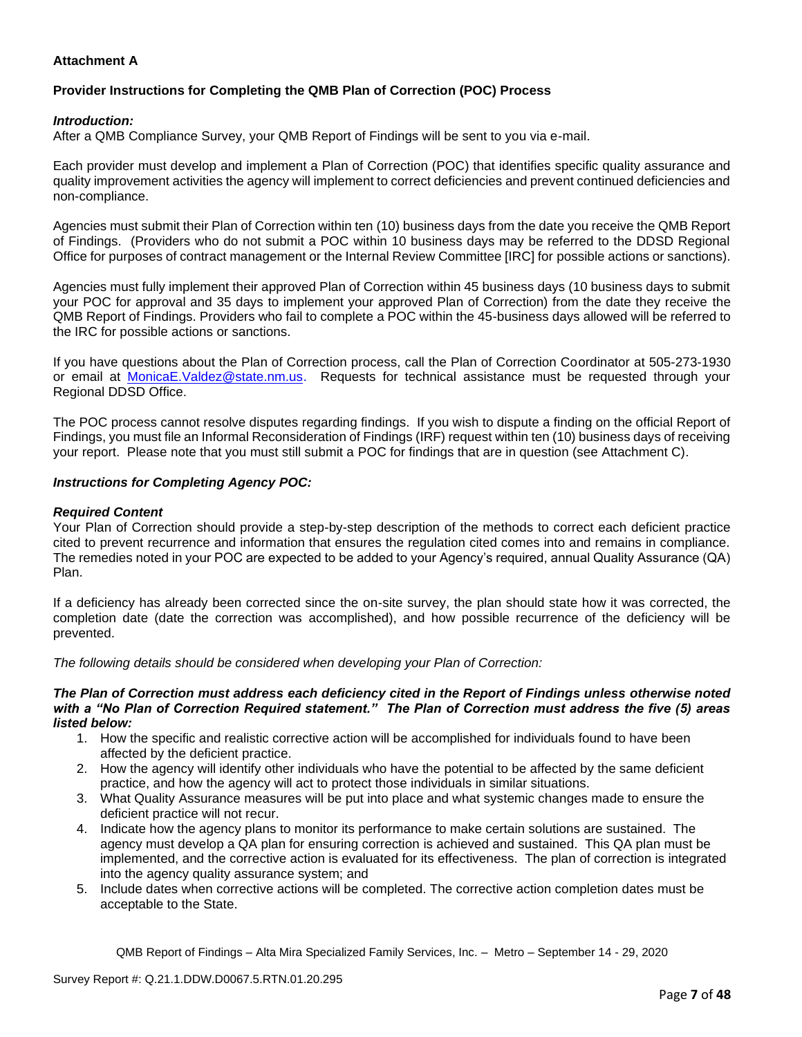# **Attachment A**

# **Provider Instructions for Completing the QMB Plan of Correction (POC) Process**

### *Introduction:*

After a QMB Compliance Survey, your QMB Report of Findings will be sent to you via e-mail.

Each provider must develop and implement a Plan of Correction (POC) that identifies specific quality assurance and quality improvement activities the agency will implement to correct deficiencies and prevent continued deficiencies and non-compliance.

Agencies must submit their Plan of Correction within ten (10) business days from the date you receive the QMB Report of Findings. (Providers who do not submit a POC within 10 business days may be referred to the DDSD Regional Office for purposes of contract management or the Internal Review Committee [IRC] for possible actions or sanctions).

Agencies must fully implement their approved Plan of Correction within 45 business days (10 business days to submit your POC for approval and 35 days to implement your approved Plan of Correction) from the date they receive the QMB Report of Findings. Providers who fail to complete a POC within the 45-business days allowed will be referred to the IRC for possible actions or sanctions.

If you have questions about the Plan of Correction process, call the Plan of Correction Coordinator at 505-273-1930 or email at [MonicaE.Valdez@state.nm.us.](mailto:MonicaE.Valdez@state.nm.us) Requests for technical assistance must be requested through your Regional DDSD Office.

The POC process cannot resolve disputes regarding findings. If you wish to dispute a finding on the official Report of Findings, you must file an Informal Reconsideration of Findings (IRF) request within ten (10) business days of receiving your report. Please note that you must still submit a POC for findings that are in question (see Attachment C).

#### *Instructions for Completing Agency POC:*

#### *Required Content*

Your Plan of Correction should provide a step-by-step description of the methods to correct each deficient practice cited to prevent recurrence and information that ensures the regulation cited comes into and remains in compliance. The remedies noted in your POC are expected to be added to your Agency's required, annual Quality Assurance (QA) Plan.

If a deficiency has already been corrected since the on-site survey, the plan should state how it was corrected, the completion date (date the correction was accomplished), and how possible recurrence of the deficiency will be prevented.

*The following details should be considered when developing your Plan of Correction:*

#### *The Plan of Correction must address each deficiency cited in the Report of Findings unless otherwise noted with a "No Plan of Correction Required statement." The Plan of Correction must address the five (5) areas listed below:*

- 1. How the specific and realistic corrective action will be accomplished for individuals found to have been affected by the deficient practice.
- 2. How the agency will identify other individuals who have the potential to be affected by the same deficient practice, and how the agency will act to protect those individuals in similar situations.
- 3. What Quality Assurance measures will be put into place and what systemic changes made to ensure the deficient practice will not recur.
- 4. Indicate how the agency plans to monitor its performance to make certain solutions are sustained. The agency must develop a QA plan for ensuring correction is achieved and sustained. This QA plan must be implemented, and the corrective action is evaluated for its effectiveness. The plan of correction is integrated into the agency quality assurance system; and
- 5. Include dates when corrective actions will be completed. The corrective action completion dates must be acceptable to the State.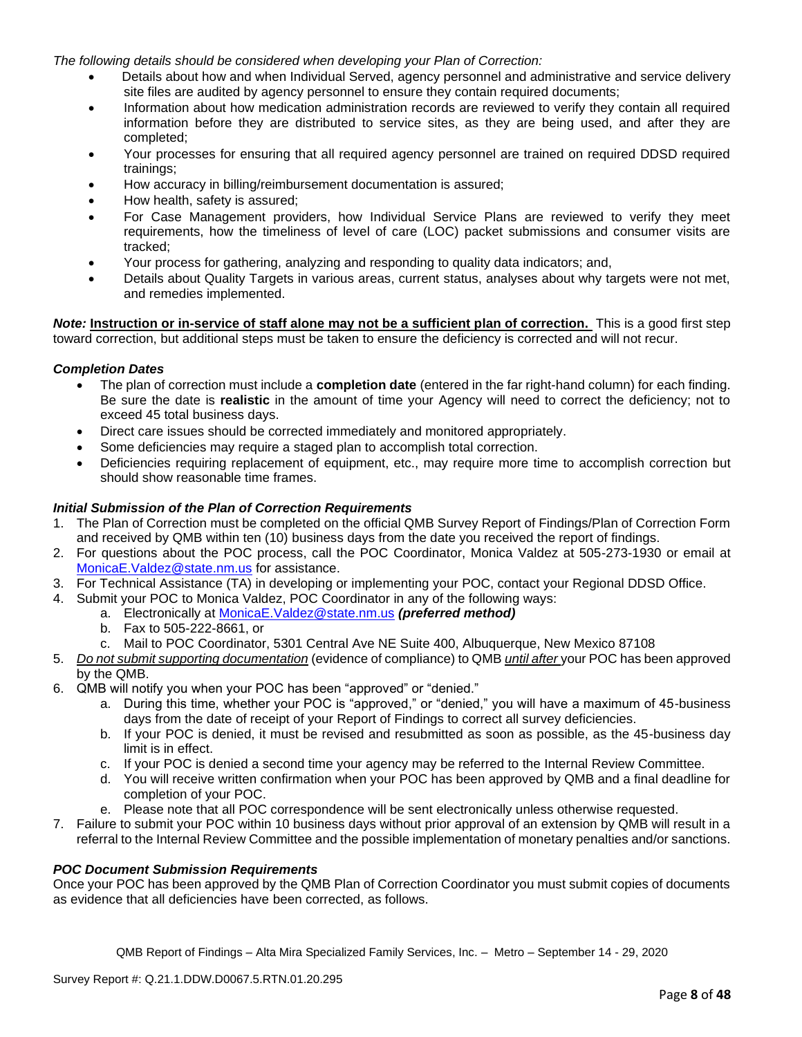*The following details should be considered when developing your Plan of Correction:*

- Details about how and when Individual Served, agency personnel and administrative and service delivery site files are audited by agency personnel to ensure they contain required documents;
- Information about how medication administration records are reviewed to verify they contain all required information before they are distributed to service sites, as they are being used, and after they are completed;
- Your processes for ensuring that all required agency personnel are trained on required DDSD required trainings;
- How accuracy in billing/reimbursement documentation is assured;
- How health, safety is assured;
- For Case Management providers, how Individual Service Plans are reviewed to verify they meet requirements, how the timeliness of level of care (LOC) packet submissions and consumer visits are tracked;
- Your process for gathering, analyzing and responding to quality data indicators; and,
- Details about Quality Targets in various areas, current status, analyses about why targets were not met, and remedies implemented.

*Note:* **Instruction or in-service of staff alone may not be a sufficient plan of correction.** This is a good first step toward correction, but additional steps must be taken to ensure the deficiency is corrected and will not recur.

#### *Completion Dates*

- The plan of correction must include a **completion date** (entered in the far right-hand column) for each finding. Be sure the date is **realistic** in the amount of time your Agency will need to correct the deficiency; not to exceed 45 total business days.
- Direct care issues should be corrected immediately and monitored appropriately.
- Some deficiencies may require a staged plan to accomplish total correction.
- Deficiencies requiring replacement of equipment, etc., may require more time to accomplish correction but should show reasonable time frames.

### *Initial Submission of the Plan of Correction Requirements*

- 1. The Plan of Correction must be completed on the official QMB Survey Report of Findings/Plan of Correction Form and received by QMB within ten (10) business days from the date you received the report of findings.
- 2. For questions about the POC process, call the POC Coordinator, Monica Valdez at 505-273-1930 or email at [MonicaE.Valdez@state.nm.us](mailto:MonicaE.Valdez@state.nm.us) for assistance.
- 3. For Technical Assistance (TA) in developing or implementing your POC, contact your Regional DDSD Office.
- 4. Submit your POC to Monica Valdez, POC Coordinator in any of the following ways:
	- a. Electronically at [MonicaE.Valdez@state.nm.us](mailto:MonicaE.Valdez@state.nm.us) *(preferred method)*
	- b. Fax to 505-222-8661, or
	- c. Mail to POC Coordinator, 5301 Central Ave NE Suite 400, Albuquerque, New Mexico 87108
- 5. *Do not submit supporting documentation* (evidence of compliance) to QMB *until after* your POC has been approved by the QMB.
- 6. QMB will notify you when your POC has been "approved" or "denied."
	- a. During this time, whether your POC is "approved," or "denied," you will have a maximum of 45-business days from the date of receipt of your Report of Findings to correct all survey deficiencies.
	- b. If your POC is denied, it must be revised and resubmitted as soon as possible, as the 45-business day limit is in effect.
	- c. If your POC is denied a second time your agency may be referred to the Internal Review Committee.
	- d. You will receive written confirmation when your POC has been approved by QMB and a final deadline for completion of your POC.
	- e. Please note that all POC correspondence will be sent electronically unless otherwise requested.
- 7. Failure to submit your POC within 10 business days without prior approval of an extension by QMB will result in a referral to the Internal Review Committee and the possible implementation of monetary penalties and/or sanctions.

#### *POC Document Submission Requirements*

Once your POC has been approved by the QMB Plan of Correction Coordinator you must submit copies of documents as evidence that all deficiencies have been corrected, as follows.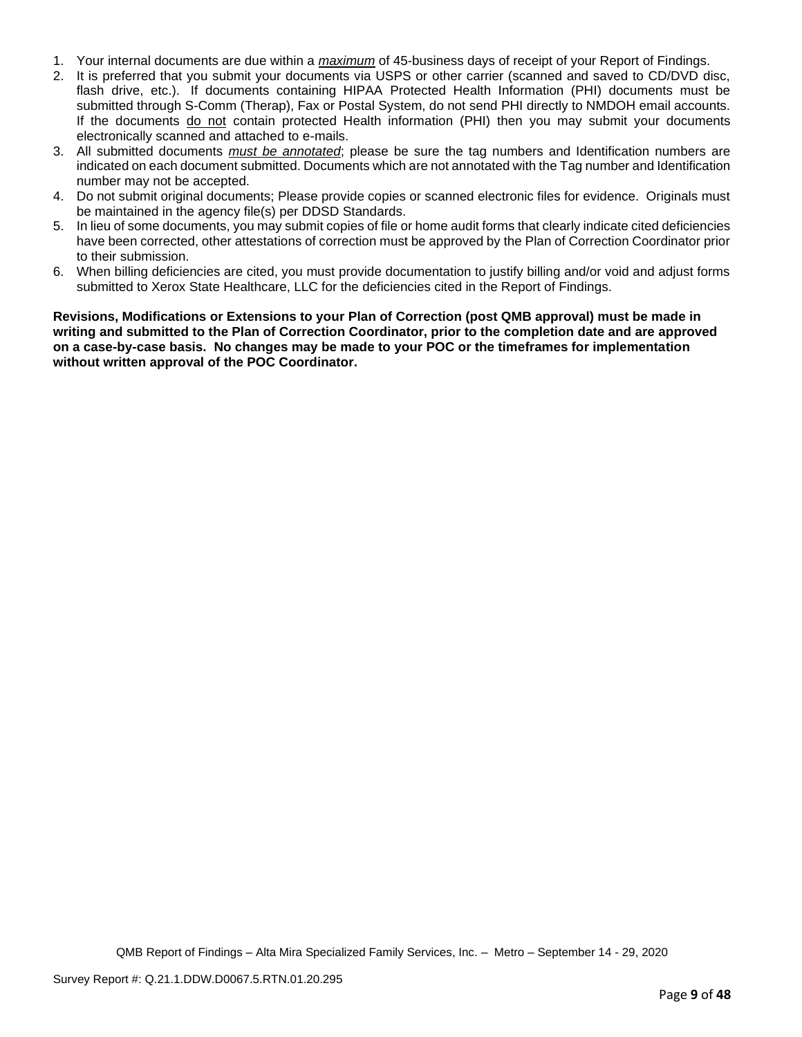- 1. Your internal documents are due within a *maximum* of 45-business days of receipt of your Report of Findings.
- 2. It is preferred that you submit your documents via USPS or other carrier (scanned and saved to CD/DVD disc, flash drive, etc.). If documents containing HIPAA Protected Health Information (PHI) documents must be submitted through S-Comm (Therap), Fax or Postal System, do not send PHI directly to NMDOH email accounts. If the documents do not contain protected Health information (PHI) then you may submit your documents electronically scanned and attached to e-mails.
- 3. All submitted documents *must be annotated*; please be sure the tag numbers and Identification numbers are indicated on each document submitted. Documents which are not annotated with the Tag number and Identification number may not be accepted.
- 4. Do not submit original documents; Please provide copies or scanned electronic files for evidence. Originals must be maintained in the agency file(s) per DDSD Standards.
- 5. In lieu of some documents, you may submit copies of file or home audit forms that clearly indicate cited deficiencies have been corrected, other attestations of correction must be approved by the Plan of Correction Coordinator prior to their submission.
- 6. When billing deficiencies are cited, you must provide documentation to justify billing and/or void and adjust forms submitted to Xerox State Healthcare, LLC for the deficiencies cited in the Report of Findings.

**Revisions, Modifications or Extensions to your Plan of Correction (post QMB approval) must be made in writing and submitted to the Plan of Correction Coordinator, prior to the completion date and are approved on a case-by-case basis. No changes may be made to your POC or the timeframes for implementation without written approval of the POC Coordinator.**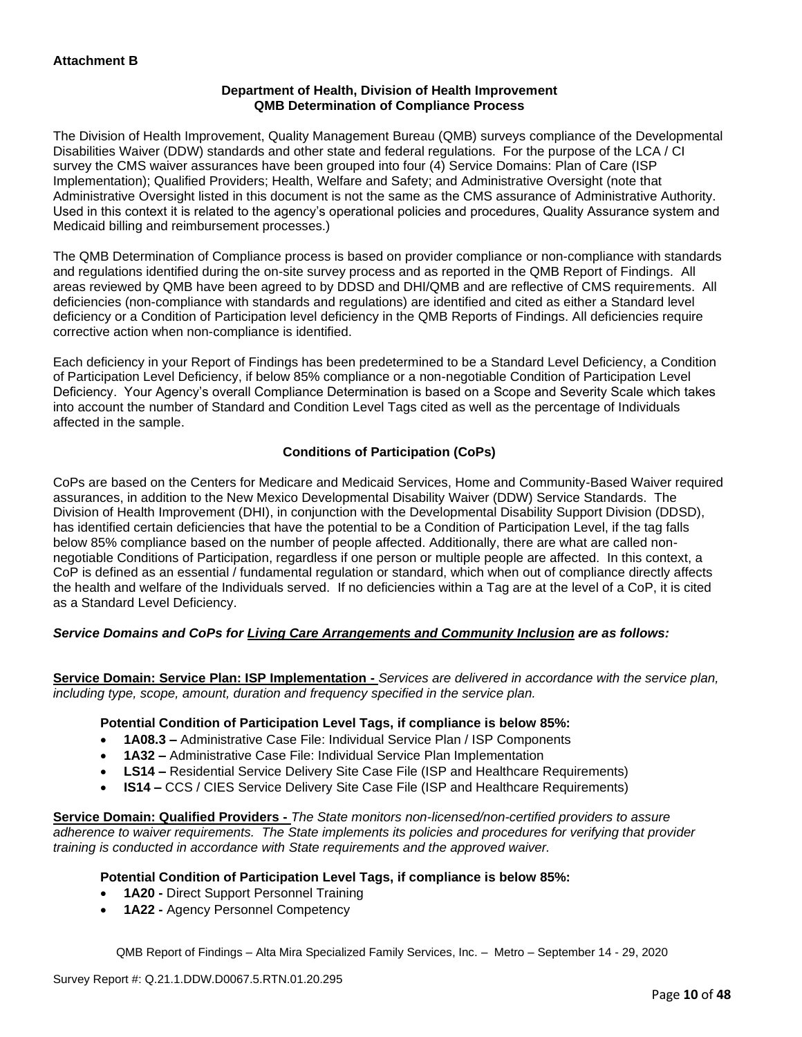## **Department of Health, Division of Health Improvement QMB Determination of Compliance Process**

The Division of Health Improvement, Quality Management Bureau (QMB) surveys compliance of the Developmental Disabilities Waiver (DDW) standards and other state and federal regulations. For the purpose of the LCA / CI survey the CMS waiver assurances have been grouped into four (4) Service Domains: Plan of Care (ISP Implementation); Qualified Providers; Health, Welfare and Safety; and Administrative Oversight (note that Administrative Oversight listed in this document is not the same as the CMS assurance of Administrative Authority. Used in this context it is related to the agency's operational policies and procedures, Quality Assurance system and Medicaid billing and reimbursement processes.)

The QMB Determination of Compliance process is based on provider compliance or non-compliance with standards and regulations identified during the on-site survey process and as reported in the QMB Report of Findings. All areas reviewed by QMB have been agreed to by DDSD and DHI/QMB and are reflective of CMS requirements. All deficiencies (non-compliance with standards and regulations) are identified and cited as either a Standard level deficiency or a Condition of Participation level deficiency in the QMB Reports of Findings. All deficiencies require corrective action when non-compliance is identified.

Each deficiency in your Report of Findings has been predetermined to be a Standard Level Deficiency, a Condition of Participation Level Deficiency, if below 85% compliance or a non-negotiable Condition of Participation Level Deficiency. Your Agency's overall Compliance Determination is based on a Scope and Severity Scale which takes into account the number of Standard and Condition Level Tags cited as well as the percentage of Individuals affected in the sample.

# **Conditions of Participation (CoPs)**

CoPs are based on the Centers for Medicare and Medicaid Services, Home and Community-Based Waiver required assurances, in addition to the New Mexico Developmental Disability Waiver (DDW) Service Standards. The Division of Health Improvement (DHI), in conjunction with the Developmental Disability Support Division (DDSD), has identified certain deficiencies that have the potential to be a Condition of Participation Level, if the tag falls below 85% compliance based on the number of people affected. Additionally, there are what are called nonnegotiable Conditions of Participation, regardless if one person or multiple people are affected. In this context, a CoP is defined as an essential / fundamental regulation or standard, which when out of compliance directly affects the health and welfare of the Individuals served. If no deficiencies within a Tag are at the level of a CoP, it is cited as a Standard Level Deficiency.

# *Service Domains and CoPs for Living Care Arrangements and Community Inclusion are as follows:*

**Service Domain: Service Plan: ISP Implementation -** *Services are delivered in accordance with the service plan, including type, scope, amount, duration and frequency specified in the service plan.*

#### **Potential Condition of Participation Level Tags, if compliance is below 85%:**

- **1A08.3 –** Administrative Case File: Individual Service Plan / ISP Components
- **1A32 –** Administrative Case File: Individual Service Plan Implementation
- **LS14 –** Residential Service Delivery Site Case File (ISP and Healthcare Requirements)
- **IS14 –** CCS / CIES Service Delivery Site Case File (ISP and Healthcare Requirements)

**Service Domain: Qualified Providers -** *The State monitors non-licensed/non-certified providers to assure adherence to waiver requirements. The State implements its policies and procedures for verifying that provider training is conducted in accordance with State requirements and the approved waiver.*

#### **Potential Condition of Participation Level Tags, if compliance is below 85%:**

- **1A20 -** Direct Support Personnel Training
- **1A22 -** Agency Personnel Competency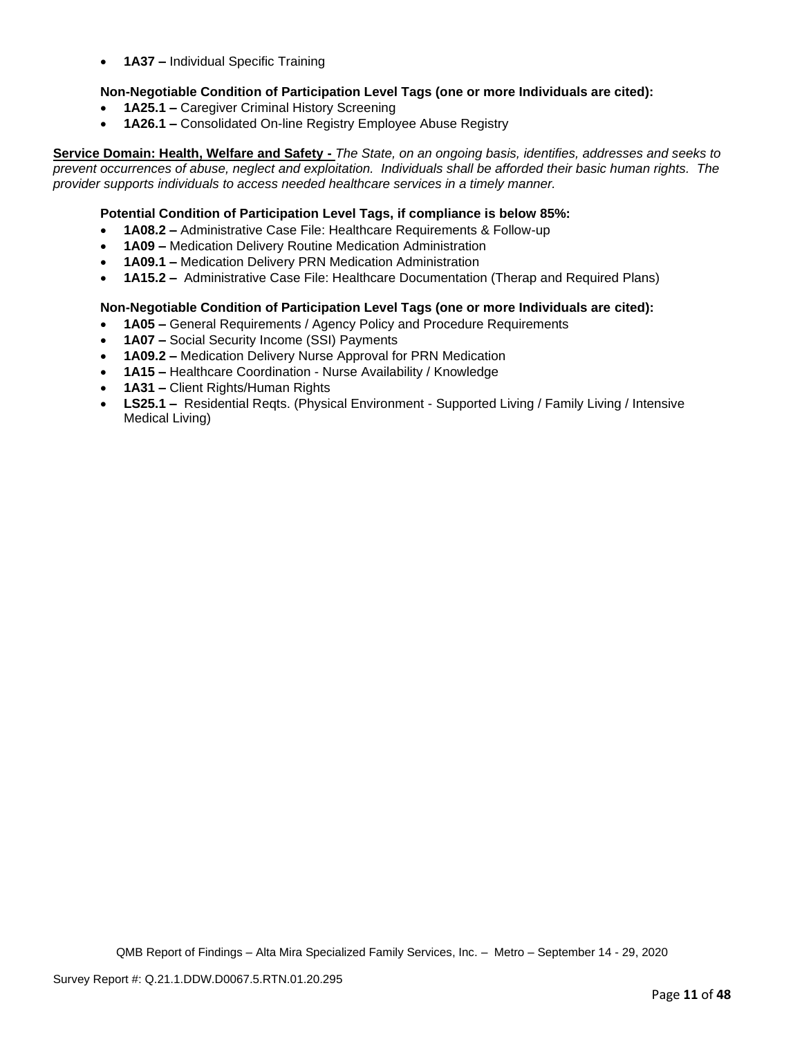• **1A37 –** Individual Specific Training

### **Non-Negotiable Condition of Participation Level Tags (one or more Individuals are cited):**

- **1A25.1 –** Caregiver Criminal History Screening
- **1A26.1 –** Consolidated On-line Registry Employee Abuse Registry

**Service Domain: Health, Welfare and Safety -** *The State, on an ongoing basis, identifies, addresses and seeks to prevent occurrences of abuse, neglect and exploitation. Individuals shall be afforded their basic human rights. The provider supports individuals to access needed healthcare services in a timely manner.*

### **Potential Condition of Participation Level Tags, if compliance is below 85%:**

- **1A08.2 –** Administrative Case File: Healthcare Requirements & Follow-up
- **1A09 –** Medication Delivery Routine Medication Administration
- **1A09.1 –** Medication Delivery PRN Medication Administration
- **1A15.2 –** Administrative Case File: Healthcare Documentation (Therap and Required Plans)

#### **Non-Negotiable Condition of Participation Level Tags (one or more Individuals are cited):**

- **1A05 –** General Requirements / Agency Policy and Procedure Requirements
- **1A07 –** Social Security Income (SSI) Payments
- **1A09.2 –** Medication Delivery Nurse Approval for PRN Medication
- **1A15 –** Healthcare Coordination Nurse Availability / Knowledge
- **1A31 –** Client Rights/Human Rights
- **LS25.1 –** Residential Reqts. (Physical Environment Supported Living / Family Living / Intensive Medical Living)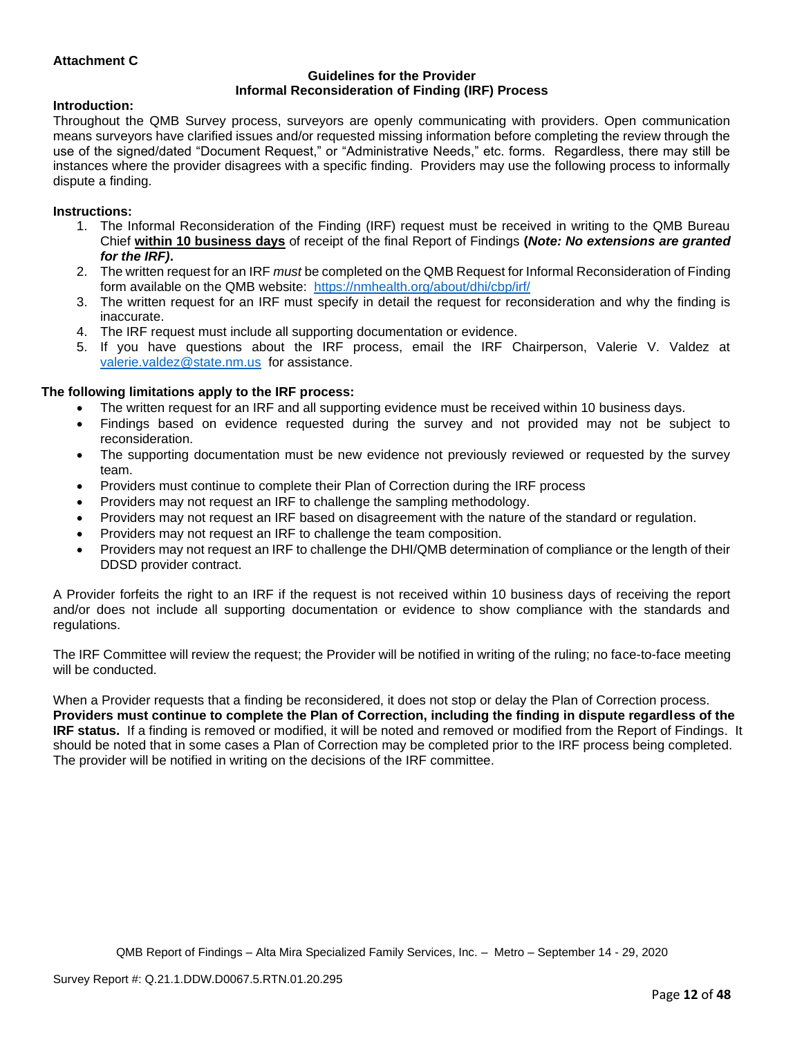### **Attachment C**

#### **Guidelines for the Provider Informal Reconsideration of Finding (IRF) Process**

#### **Introduction:**

Throughout the QMB Survey process, surveyors are openly communicating with providers. Open communication means surveyors have clarified issues and/or requested missing information before completing the review through the use of the signed/dated "Document Request," or "Administrative Needs," etc. forms. Regardless, there may still be instances where the provider disagrees with a specific finding. Providers may use the following process to informally dispute a finding.

#### **Instructions:**

- 1. The Informal Reconsideration of the Finding (IRF) request must be received in writing to the QMB Bureau Chief **within 10 business days** of receipt of the final Report of Findings **(***Note: No extensions are granted for the IRF)***.**
- 2. The written request for an IRF *must* be completed on the QMB Request for Informal Reconsideration of Finding form available on the QMB website: <https://nmhealth.org/about/dhi/cbp/irf/>
- 3. The written request for an IRF must specify in detail the request for reconsideration and why the finding is inaccurate.
- 4. The IRF request must include all supporting documentation or evidence.
- 5. If you have questions about the IRF process, email the IRF Chairperson, Valerie V. Valdez at [valerie.valdez@state.nm.us](mailto:valerie.valdez@state.nm.us) for assistance.

#### **The following limitations apply to the IRF process:**

- The written request for an IRF and all supporting evidence must be received within 10 business days.
- Findings based on evidence requested during the survey and not provided may not be subject to reconsideration.
- The supporting documentation must be new evidence not previously reviewed or requested by the survey team.
- Providers must continue to complete their Plan of Correction during the IRF process
- Providers may not request an IRF to challenge the sampling methodology.
- Providers may not request an IRF based on disagreement with the nature of the standard or regulation.
- Providers may not request an IRF to challenge the team composition.
- Providers may not request an IRF to challenge the DHI/QMB determination of compliance or the length of their DDSD provider contract.

A Provider forfeits the right to an IRF if the request is not received within 10 business days of receiving the report and/or does not include all supporting documentation or evidence to show compliance with the standards and regulations.

The IRF Committee will review the request; the Provider will be notified in writing of the ruling; no face-to-face meeting will be conducted.

When a Provider requests that a finding be reconsidered, it does not stop or delay the Plan of Correction process. **Providers must continue to complete the Plan of Correction, including the finding in dispute regardless of the IRF status.** If a finding is removed or modified, it will be noted and removed or modified from the Report of Findings. It should be noted that in some cases a Plan of Correction may be completed prior to the IRF process being completed. The provider will be notified in writing on the decisions of the IRF committee.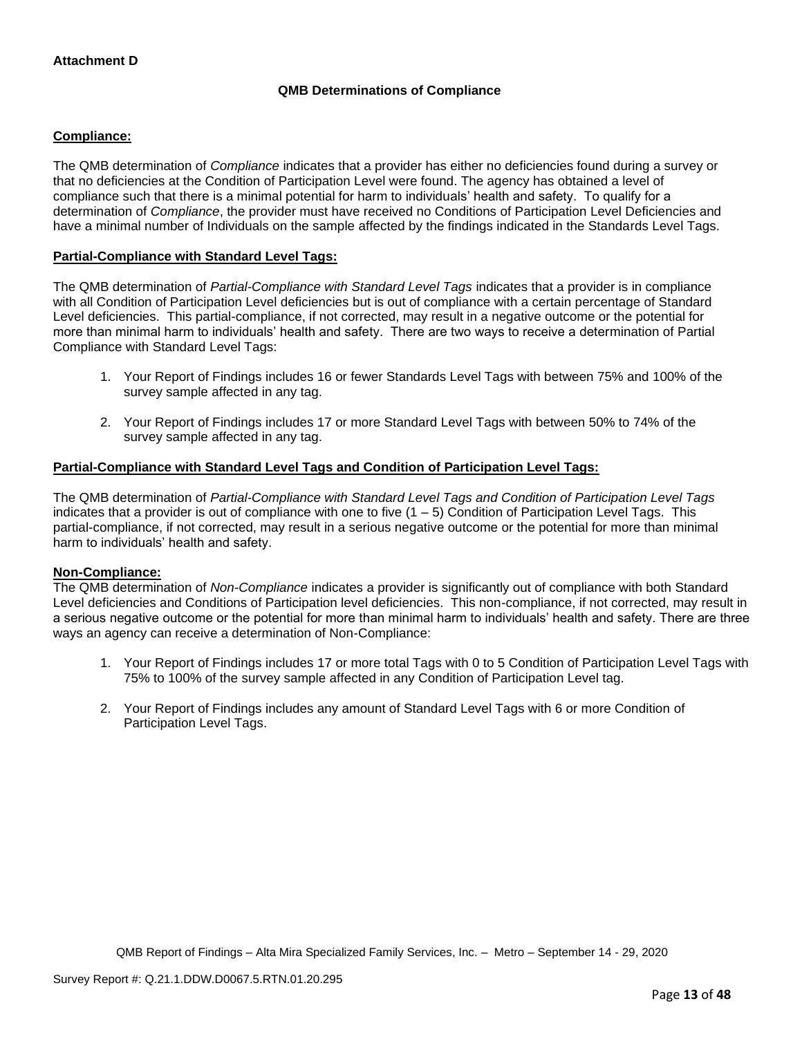# **QMB Determinations of Compliance**

### **Compliance:**

The QMB determination of *Compliance* indicates that a provider has either no deficiencies found during a survey or that no deficiencies at the Condition of Participation Level were found. The agency has obtained a level of compliance such that there is a minimal potential for harm to individuals' health and safety. To qualify for a determination of *Compliance*, the provider must have received no Conditions of Participation Level Deficiencies and have a minimal number of Individuals on the sample affected by the findings indicated in the Standards Level Tags.

### **Partial-Compliance with Standard Level Tags:**

The QMB determination of *Partial-Compliance with Standard Level Tags* indicates that a provider is in compliance with all Condition of Participation Level deficiencies but is out of compliance with a certain percentage of Standard Level deficiencies. This partial-compliance, if not corrected, may result in a negative outcome or the potential for more than minimal harm to individuals' health and safety. There are two ways to receive a determination of Partial Compliance with Standard Level Tags:

- 1. Your Report of Findings includes 16 or fewer Standards Level Tags with between 75% and 100% of the survey sample affected in any tag.
- 2. Your Report of Findings includes 17 or more Standard Level Tags with between 50% to 74% of the survey sample affected in any tag.

# **Partial-Compliance with Standard Level Tags and Condition of Participation Level Tags:**

The QMB determination of *Partial-Compliance with Standard Level Tags and Condition of Participation Level Tags*  indicates that a provider is out of compliance with one to five  $(1 - 5)$  Condition of Participation Level Tags. This partial-compliance, if not corrected, may result in a serious negative outcome or the potential for more than minimal harm to individuals' health and safety.

#### **Non-Compliance:**

The QMB determination of *Non-Compliance* indicates a provider is significantly out of compliance with both Standard Level deficiencies and Conditions of Participation level deficiencies. This non-compliance, if not corrected, may result in a serious negative outcome or the potential for more than minimal harm to individuals' health and safety. There are three ways an agency can receive a determination of Non-Compliance:

- 1. Your Report of Findings includes 17 or more total Tags with 0 to 5 Condition of Participation Level Tags with 75% to 100% of the survey sample affected in any Condition of Participation Level tag.
- 2. Your Report of Findings includes any amount of Standard Level Tags with 6 or more Condition of Participation Level Tags.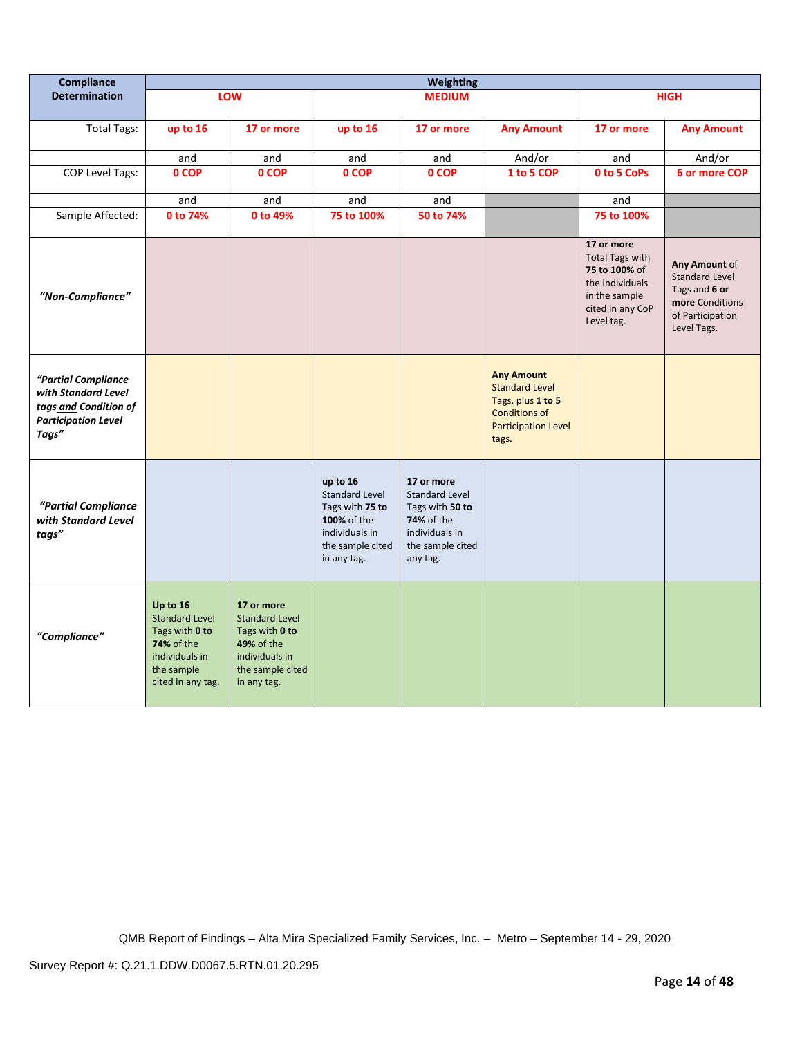| Compliance                                                                                                 | <b>Weighting</b>                                                                                                              |                                                                                                                                 |                                                                                                                          |                                                                                                                               |                                                                                                                                |                                                                                                                             |                                                                                                               |
|------------------------------------------------------------------------------------------------------------|-------------------------------------------------------------------------------------------------------------------------------|---------------------------------------------------------------------------------------------------------------------------------|--------------------------------------------------------------------------------------------------------------------------|-------------------------------------------------------------------------------------------------------------------------------|--------------------------------------------------------------------------------------------------------------------------------|-----------------------------------------------------------------------------------------------------------------------------|---------------------------------------------------------------------------------------------------------------|
| <b>Determination</b>                                                                                       |                                                                                                                               | LOW                                                                                                                             |                                                                                                                          | <b>MEDIUM</b>                                                                                                                 |                                                                                                                                |                                                                                                                             | <b>HIGH</b>                                                                                                   |
| <b>Total Tags:</b>                                                                                         | up to 16                                                                                                                      | 17 or more                                                                                                                      | up to 16                                                                                                                 | 17 or more                                                                                                                    | <b>Any Amount</b>                                                                                                              | 17 or more                                                                                                                  | <b>Any Amount</b>                                                                                             |
|                                                                                                            | and                                                                                                                           | and                                                                                                                             | and                                                                                                                      | and                                                                                                                           | And/or                                                                                                                         | and                                                                                                                         | And/or                                                                                                        |
| COP Level Tags:                                                                                            | 0 COP                                                                                                                         | 0 COP                                                                                                                           | 0 COP                                                                                                                    | 0 COP                                                                                                                         | 1 to 5 COP                                                                                                                     | 0 to 5 CoPs                                                                                                                 | 6 or more COP                                                                                                 |
|                                                                                                            | and                                                                                                                           | and                                                                                                                             | and                                                                                                                      | and                                                                                                                           |                                                                                                                                | and                                                                                                                         |                                                                                                               |
| Sample Affected:                                                                                           | 0 to 74%                                                                                                                      | 0 to 49%                                                                                                                        | 75 to 100%                                                                                                               | 50 to 74%                                                                                                                     |                                                                                                                                | 75 to 100%                                                                                                                  |                                                                                                               |
| "Non-Compliance"                                                                                           |                                                                                                                               |                                                                                                                                 |                                                                                                                          |                                                                                                                               |                                                                                                                                | 17 or more<br><b>Total Tags with</b><br>75 to 100% of<br>the Individuals<br>in the sample<br>cited in any CoP<br>Level tag. | Any Amount of<br><b>Standard Level</b><br>Tags and 6 or<br>more Conditions<br>of Participation<br>Level Tags. |
| "Partial Compliance<br>with Standard Level<br>tags and Condition of<br><b>Participation Level</b><br>Tags" |                                                                                                                               |                                                                                                                                 |                                                                                                                          |                                                                                                                               | <b>Any Amount</b><br><b>Standard Level</b><br>Tags, plus 1 to 5<br><b>Conditions of</b><br><b>Participation Level</b><br>tags. |                                                                                                                             |                                                                                                               |
| "Partial Compliance<br>with Standard Level<br>tags"                                                        |                                                                                                                               |                                                                                                                                 | up to 16<br><b>Standard Level</b><br>Tags with 75 to<br>100% of the<br>individuals in<br>the sample cited<br>in any tag. | 17 or more<br><b>Standard Level</b><br>Tags with 50 to<br><b>74%</b> of the<br>individuals in<br>the sample cited<br>any tag. |                                                                                                                                |                                                                                                                             |                                                                                                               |
| "Compliance"                                                                                               | Up to 16<br><b>Standard Level</b><br>Tags with 0 to<br><b>74% of the</b><br>individuals in<br>the sample<br>cited in any tag. | 17 or more<br><b>Standard Level</b><br>Tags with 0 to<br><b>49% of the</b><br>individuals in<br>the sample cited<br>in any tag. |                                                                                                                          |                                                                                                                               |                                                                                                                                |                                                                                                                             |                                                                                                               |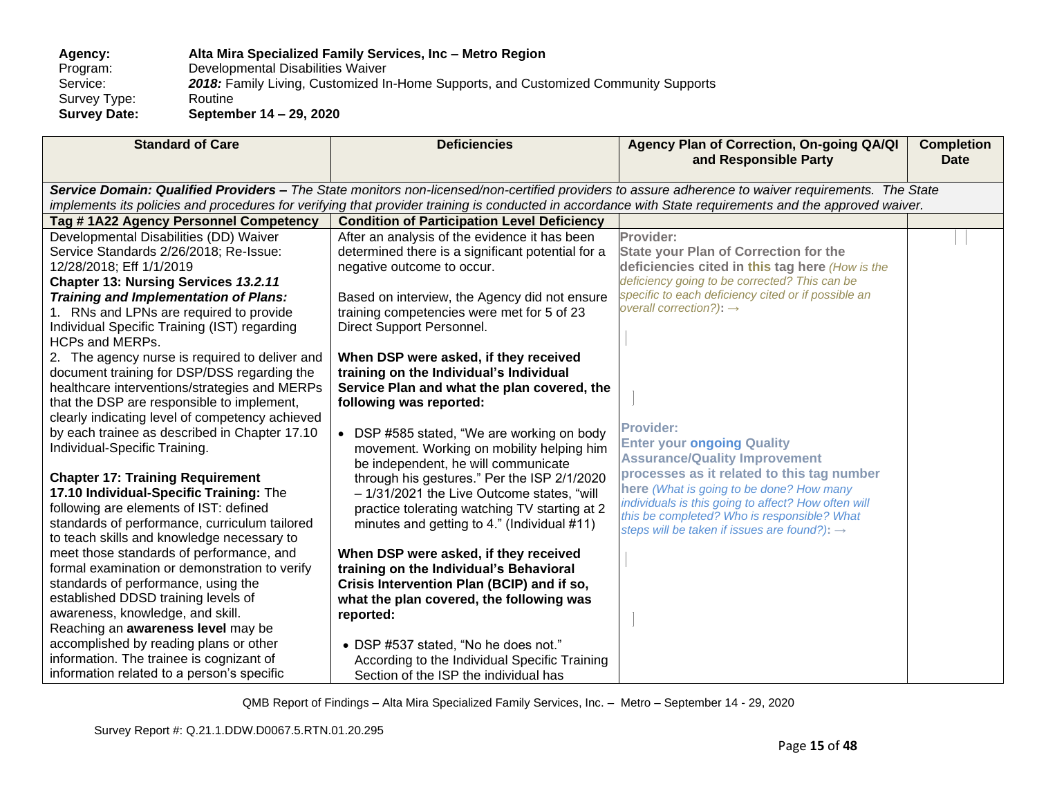**Agency: Alta Mira Specialized Family Services, Inc – Metro Region** Program: Developmental Disabilities Waiver<br>Service: 2018: Family Living, Customized In 2018: Family Living, Customized In-Home Supports, and Customized Community Supports<br>Routine Survey Type:<br>Survey Date: **Survey Date: September 14 – 29, 2020**

| <b>Standard of Care</b>                         | <b>Deficiencies</b>                                | Agency Plan of Correction, On-going QA/QI<br>and Responsible Party                                                                                      | <b>Completion</b><br><b>Date</b> |
|-------------------------------------------------|----------------------------------------------------|---------------------------------------------------------------------------------------------------------------------------------------------------------|----------------------------------|
|                                                 |                                                    | Service Domain: Qualified Providers - The State monitors non-licensed/non-certified providers to assure adherence to waiver requirements. The State     |                                  |
|                                                 |                                                    | implements its policies and procedures for verifying that provider training is conducted in accordance with State requirements and the approved waiver. |                                  |
| Tag #1A22 Agency Personnel Competency           | <b>Condition of Participation Level Deficiency</b> |                                                                                                                                                         |                                  |
| Developmental Disabilities (DD) Waiver          | After an analysis of the evidence it has been      | Provider:                                                                                                                                               |                                  |
| Service Standards 2/26/2018; Re-Issue:          | determined there is a significant potential for a  | <b>State your Plan of Correction for the</b>                                                                                                            |                                  |
| 12/28/2018; Eff 1/1/2019                        | negative outcome to occur.                         | deficiencies cited in this tag here (How is the                                                                                                         |                                  |
| Chapter 13: Nursing Services 13.2.11            |                                                    | deficiency going to be corrected? This can be                                                                                                           |                                  |
| <b>Training and Implementation of Plans:</b>    | Based on interview, the Agency did not ensure      | specific to each deficiency cited or if possible an                                                                                                     |                                  |
| 1. RNs and LPNs are required to provide         | training competencies were met for 5 of 23         | overall correction?): $\rightarrow$                                                                                                                     |                                  |
| Individual Specific Training (IST) regarding    | Direct Support Personnel.                          |                                                                                                                                                         |                                  |
| <b>HCPs and MERPs.</b>                          |                                                    |                                                                                                                                                         |                                  |
| 2. The agency nurse is required to deliver and  | When DSP were asked, if they received              |                                                                                                                                                         |                                  |
| document training for DSP/DSS regarding the     | training on the Individual's Individual            |                                                                                                                                                         |                                  |
| healthcare interventions/strategies and MERPs   | Service Plan and what the plan covered, the        |                                                                                                                                                         |                                  |
| that the DSP are responsible to implement,      | following was reported:                            |                                                                                                                                                         |                                  |
| clearly indicating level of competency achieved |                                                    |                                                                                                                                                         |                                  |
| by each trainee as described in Chapter 17.10   | • DSP #585 stated, "We are working on body         | <b>Provider:</b>                                                                                                                                        |                                  |
| Individual-Specific Training.                   | movement. Working on mobility helping him          | <b>Enter your ongoing Quality</b>                                                                                                                       |                                  |
|                                                 | be independent, he will communicate                | <b>Assurance/Quality Improvement</b>                                                                                                                    |                                  |
| <b>Chapter 17: Training Requirement</b>         | through his gestures." Per the ISP 2/1/2020        | processes as it related to this tag number                                                                                                              |                                  |
| 17.10 Individual-Specific Training: The         | - 1/31/2021 the Live Outcome states, "will         | here (What is going to be done? How many                                                                                                                |                                  |
| following are elements of IST: defined          | practice tolerating watching TV starting at 2      | individuals is this going to affect? How often will                                                                                                     |                                  |
| standards of performance, curriculum tailored   | minutes and getting to 4." (Individual #11)        | this be completed? Who is responsible? What                                                                                                             |                                  |
| to teach skills and knowledge necessary to      |                                                    | steps will be taken if issues are found?): $\rightarrow$                                                                                                |                                  |
| meet those standards of performance, and        | When DSP were asked, if they received              |                                                                                                                                                         |                                  |
| formal examination or demonstration to verify   | training on the Individual's Behavioral            |                                                                                                                                                         |                                  |
| standards of performance, using the             | Crisis Intervention Plan (BCIP) and if so,         |                                                                                                                                                         |                                  |
| established DDSD training levels of             | what the plan covered, the following was           |                                                                                                                                                         |                                  |
| awareness, knowledge, and skill.                | reported:                                          |                                                                                                                                                         |                                  |
| Reaching an awareness level may be              |                                                    |                                                                                                                                                         |                                  |
| accomplished by reading plans or other          | • DSP #537 stated, "No he does not."               |                                                                                                                                                         |                                  |
| information. The trainee is cognizant of        | According to the Individual Specific Training      |                                                                                                                                                         |                                  |
| information related to a person's specific      | Section of the ISP the individual has              |                                                                                                                                                         |                                  |
|                                                 |                                                    |                                                                                                                                                         |                                  |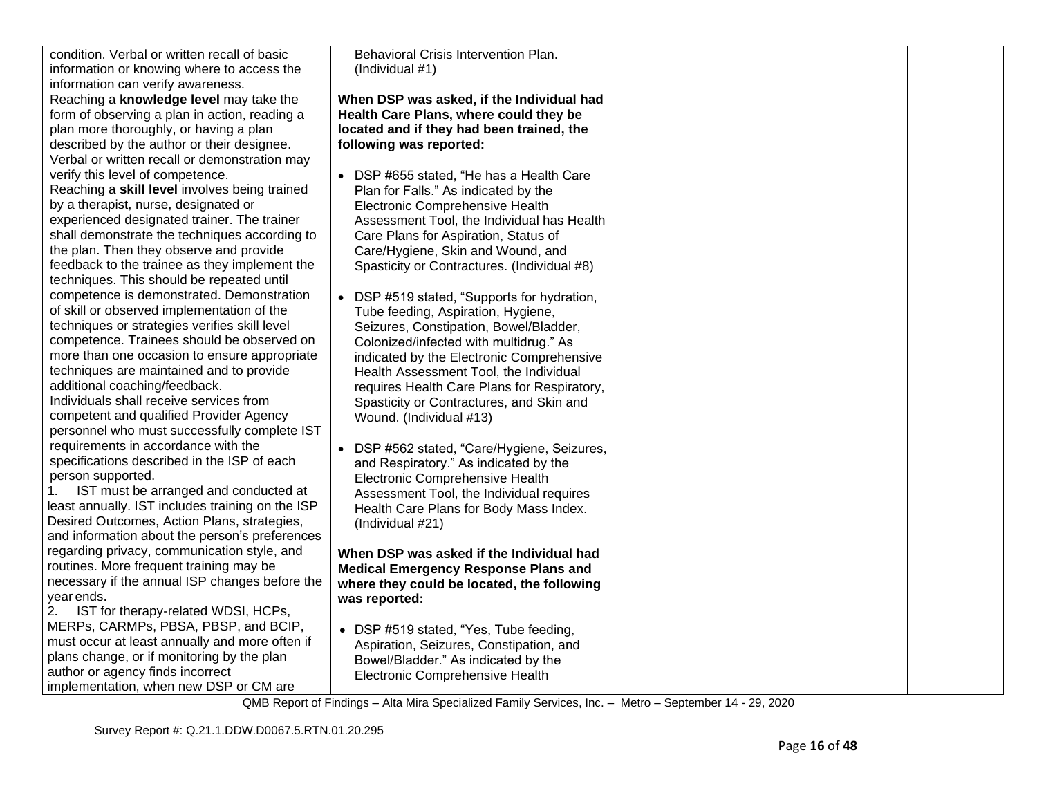| condition. Verbal or written recall of basic<br>information or knowing where to access the | Behavioral Crisis Intervention Plan.<br>(Individual #1) |  |
|--------------------------------------------------------------------------------------------|---------------------------------------------------------|--|
| information can verify awareness.                                                          |                                                         |  |
| Reaching a knowledge level may take the                                                    | When DSP was asked, if the Individual had               |  |
| form of observing a plan in action, reading a                                              | Health Care Plans, where could they be                  |  |
| plan more thoroughly, or having a plan                                                     | located and if they had been trained, the               |  |
| described by the author or their designee.                                                 | following was reported:                                 |  |
| Verbal or written recall or demonstration may                                              |                                                         |  |
| verify this level of competence.                                                           | DSP #655 stated, "He has a Health Care<br>$\bullet$     |  |
| Reaching a skill level involves being trained                                              | Plan for Falls." As indicated by the                    |  |
| by a therapist, nurse, designated or                                                       | Electronic Comprehensive Health                         |  |
| experienced designated trainer. The trainer                                                | Assessment Tool, the Individual has Health              |  |
| shall demonstrate the techniques according to                                              | Care Plans for Aspiration, Status of                    |  |
| the plan. Then they observe and provide                                                    | Care/Hygiene, Skin and Wound, and                       |  |
| feedback to the trainee as they implement the                                              | Spasticity or Contractures. (Individual #8)             |  |
| techniques. This should be repeated until                                                  |                                                         |  |
| competence is demonstrated. Demonstration                                                  | DSP #519 stated, "Supports for hydration,               |  |
| of skill or observed implementation of the                                                 | Tube feeding, Aspiration, Hygiene,                      |  |
| techniques or strategies verifies skill level                                              | Seizures, Constipation, Bowel/Bladder,                  |  |
| competence. Trainees should be observed on                                                 | Colonized/infected with multidrug." As                  |  |
| more than one occasion to ensure appropriate                                               | indicated by the Electronic Comprehensive               |  |
| techniques are maintained and to provide                                                   | Health Assessment Tool, the Individual                  |  |
| additional coaching/feedback.                                                              | requires Health Care Plans for Respiratory,             |  |
| Individuals shall receive services from                                                    | Spasticity or Contractures, and Skin and                |  |
| competent and qualified Provider Agency                                                    | Wound. (Individual #13)                                 |  |
| personnel who must successfully complete IST                                               |                                                         |  |
| requirements in accordance with the                                                        | DSP #562 stated, "Care/Hygiene, Seizures,               |  |
| specifications described in the ISP of each                                                | and Respiratory." As indicated by the                   |  |
| person supported.                                                                          | Electronic Comprehensive Health                         |  |
| 1.<br>IST must be arranged and conducted at                                                | Assessment Tool, the Individual requires                |  |
| least annually. IST includes training on the ISP                                           | Health Care Plans for Body Mass Index.                  |  |
| Desired Outcomes, Action Plans, strategies,                                                | (Individual #21)                                        |  |
| and information about the person's preferences                                             |                                                         |  |
| regarding privacy, communication style, and                                                | When DSP was asked if the Individual had                |  |
| routines. More frequent training may be                                                    | <b>Medical Emergency Response Plans and</b>             |  |
| necessary if the annual ISP changes before the                                             | where they could be located, the following              |  |
| year ends.                                                                                 | was reported:                                           |  |
| 2.<br>IST for therapy-related WDSI, HCPs,                                                  |                                                         |  |
| MERPs, CARMPs, PBSA, PBSP, and BCIP,                                                       | • DSP #519 stated, "Yes, Tube feeding,                  |  |
| must occur at least annually and more often if                                             | Aspiration, Seizures, Constipation, and                 |  |
| plans change, or if monitoring by the plan                                                 | Bowel/Bladder." As indicated by the                     |  |
| author or agency finds incorrect                                                           | Electronic Comprehensive Health                         |  |
| implementation, when new DSP or CM are                                                     |                                                         |  |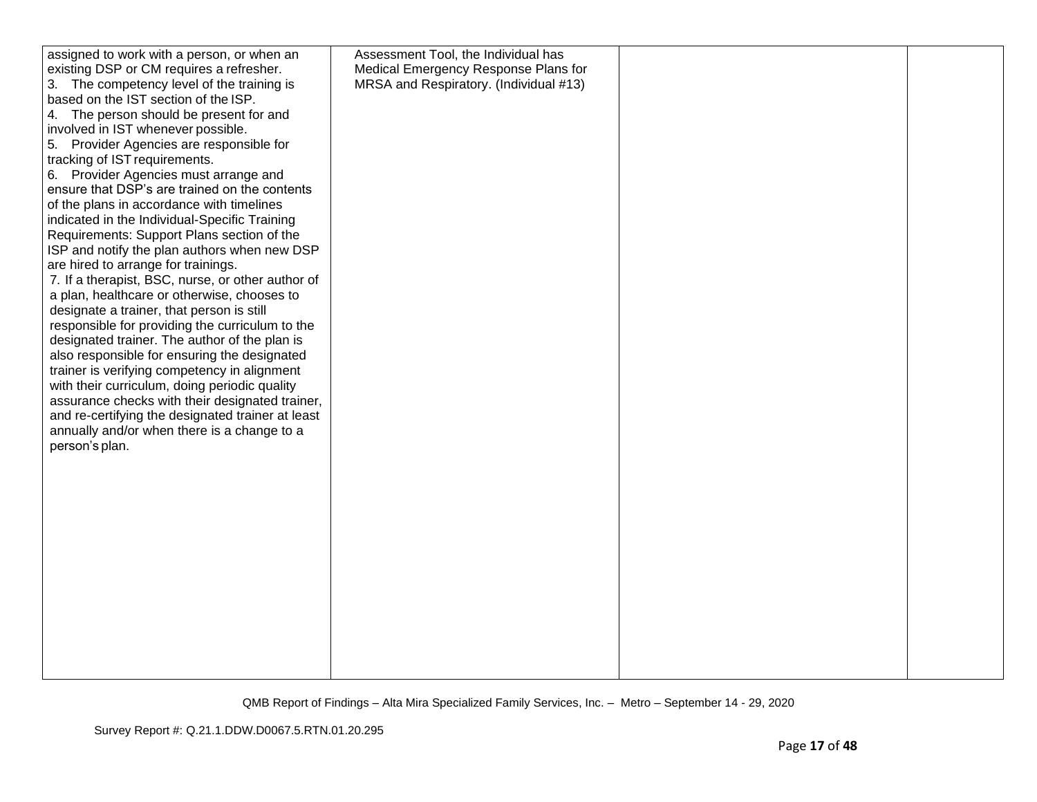| assigned to work with a person, or when an        | Assessment Tool, the Individual has    |  |
|---------------------------------------------------|----------------------------------------|--|
| existing DSP or CM requires a refresher.          | Medical Emergency Response Plans for   |  |
| 3. The competency level of the training is        | MRSA and Respiratory. (Individual #13) |  |
| based on the IST section of the ISP.              |                                        |  |
| 4. The person should be present for and           |                                        |  |
| involved in IST whenever possible.                |                                        |  |
| 5. Provider Agencies are responsible for          |                                        |  |
| tracking of IST requirements.                     |                                        |  |
| 6. Provider Agencies must arrange and             |                                        |  |
| ensure that DSP's are trained on the contents     |                                        |  |
| of the plans in accordance with timelines         |                                        |  |
| indicated in the Individual-Specific Training     |                                        |  |
| Requirements: Support Plans section of the        |                                        |  |
| ISP and notify the plan authors when new DSP      |                                        |  |
| are hired to arrange for trainings.               |                                        |  |
| 7. If a therapist, BSC, nurse, or other author of |                                        |  |
| a plan, healthcare or otherwise, chooses to       |                                        |  |
| designate a trainer, that person is still         |                                        |  |
| responsible for providing the curriculum to the   |                                        |  |
| designated trainer. The author of the plan is     |                                        |  |
| also responsible for ensuring the designated      |                                        |  |
| trainer is verifying competency in alignment      |                                        |  |
| with their curriculum, doing periodic quality     |                                        |  |
| assurance checks with their designated trainer,   |                                        |  |
| and re-certifying the designated trainer at least |                                        |  |
| annually and/or when there is a change to a       |                                        |  |
| person's plan.                                    |                                        |  |
|                                                   |                                        |  |
|                                                   |                                        |  |
|                                                   |                                        |  |
|                                                   |                                        |  |
|                                                   |                                        |  |
|                                                   |                                        |  |
|                                                   |                                        |  |
|                                                   |                                        |  |
|                                                   |                                        |  |
|                                                   |                                        |  |
|                                                   |                                        |  |
|                                                   |                                        |  |
|                                                   |                                        |  |
|                                                   |                                        |  |
|                                                   |                                        |  |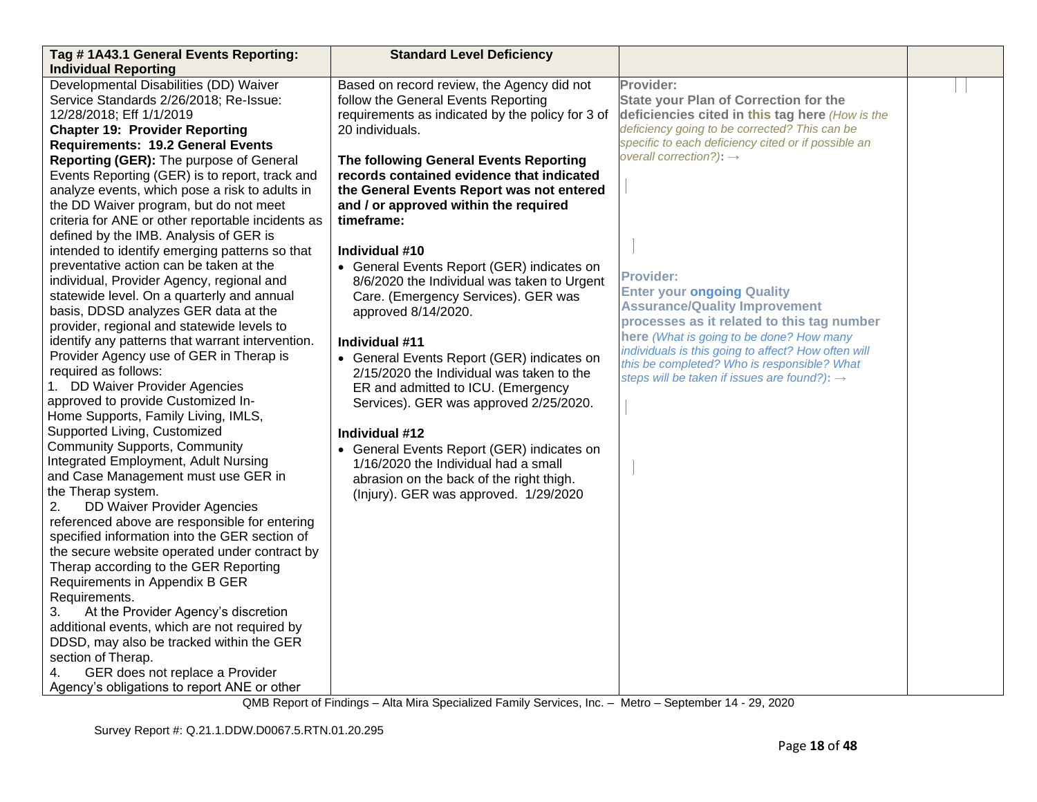| Tag # 1A43.1 General Events Reporting:                                                                                                                                                                                                                                                                                                                                                                                                                                                                                                                                                                                                                                                                               | <b>Standard Level Deficiency</b>                                                                                                                                                                                                                                                                                                                     |                                                                                                                                                                                                                                                                                                                                                           |  |
|----------------------------------------------------------------------------------------------------------------------------------------------------------------------------------------------------------------------------------------------------------------------------------------------------------------------------------------------------------------------------------------------------------------------------------------------------------------------------------------------------------------------------------------------------------------------------------------------------------------------------------------------------------------------------------------------------------------------|------------------------------------------------------------------------------------------------------------------------------------------------------------------------------------------------------------------------------------------------------------------------------------------------------------------------------------------------------|-----------------------------------------------------------------------------------------------------------------------------------------------------------------------------------------------------------------------------------------------------------------------------------------------------------------------------------------------------------|--|
| <b>Individual Reporting</b>                                                                                                                                                                                                                                                                                                                                                                                                                                                                                                                                                                                                                                                                                          |                                                                                                                                                                                                                                                                                                                                                      |                                                                                                                                                                                                                                                                                                                                                           |  |
| Developmental Disabilities (DD) Waiver<br>Service Standards 2/26/2018; Re-Issue:<br>12/28/2018; Eff 1/1/2019<br><b>Chapter 19: Provider Reporting</b><br><b>Requirements: 19.2 General Events</b>                                                                                                                                                                                                                                                                                                                                                                                                                                                                                                                    | Based on record review, the Agency did not<br>follow the General Events Reporting<br>requirements as indicated by the policy for 3 of<br>20 individuals.                                                                                                                                                                                             | Provider:<br><b>State your Plan of Correction for the</b><br>deficiencies cited in this tag here (How is the<br>deficiency going to be corrected? This can be<br>specific to each deficiency cited or if possible an                                                                                                                                      |  |
| Reporting (GER): The purpose of General<br>Events Reporting (GER) is to report, track and<br>analyze events, which pose a risk to adults in<br>the DD Waiver program, but do not meet<br>criteria for ANE or other reportable incidents as<br>defined by the IMB. Analysis of GER is<br>intended to identify emerging patterns so that                                                                                                                                                                                                                                                                                                                                                                               | The following General Events Reporting<br>records contained evidence that indicated<br>the General Events Report was not entered<br>and / or approved within the required<br>timeframe:<br>Individual #10                                                                                                                                            | overall correction?): $\rightarrow$                                                                                                                                                                                                                                                                                                                       |  |
| preventative action can be taken at the<br>individual, Provider Agency, regional and<br>statewide level. On a quarterly and annual<br>basis, DDSD analyzes GER data at the<br>provider, regional and statewide levels to<br>identify any patterns that warrant intervention.<br>Provider Agency use of GER in Therap is<br>required as follows:<br>1. DD Waiver Provider Agencies<br>approved to provide Customized In-<br>Home Supports, Family Living, IMLS,                                                                                                                                                                                                                                                       | • General Events Report (GER) indicates on<br>8/6/2020 the Individual was taken to Urgent<br>Care. (Emergency Services). GER was<br>approved 8/14/2020.<br>Individual #11<br>• General Events Report (GER) indicates on<br>2/15/2020 the Individual was taken to the<br>ER and admitted to ICU. (Emergency<br>Services). GER was approved 2/25/2020. | <b>Provider:</b><br><b>Enter your ongoing Quality</b><br><b>Assurance/Quality Improvement</b><br>processes as it related to this tag number<br>here (What is going to be done? How many<br>individuals is this going to affect? How often will<br>this be completed? Who is responsible? What<br>steps will be taken if issues are found?): $\rightarrow$ |  |
| Supported Living, Customized<br><b>Community Supports, Community</b><br>Integrated Employment, Adult Nursing<br>and Case Management must use GER in<br>the Therap system.<br>DD Waiver Provider Agencies<br>2.<br>referenced above are responsible for entering<br>specified information into the GER section of<br>the secure website operated under contract by<br>Therap according to the GER Reporting<br>Requirements in Appendix B GER<br>Requirements.<br>3.<br>At the Provider Agency's discretion<br>additional events, which are not required by<br>DDSD, may also be tracked within the GER<br>section of Therap.<br>GER does not replace a Provider<br>4.<br>Agency's obligations to report ANE or other | Individual #12<br>• General Events Report (GER) indicates on<br>1/16/2020 the Individual had a small<br>abrasion on the back of the right thigh.<br>(Injury). GER was approved. 1/29/2020                                                                                                                                                            |                                                                                                                                                                                                                                                                                                                                                           |  |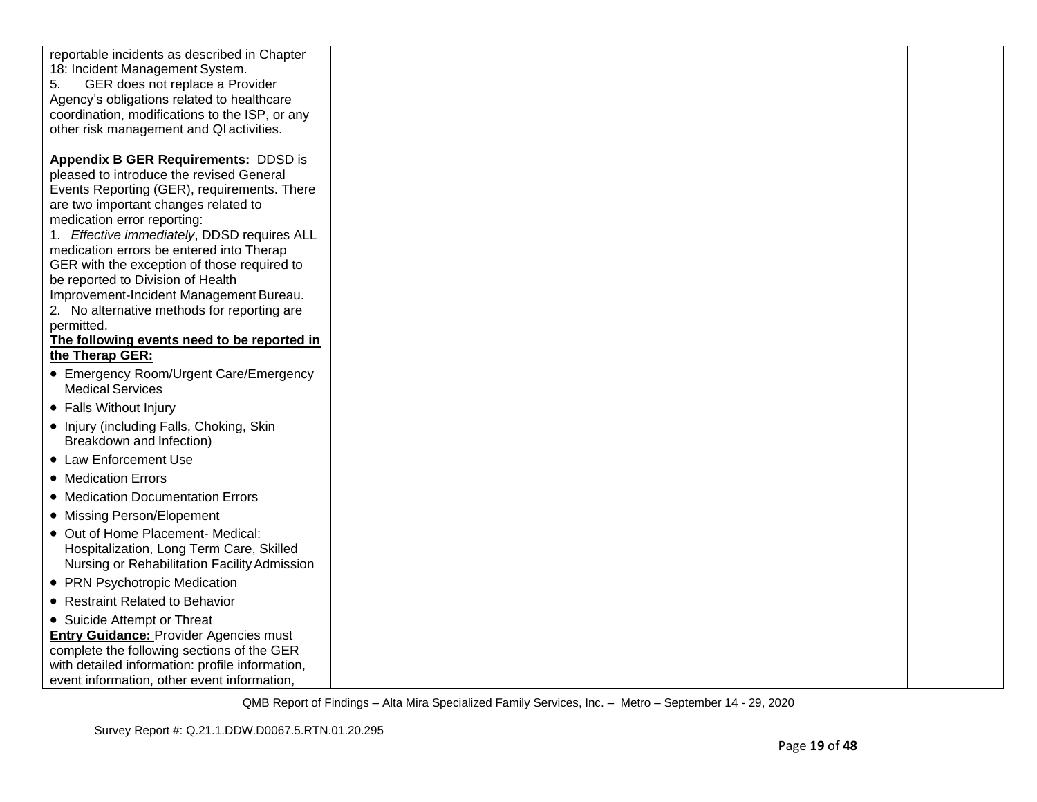| reportable incidents as described in Chapter<br>18: Incident Management System.<br>5.<br>GER does not replace a Provider<br>Agency's obligations related to healthcare  |  |  |
|-------------------------------------------------------------------------------------------------------------------------------------------------------------------------|--|--|
| coordination, modifications to the ISP, or any<br>other risk management and QI activities.                                                                              |  |  |
| Appendix B GER Requirements: DDSD is<br>pleased to introduce the revised General<br>Events Reporting (GER), requirements. There<br>are two important changes related to |  |  |
| medication error reporting:<br>1. Effective immediately, DDSD requires ALL<br>medication errors be entered into Therap                                                  |  |  |
| GER with the exception of those required to<br>be reported to Division of Health                                                                                        |  |  |
| Improvement-Incident Management Bureau.<br>2. No alternative methods for reporting are<br>permitted.                                                                    |  |  |
| The following events need to be reported in<br>the Therap GER:                                                                                                          |  |  |
| • Emergency Room/Urgent Care/Emergency<br><b>Medical Services</b>                                                                                                       |  |  |
| • Falls Without Injury                                                                                                                                                  |  |  |
| • Injury (including Falls, Choking, Skin<br>Breakdown and Infection)                                                                                                    |  |  |
| • Law Enforcement Use                                                                                                                                                   |  |  |
| • Medication Errors                                                                                                                                                     |  |  |
| • Medication Documentation Errors                                                                                                                                       |  |  |
| • Missing Person/Elopement                                                                                                                                              |  |  |
| • Out of Home Placement- Medical:<br>Hospitalization, Long Term Care, Skilled<br>Nursing or Rehabilitation Facility Admission                                           |  |  |
| • PRN Psychotropic Medication                                                                                                                                           |  |  |
| • Restraint Related to Behavior                                                                                                                                         |  |  |
| • Suicide Attempt or Threat                                                                                                                                             |  |  |
| <b>Entry Guidance: Provider Agencies must</b>                                                                                                                           |  |  |
| complete the following sections of the GER<br>with detailed information: profile information,                                                                           |  |  |
| event information, other event information,                                                                                                                             |  |  |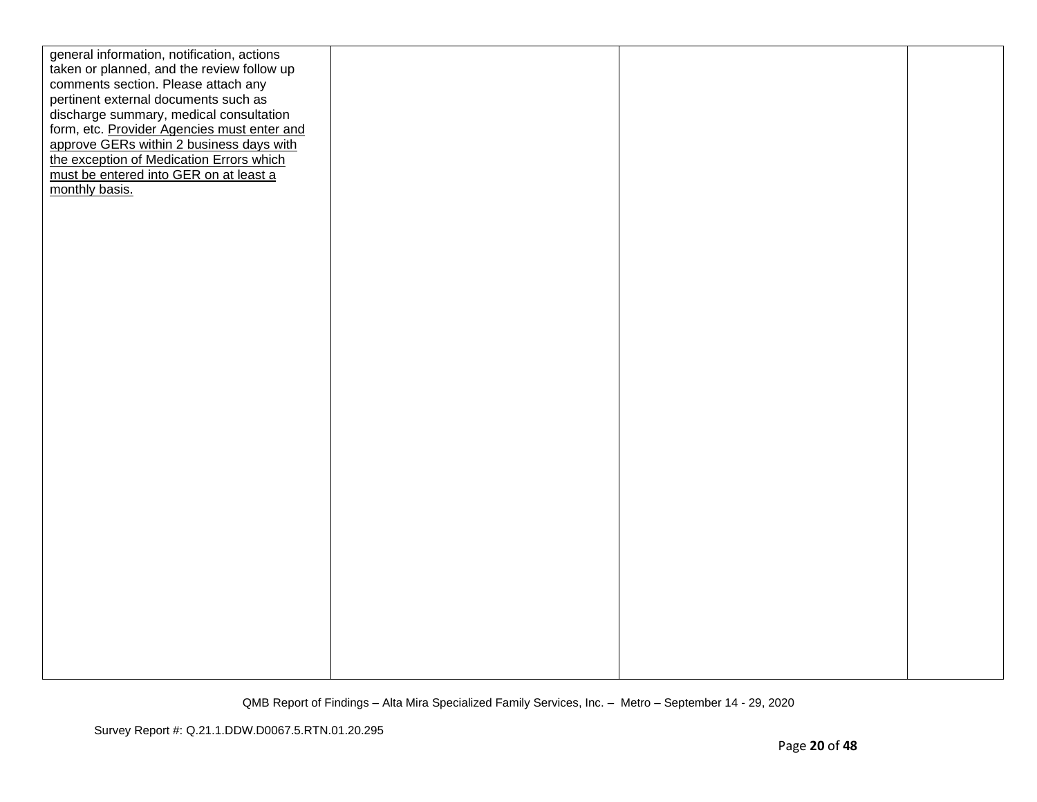| general information, notification, actions  |  |  |
|---------------------------------------------|--|--|
| taken or planned, and the review follow up  |  |  |
| comments section. Please attach any         |  |  |
| pertinent external documents such as        |  |  |
| discharge summary, medical consultation     |  |  |
| form, etc. Provider Agencies must enter and |  |  |
| approve GERs within 2 business days with    |  |  |
| the exception of Medication Errors which    |  |  |
| must be entered into GER on at least a      |  |  |
| monthly basis.                              |  |  |
|                                             |  |  |
|                                             |  |  |
|                                             |  |  |
|                                             |  |  |
|                                             |  |  |
|                                             |  |  |
|                                             |  |  |
|                                             |  |  |
|                                             |  |  |
|                                             |  |  |
|                                             |  |  |
|                                             |  |  |
|                                             |  |  |
|                                             |  |  |
|                                             |  |  |
|                                             |  |  |
|                                             |  |  |
|                                             |  |  |
|                                             |  |  |
|                                             |  |  |
|                                             |  |  |
|                                             |  |  |
|                                             |  |  |
|                                             |  |  |
|                                             |  |  |
|                                             |  |  |
|                                             |  |  |
|                                             |  |  |
|                                             |  |  |
|                                             |  |  |
|                                             |  |  |
|                                             |  |  |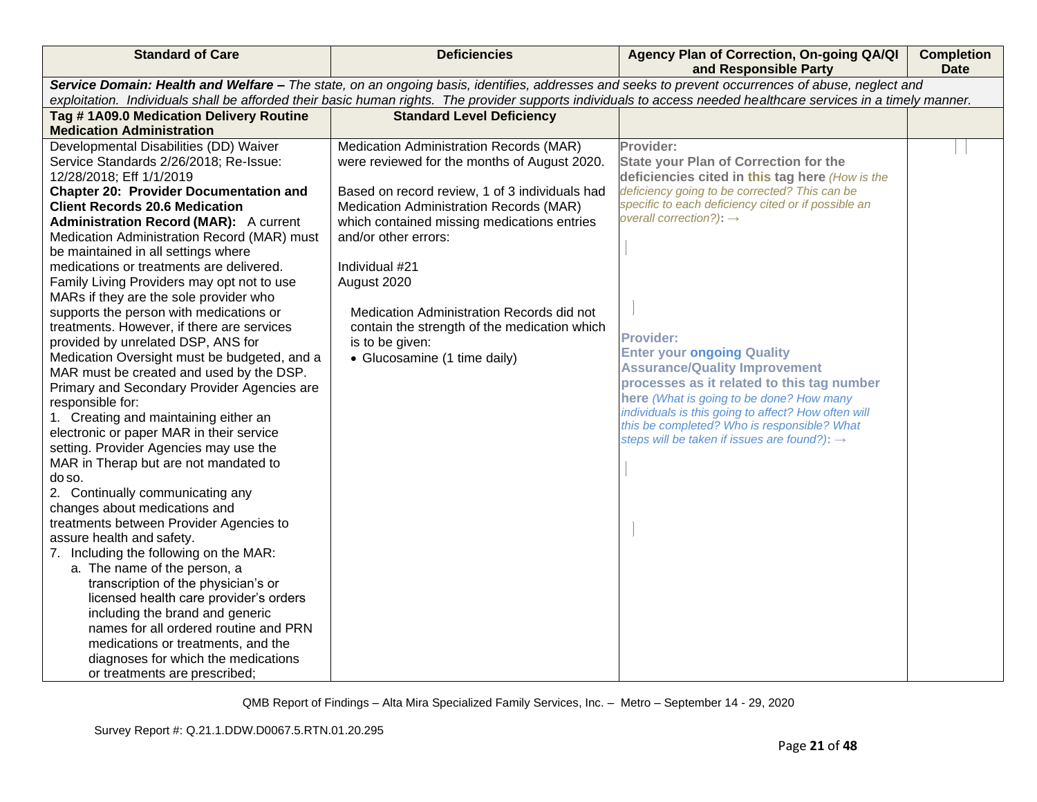| <b>Standard of Care</b>                                                                                                                                          | <b>Deficiencies</b>                                                                    | Agency Plan of Correction, On-going QA/QI<br>and Responsible Party                               | <b>Completion</b><br><b>Date</b> |  |  |
|------------------------------------------------------------------------------------------------------------------------------------------------------------------|----------------------------------------------------------------------------------------|--------------------------------------------------------------------------------------------------|----------------------------------|--|--|
| Service Domain: Health and Welfare - The state, on an ongoing basis, identifies, addresses and seeks to prevent occurrences of abuse, neglect and                |                                                                                        |                                                                                                  |                                  |  |  |
| exploitation. Individuals shall be afforded their basic human rights. The provider supports individuals to access needed healthcare services in a timely manner. |                                                                                        |                                                                                                  |                                  |  |  |
| Tag #1A09.0 Medication Delivery Routine                                                                                                                          | <b>Standard Level Deficiency</b>                                                       |                                                                                                  |                                  |  |  |
| <b>Medication Administration</b>                                                                                                                                 |                                                                                        |                                                                                                  |                                  |  |  |
| Developmental Disabilities (DD) Waiver                                                                                                                           | Medication Administration Records (MAR)                                                | Provider:                                                                                        |                                  |  |  |
| Service Standards 2/26/2018; Re-Issue:                                                                                                                           | were reviewed for the months of August 2020.                                           | <b>State your Plan of Correction for the</b>                                                     |                                  |  |  |
| 12/28/2018; Eff 1/1/2019                                                                                                                                         |                                                                                        | deficiencies cited in this tag here (How is the<br>deficiency going to be corrected? This can be |                                  |  |  |
| <b>Chapter 20: Provider Documentation and</b>                                                                                                                    | Based on record review, 1 of 3 individuals had                                         | specific to each deficiency cited or if possible an                                              |                                  |  |  |
| <b>Client Records 20.6 Medication</b><br><b>Administration Record (MAR):</b> A current                                                                           | Medication Administration Records (MAR)<br>which contained missing medications entries | overall correction?): $\rightarrow$                                                              |                                  |  |  |
| Medication Administration Record (MAR) must                                                                                                                      | and/or other errors:                                                                   |                                                                                                  |                                  |  |  |
| be maintained in all settings where                                                                                                                              |                                                                                        |                                                                                                  |                                  |  |  |
| medications or treatments are delivered.                                                                                                                         | Individual #21                                                                         |                                                                                                  |                                  |  |  |
| Family Living Providers may opt not to use                                                                                                                       | August 2020                                                                            |                                                                                                  |                                  |  |  |
| MARs if they are the sole provider who                                                                                                                           |                                                                                        |                                                                                                  |                                  |  |  |
| supports the person with medications or                                                                                                                          | Medication Administration Records did not                                              |                                                                                                  |                                  |  |  |
| treatments. However, if there are services                                                                                                                       | contain the strength of the medication which                                           |                                                                                                  |                                  |  |  |
| provided by unrelated DSP, ANS for                                                                                                                               | is to be given:                                                                        | <b>Provider:</b>                                                                                 |                                  |  |  |
| Medication Oversight must be budgeted, and a                                                                                                                     | • Glucosamine (1 time daily)                                                           | <b>Enter your ongoing Quality</b>                                                                |                                  |  |  |
| MAR must be created and used by the DSP.                                                                                                                         |                                                                                        | <b>Assurance/Quality Improvement</b><br>processes as it related to this tag number               |                                  |  |  |
| Primary and Secondary Provider Agencies are                                                                                                                      |                                                                                        | here (What is going to be done? How many                                                         |                                  |  |  |
| responsible for:                                                                                                                                                 |                                                                                        | individuals is this going to affect? How often will                                              |                                  |  |  |
| 1. Creating and maintaining either an                                                                                                                            |                                                                                        | this be completed? Who is responsible? What                                                      |                                  |  |  |
| electronic or paper MAR in their service                                                                                                                         |                                                                                        | steps will be taken if issues are found?): $\rightarrow$                                         |                                  |  |  |
| setting. Provider Agencies may use the<br>MAR in Therap but are not mandated to                                                                                  |                                                                                        |                                                                                                  |                                  |  |  |
| do so.                                                                                                                                                           |                                                                                        |                                                                                                  |                                  |  |  |
| 2. Continually communicating any                                                                                                                                 |                                                                                        |                                                                                                  |                                  |  |  |
| changes about medications and                                                                                                                                    |                                                                                        |                                                                                                  |                                  |  |  |
| treatments between Provider Agencies to                                                                                                                          |                                                                                        |                                                                                                  |                                  |  |  |
| assure health and safety.                                                                                                                                        |                                                                                        |                                                                                                  |                                  |  |  |
| 7. Including the following on the MAR:                                                                                                                           |                                                                                        |                                                                                                  |                                  |  |  |
| a. The name of the person, a                                                                                                                                     |                                                                                        |                                                                                                  |                                  |  |  |
| transcription of the physician's or                                                                                                                              |                                                                                        |                                                                                                  |                                  |  |  |
| licensed health care provider's orders                                                                                                                           |                                                                                        |                                                                                                  |                                  |  |  |
| including the brand and generic                                                                                                                                  |                                                                                        |                                                                                                  |                                  |  |  |
| names for all ordered routine and PRN                                                                                                                            |                                                                                        |                                                                                                  |                                  |  |  |
| medications or treatments, and the                                                                                                                               |                                                                                        |                                                                                                  |                                  |  |  |
| diagnoses for which the medications                                                                                                                              |                                                                                        |                                                                                                  |                                  |  |  |
| or treatments are prescribed;                                                                                                                                    |                                                                                        |                                                                                                  |                                  |  |  |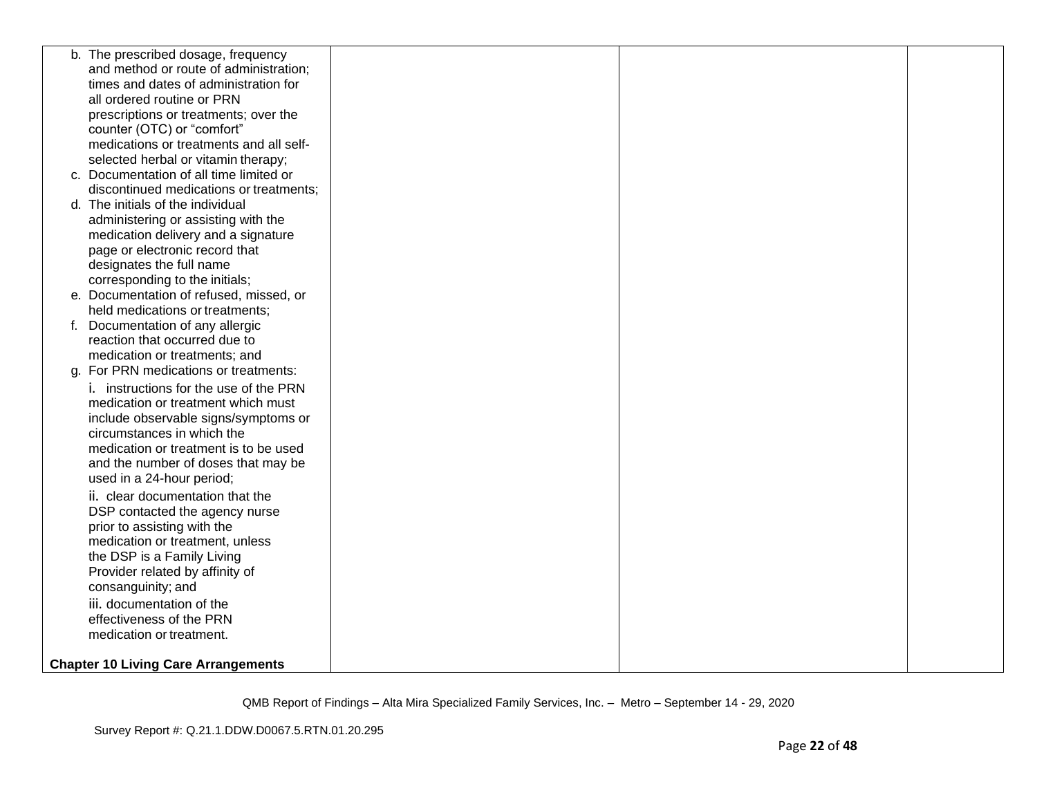| b. The prescribed dosage, frequency        |  |  |
|--------------------------------------------|--|--|
| and method or route of administration;     |  |  |
| times and dates of administration for      |  |  |
| all ordered routine or PRN                 |  |  |
| prescriptions or treatments; over the      |  |  |
| counter (OTC) or "comfort"                 |  |  |
| medications or treatments and all self-    |  |  |
| selected herbal or vitamin therapy;        |  |  |
| c. Documentation of all time limited or    |  |  |
| discontinued medications or treatments;    |  |  |
| d. The initials of the individual          |  |  |
| administering or assisting with the        |  |  |
| medication delivery and a signature        |  |  |
| page or electronic record that             |  |  |
| designates the full name                   |  |  |
| corresponding to the initials;             |  |  |
| e. Documentation of refused, missed, or    |  |  |
| held medications or treatments;            |  |  |
| f. Documentation of any allergic           |  |  |
| reaction that occurred due to              |  |  |
| medication or treatments; and              |  |  |
| g. For PRN medications or treatments:      |  |  |
| i. instructions for the use of the PRN     |  |  |
| medication or treatment which must         |  |  |
| include observable signs/symptoms or       |  |  |
| circumstances in which the                 |  |  |
| medication or treatment is to be used      |  |  |
| and the number of doses that may be        |  |  |
| used in a 24-hour period;                  |  |  |
| ii. clear documentation that the           |  |  |
| DSP contacted the agency nurse             |  |  |
| prior to assisting with the                |  |  |
| medication or treatment, unless            |  |  |
| the DSP is a Family Living                 |  |  |
| Provider related by affinity of            |  |  |
| consanguinity; and                         |  |  |
| iii. documentation of the                  |  |  |
| effectiveness of the PRN                   |  |  |
| medication or treatment.                   |  |  |
|                                            |  |  |
| <b>Chapter 10 Living Care Arrangements</b> |  |  |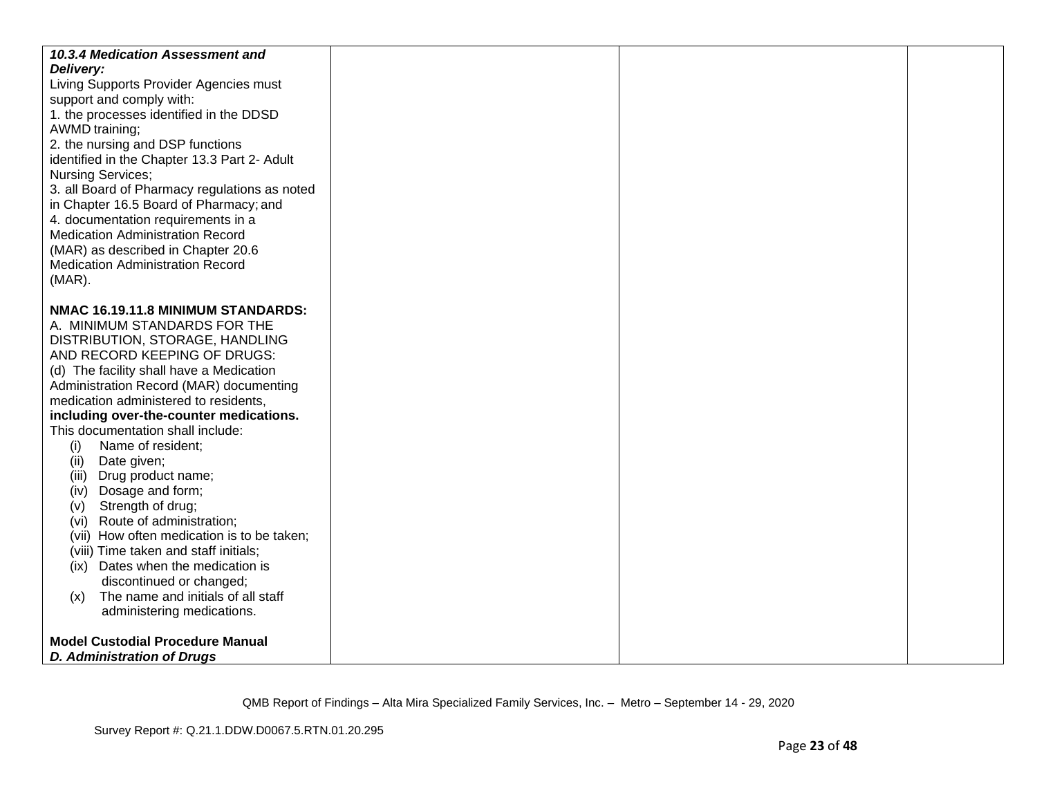| 10.3.4 Medication Assessment and<br>Delivery:<br>Living Supports Provider Agencies must<br>support and comply with:<br>1. the processes identified in the DDSD<br>AWMD training;<br>2. the nursing and DSP functions<br>identified in the Chapter 13.3 Part 2- Adult<br><b>Nursing Services;</b><br>3. all Board of Pharmacy regulations as noted<br>in Chapter 16.5 Board of Pharmacy; and<br>4. documentation requirements in a<br><b>Medication Administration Record</b><br>(MAR) as described in Chapter 20.6<br><b>Medication Administration Record</b><br>$(MAR)$ .<br>NMAC 16.19.11.8 MINIMUM STANDARDS: |  |
|------------------------------------------------------------------------------------------------------------------------------------------------------------------------------------------------------------------------------------------------------------------------------------------------------------------------------------------------------------------------------------------------------------------------------------------------------------------------------------------------------------------------------------------------------------------------------------------------------------------|--|
| A. MINIMUM STANDARDS FOR THE<br>DISTRIBUTION, STORAGE, HANDLING                                                                                                                                                                                                                                                                                                                                                                                                                                                                                                                                                  |  |
| AND RECORD KEEPING OF DRUGS:                                                                                                                                                                                                                                                                                                                                                                                                                                                                                                                                                                                     |  |
| (d) The facility shall have a Medication                                                                                                                                                                                                                                                                                                                                                                                                                                                                                                                                                                         |  |
| Administration Record (MAR) documenting                                                                                                                                                                                                                                                                                                                                                                                                                                                                                                                                                                          |  |
| medication administered to residents,                                                                                                                                                                                                                                                                                                                                                                                                                                                                                                                                                                            |  |
| including over-the-counter medications.<br>This documentation shall include:                                                                                                                                                                                                                                                                                                                                                                                                                                                                                                                                     |  |
| Name of resident;<br>(i)                                                                                                                                                                                                                                                                                                                                                                                                                                                                                                                                                                                         |  |
| Date given;<br>(ii)                                                                                                                                                                                                                                                                                                                                                                                                                                                                                                                                                                                              |  |
| (iii) Drug product name;                                                                                                                                                                                                                                                                                                                                                                                                                                                                                                                                                                                         |  |
| Dosage and form;<br>(iv)                                                                                                                                                                                                                                                                                                                                                                                                                                                                                                                                                                                         |  |
| Strength of drug;<br>(V)                                                                                                                                                                                                                                                                                                                                                                                                                                                                                                                                                                                         |  |
| Route of administration;<br>(Vi)<br>(vii) How often medication is to be taken;                                                                                                                                                                                                                                                                                                                                                                                                                                                                                                                                   |  |
| (viii) Time taken and staff initials;                                                                                                                                                                                                                                                                                                                                                                                                                                                                                                                                                                            |  |
| Dates when the medication is<br>(ix)                                                                                                                                                                                                                                                                                                                                                                                                                                                                                                                                                                             |  |
| discontinued or changed;                                                                                                                                                                                                                                                                                                                                                                                                                                                                                                                                                                                         |  |
| The name and initials of all staff<br>(x)                                                                                                                                                                                                                                                                                                                                                                                                                                                                                                                                                                        |  |
| administering medications.                                                                                                                                                                                                                                                                                                                                                                                                                                                                                                                                                                                       |  |
| <b>Model Custodial Procedure Manual</b>                                                                                                                                                                                                                                                                                                                                                                                                                                                                                                                                                                          |  |
| <b>D. Administration of Drugs</b>                                                                                                                                                                                                                                                                                                                                                                                                                                                                                                                                                                                |  |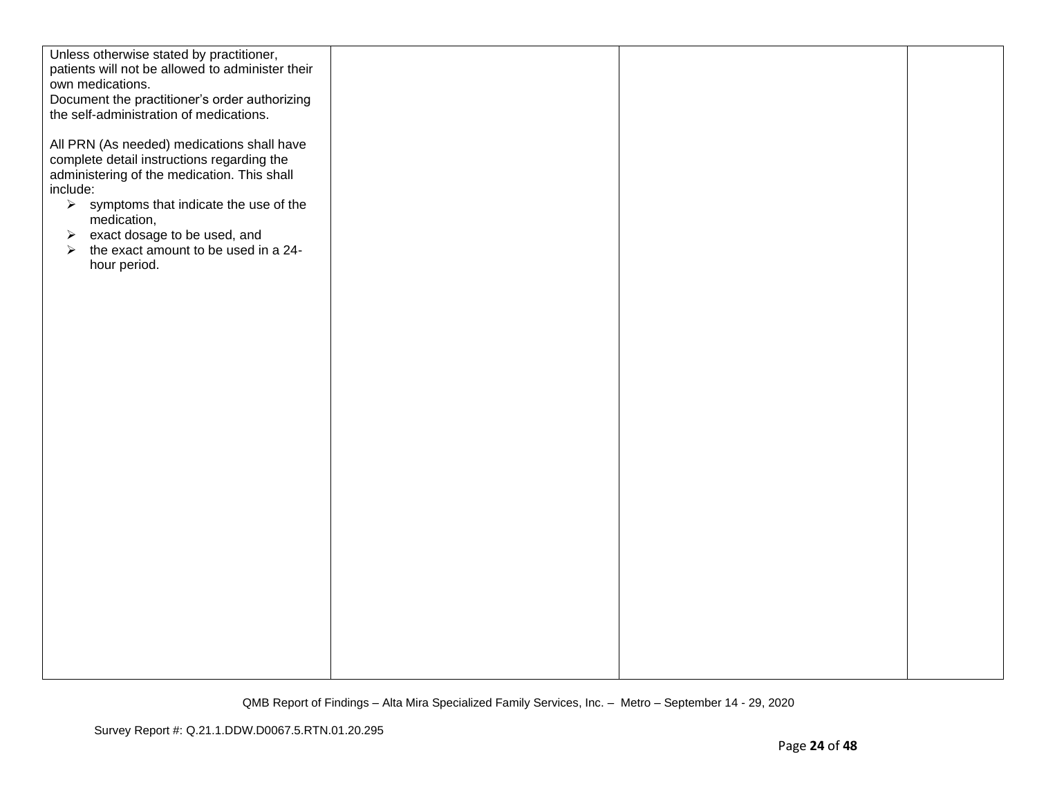| Unless otherwise stated by practitioner,                                                 |  |  |
|------------------------------------------------------------------------------------------|--|--|
| patients will not be allowed to administer their                                         |  |  |
| own medications.                                                                         |  |  |
| Document the practitioner's order authorizing<br>the self-administration of medications. |  |  |
|                                                                                          |  |  |
| All PRN (As needed) medications shall have                                               |  |  |
| complete detail instructions regarding the                                               |  |  |
| administering of the medication. This shall                                              |  |  |
| include:                                                                                 |  |  |
| $\triangleright$ symptoms that indicate the use of the                                   |  |  |
| medication,                                                                              |  |  |
| exact dosage to be used, and<br>$\blacktriangleright$                                    |  |  |
| $\triangleright$ the exact amount to be used in a 24-                                    |  |  |
| hour period.                                                                             |  |  |
|                                                                                          |  |  |
|                                                                                          |  |  |
|                                                                                          |  |  |
|                                                                                          |  |  |
|                                                                                          |  |  |
|                                                                                          |  |  |
|                                                                                          |  |  |
|                                                                                          |  |  |
|                                                                                          |  |  |
|                                                                                          |  |  |
|                                                                                          |  |  |
|                                                                                          |  |  |
|                                                                                          |  |  |
|                                                                                          |  |  |
|                                                                                          |  |  |
|                                                                                          |  |  |
|                                                                                          |  |  |
|                                                                                          |  |  |
|                                                                                          |  |  |
|                                                                                          |  |  |
|                                                                                          |  |  |
|                                                                                          |  |  |
|                                                                                          |  |  |
|                                                                                          |  |  |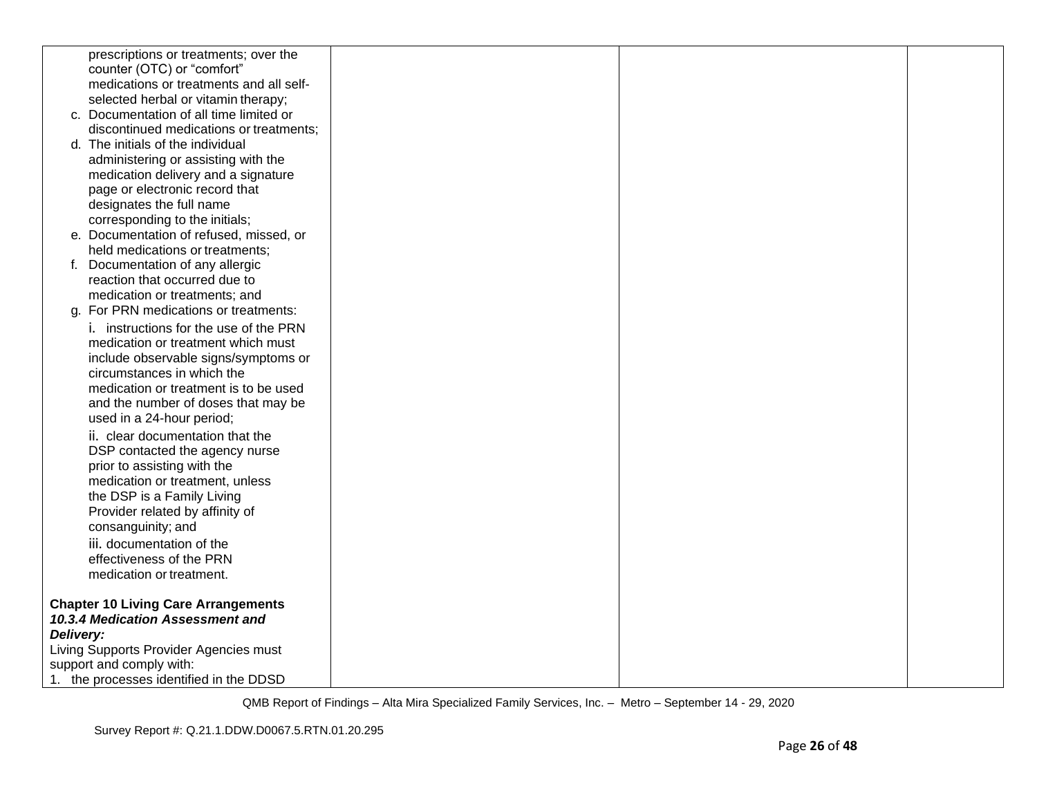| prescriptions or treatments; over the                                      |  |  |
|----------------------------------------------------------------------------|--|--|
| counter (OTC) or "comfort"                                                 |  |  |
| medications or treatments and all self-                                    |  |  |
| selected herbal or vitamin therapy;                                        |  |  |
| c. Documentation of all time limited or                                    |  |  |
| discontinued medications or treatments;                                    |  |  |
| d. The initials of the individual                                          |  |  |
| administering or assisting with the                                        |  |  |
| medication delivery and a signature                                        |  |  |
| page or electronic record that                                             |  |  |
| designates the full name                                                   |  |  |
| corresponding to the initials;                                             |  |  |
| e. Documentation of refused, missed, or<br>held medications or treatments; |  |  |
| f. Documentation of any allergic                                           |  |  |
| reaction that occurred due to                                              |  |  |
| medication or treatments; and                                              |  |  |
| For PRN medications or treatments:<br>a.                                   |  |  |
| i. instructions for the use of the PRN                                     |  |  |
| medication or treatment which must                                         |  |  |
| include observable signs/symptoms or                                       |  |  |
| circumstances in which the                                                 |  |  |
| medication or treatment is to be used                                      |  |  |
| and the number of doses that may be                                        |  |  |
| used in a 24-hour period;                                                  |  |  |
| ii. clear documentation that the                                           |  |  |
| DSP contacted the agency nurse                                             |  |  |
| prior to assisting with the                                                |  |  |
| medication or treatment, unless                                            |  |  |
| the DSP is a Family Living                                                 |  |  |
| Provider related by affinity of                                            |  |  |
| consanguinity; and                                                         |  |  |
| iii. documentation of the                                                  |  |  |
| effectiveness of the PRN                                                   |  |  |
| medication or treatment.                                                   |  |  |
|                                                                            |  |  |
| <b>Chapter 10 Living Care Arrangements</b>                                 |  |  |
| 10.3.4 Medication Assessment and                                           |  |  |
| Delivery:                                                                  |  |  |
| Living Supports Provider Agencies must                                     |  |  |
| support and comply with:                                                   |  |  |
| 1. the processes identified in the DDSD                                    |  |  |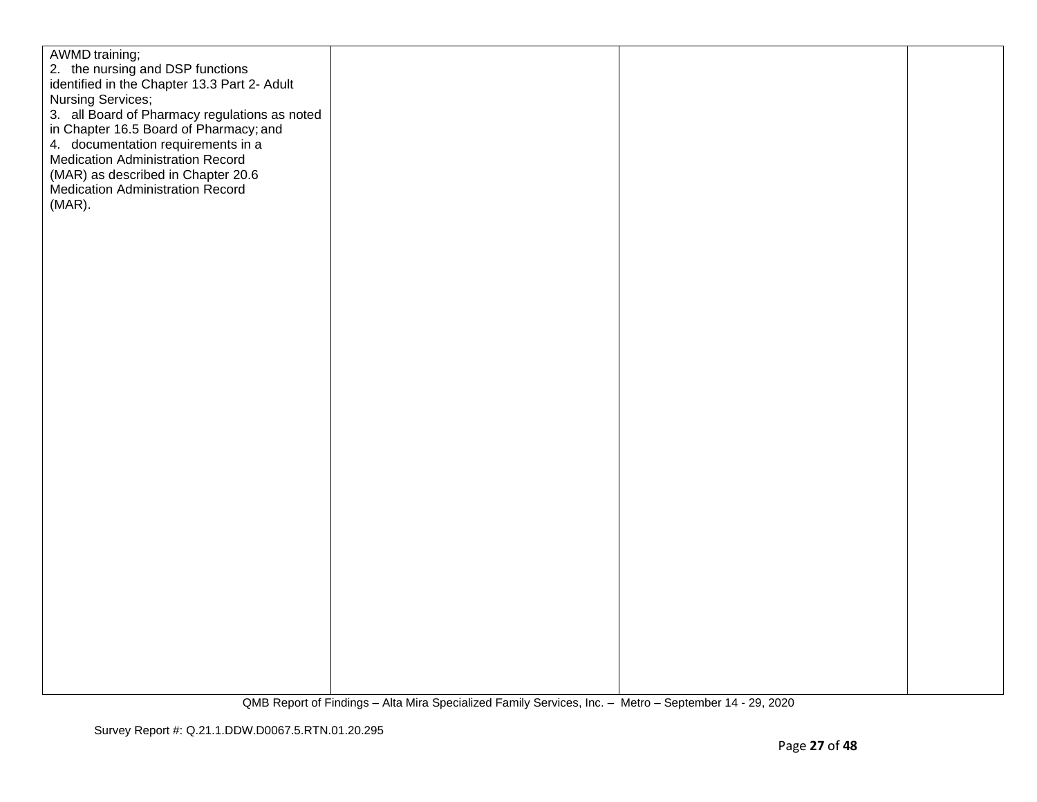| AWMD training;                                |  |  |
|-----------------------------------------------|--|--|
| 2. the nursing and DSP functions              |  |  |
| identified in the Chapter 13.3 Part 2- Adult  |  |  |
| Nursing Services;                             |  |  |
| 3. all Board of Pharmacy regulations as noted |  |  |
|                                               |  |  |
| in Chapter 16.5 Board of Pharmacy; and        |  |  |
| 4. documentation requirements in a            |  |  |
| <b>Medication Administration Record</b>       |  |  |
| (MAR) as described in Chapter 20.6            |  |  |
| Medication Administration Record              |  |  |
| (MAR).                                        |  |  |
|                                               |  |  |
|                                               |  |  |
|                                               |  |  |
|                                               |  |  |
|                                               |  |  |
|                                               |  |  |
|                                               |  |  |
|                                               |  |  |
|                                               |  |  |
|                                               |  |  |
|                                               |  |  |
|                                               |  |  |
|                                               |  |  |
|                                               |  |  |
|                                               |  |  |
|                                               |  |  |
|                                               |  |  |
|                                               |  |  |
|                                               |  |  |
|                                               |  |  |
|                                               |  |  |
|                                               |  |  |
|                                               |  |  |
|                                               |  |  |
|                                               |  |  |
|                                               |  |  |
|                                               |  |  |
|                                               |  |  |
|                                               |  |  |
|                                               |  |  |
|                                               |  |  |
|                                               |  |  |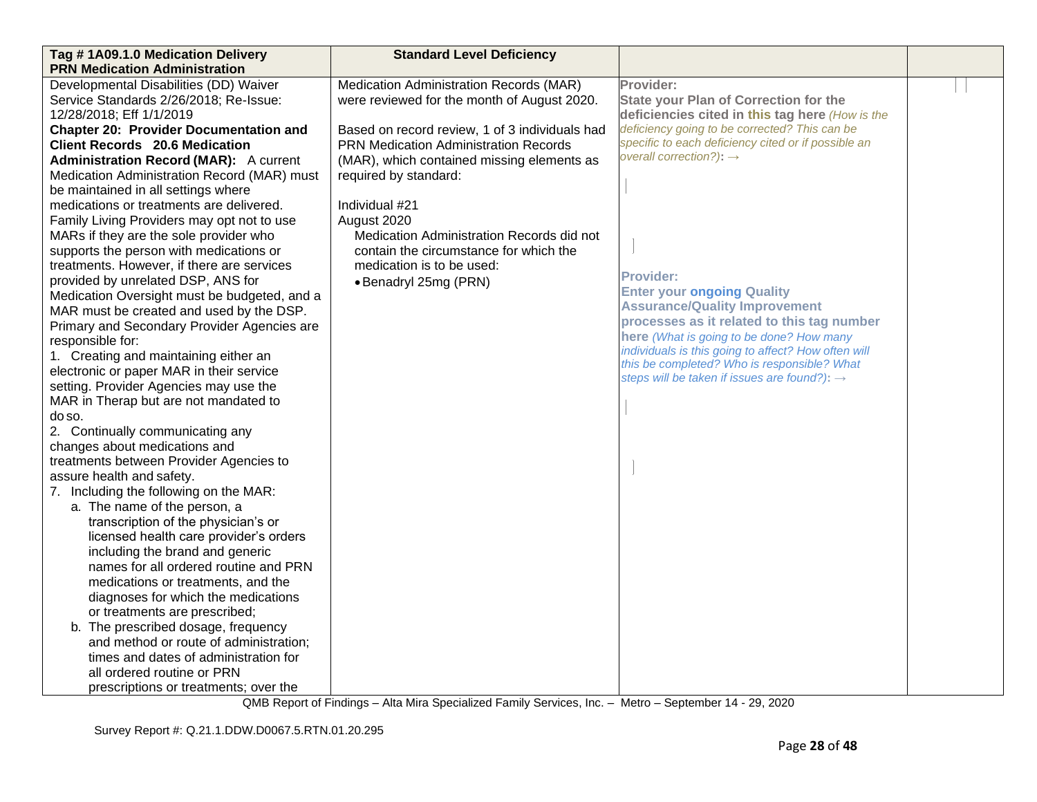| Tag #1A09.1.0 Medication Delivery             | <b>Standard Level Deficiency</b>               |                                                                                                    |  |
|-----------------------------------------------|------------------------------------------------|----------------------------------------------------------------------------------------------------|--|
| <b>PRN Medication Administration</b>          |                                                |                                                                                                    |  |
| Developmental Disabilities (DD) Waiver        | Medication Administration Records (MAR)        | Provider:                                                                                          |  |
| Service Standards 2/26/2018; Re-Issue:        | were reviewed for the month of August 2020.    | <b>State your Plan of Correction for the</b>                                                       |  |
| 12/28/2018; Eff 1/1/2019                      |                                                | deficiencies cited in this tag here (How is the                                                    |  |
| <b>Chapter 20: Provider Documentation and</b> | Based on record review, 1 of 3 individuals had | deficiency going to be corrected? This can be                                                      |  |
| <b>Client Records 20.6 Medication</b>         | <b>PRN Medication Administration Records</b>   | specific to each deficiency cited or if possible an                                                |  |
| <b>Administration Record (MAR):</b> A current | (MAR), which contained missing elements as     | overall correction?): $\rightarrow$                                                                |  |
| Medication Administration Record (MAR) must   | required by standard:                          |                                                                                                    |  |
| be maintained in all settings where           |                                                |                                                                                                    |  |
| medications or treatments are delivered.      | Individual #21                                 |                                                                                                    |  |
| Family Living Providers may opt not to use    | August 2020                                    |                                                                                                    |  |
| MARs if they are the sole provider who        | Medication Administration Records did not      |                                                                                                    |  |
| supports the person with medications or       | contain the circumstance for which the         |                                                                                                    |  |
| treatments. However, if there are services    | medication is to be used:                      |                                                                                                    |  |
| provided by unrelated DSP, ANS for            | • Benadryl 25mg (PRN)                          | <b>Provider:</b>                                                                                   |  |
| Medication Oversight must be budgeted, and a  |                                                | <b>Enter your ongoing Quality</b>                                                                  |  |
| MAR must be created and used by the DSP.      |                                                | <b>Assurance/Quality Improvement</b>                                                               |  |
| Primary and Secondary Provider Agencies are   |                                                | processes as it related to this tag number                                                         |  |
| responsible for:                              |                                                | here (What is going to be done? How many                                                           |  |
| 1. Creating and maintaining either an         |                                                | individuals is this going to affect? How often will<br>this be completed? Who is responsible? What |  |
| electronic or paper MAR in their service      |                                                | steps will be taken if issues are found?): $\rightarrow$                                           |  |
| setting. Provider Agencies may use the        |                                                |                                                                                                    |  |
| MAR in Therap but are not mandated to         |                                                |                                                                                                    |  |
| do so.                                        |                                                |                                                                                                    |  |
| 2. Continually communicating any              |                                                |                                                                                                    |  |
| changes about medications and                 |                                                |                                                                                                    |  |
| treatments between Provider Agencies to       |                                                |                                                                                                    |  |
| assure health and safety.                     |                                                |                                                                                                    |  |
| 7. Including the following on the MAR:        |                                                |                                                                                                    |  |
| a. The name of the person, a                  |                                                |                                                                                                    |  |
| transcription of the physician's or           |                                                |                                                                                                    |  |
| licensed health care provider's orders        |                                                |                                                                                                    |  |
| including the brand and generic               |                                                |                                                                                                    |  |
| names for all ordered routine and PRN         |                                                |                                                                                                    |  |
| medications or treatments, and the            |                                                |                                                                                                    |  |
| diagnoses for which the medications           |                                                |                                                                                                    |  |
| or treatments are prescribed;                 |                                                |                                                                                                    |  |
| b. The prescribed dosage, frequency           |                                                |                                                                                                    |  |
| and method or route of administration;        |                                                |                                                                                                    |  |
| times and dates of administration for         |                                                |                                                                                                    |  |
| all ordered routine or PRN                    |                                                |                                                                                                    |  |
| prescriptions or treatments; over the         |                                                |                                                                                                    |  |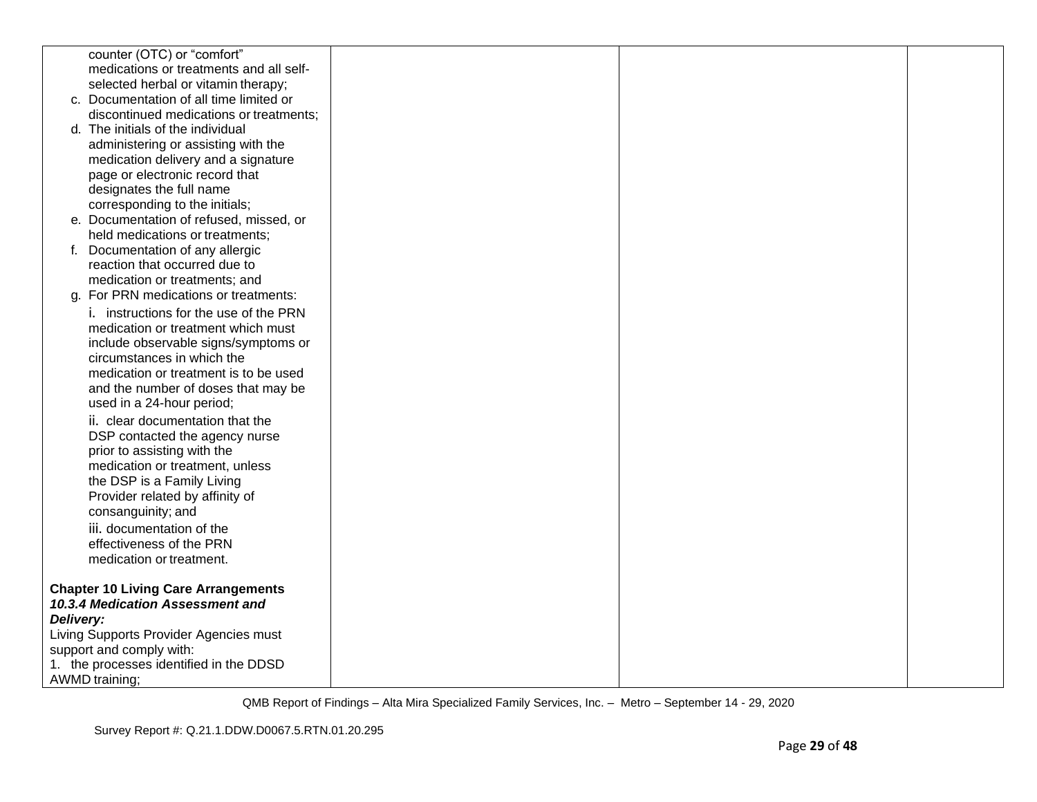|           | counter (OTC) or "comfort"                                     |  |  |
|-----------|----------------------------------------------------------------|--|--|
|           | medications or treatments and all self-                        |  |  |
|           | selected herbal or vitamin therapy;                            |  |  |
|           | c. Documentation of all time limited or                        |  |  |
|           | discontinued medications or treatments;                        |  |  |
|           | d. The initials of the individual                              |  |  |
|           | administering or assisting with the                            |  |  |
|           | medication delivery and a signature                            |  |  |
|           | page or electronic record that                                 |  |  |
|           | designates the full name                                       |  |  |
|           | corresponding to the initials;                                 |  |  |
|           | e. Documentation of refused, missed, or                        |  |  |
|           | held medications or treatments;                                |  |  |
|           | f. Documentation of any allergic                               |  |  |
|           | reaction that occurred due to                                  |  |  |
|           | medication or treatments; and                                  |  |  |
|           | g. For PRN medications or treatments:                          |  |  |
|           | i. instructions for the use of the PRN                         |  |  |
|           | medication or treatment which must                             |  |  |
|           | include observable signs/symptoms or                           |  |  |
|           | circumstances in which the                                     |  |  |
|           | medication or treatment is to be used                          |  |  |
|           | and the number of doses that may be                            |  |  |
|           | used in a 24-hour period;                                      |  |  |
|           | ii. clear documentation that the                               |  |  |
|           | DSP contacted the agency nurse                                 |  |  |
|           | prior to assisting with the<br>medication or treatment, unless |  |  |
|           | the DSP is a Family Living                                     |  |  |
|           | Provider related by affinity of                                |  |  |
|           | consanguinity; and                                             |  |  |
|           | iii. documentation of the                                      |  |  |
|           | effectiveness of the PRN                                       |  |  |
|           | medication or treatment.                                       |  |  |
|           |                                                                |  |  |
|           | <b>Chapter 10 Living Care Arrangements</b>                     |  |  |
|           | 10.3.4 Medication Assessment and                               |  |  |
| Delivery: |                                                                |  |  |
|           | Living Supports Provider Agencies must                         |  |  |
|           | support and comply with:                                       |  |  |
|           | 1. the processes identified in the DDSD                        |  |  |
|           | <b>AWMD</b> training;                                          |  |  |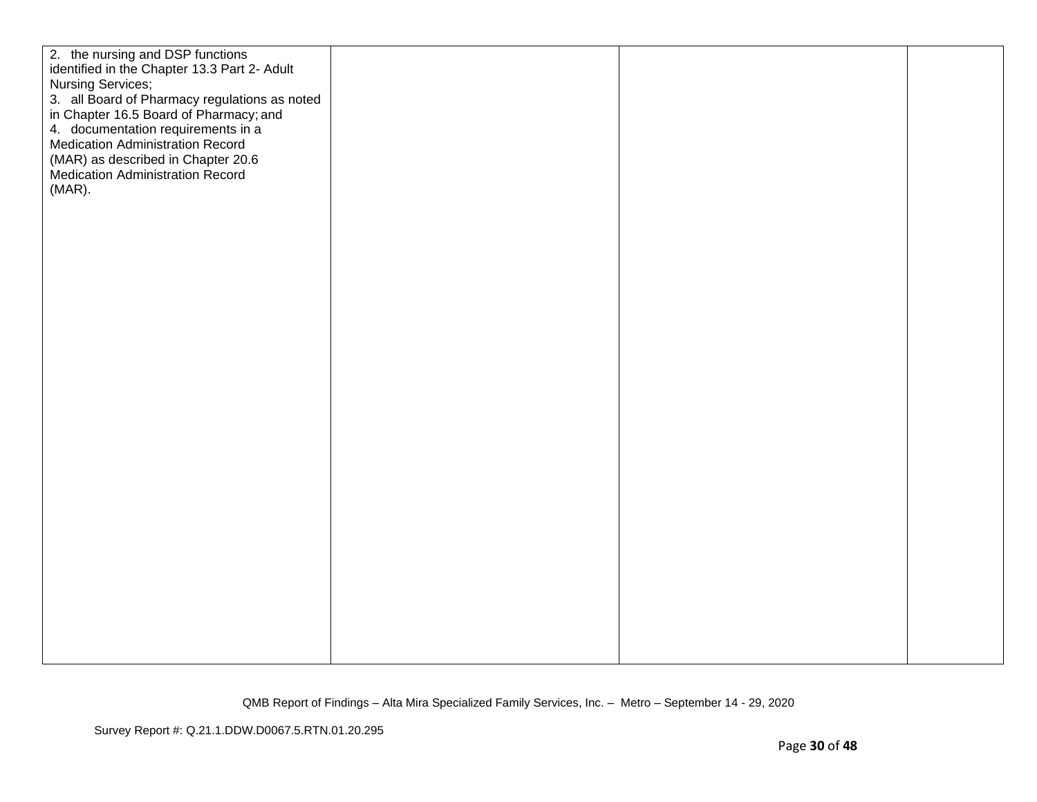| 2. the nursing and DSP functions<br>identified in the Chapter 13.3 Part 2- Adult<br>Nursing Services;<br>3. all Board of Pharmacy regulations as noted<br>in Chapter 16.5 Board of Pharmacy; and<br>4. documentation requirements in a<br><b>Medication Administration Record</b><br>(MAR) as described in Chapter 20.6<br><b>Medication Administration Record</b><br>$(MAR)$ . |  |
|---------------------------------------------------------------------------------------------------------------------------------------------------------------------------------------------------------------------------------------------------------------------------------------------------------------------------------------------------------------------------------|--|
|                                                                                                                                                                                                                                                                                                                                                                                 |  |
|                                                                                                                                                                                                                                                                                                                                                                                 |  |
|                                                                                                                                                                                                                                                                                                                                                                                 |  |
|                                                                                                                                                                                                                                                                                                                                                                                 |  |
|                                                                                                                                                                                                                                                                                                                                                                                 |  |
|                                                                                                                                                                                                                                                                                                                                                                                 |  |
|                                                                                                                                                                                                                                                                                                                                                                                 |  |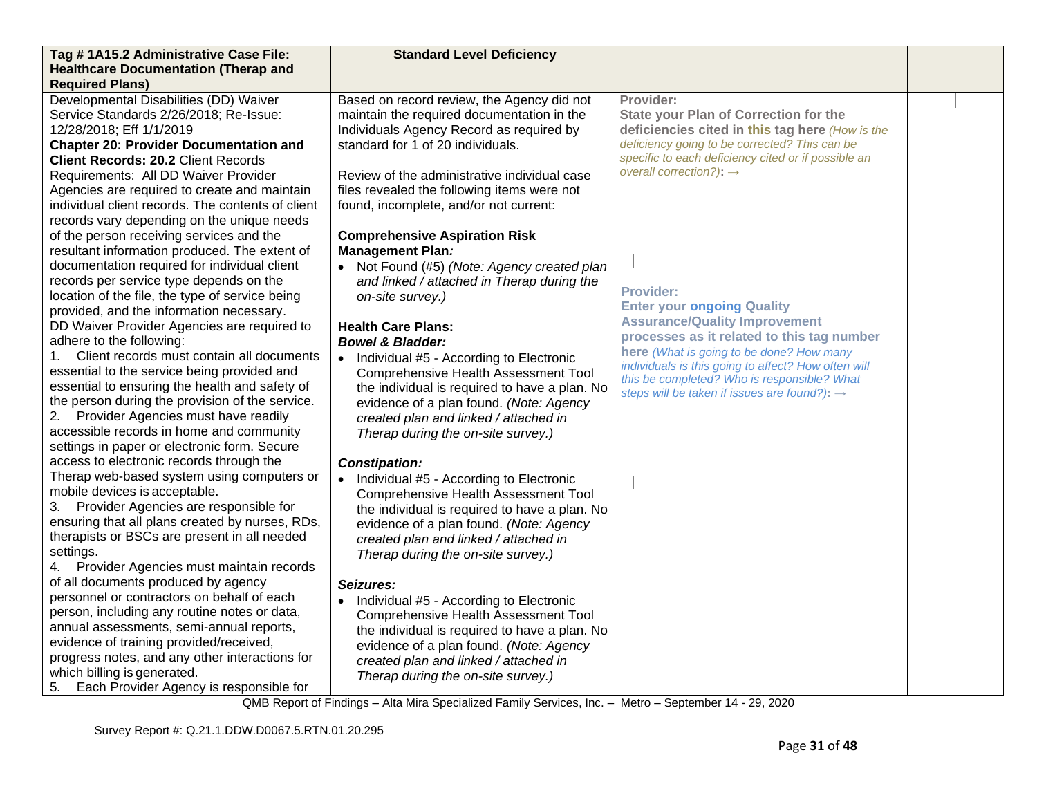| Tag #1A15.2 Administrative Case File:                                                    | <b>Standard Level Deficiency</b>              |                                                                           |  |
|------------------------------------------------------------------------------------------|-----------------------------------------------|---------------------------------------------------------------------------|--|
| <b>Healthcare Documentation (Therap and</b>                                              |                                               |                                                                           |  |
| <b>Required Plans)</b>                                                                   |                                               |                                                                           |  |
| Developmental Disabilities (DD) Waiver                                                   | Based on record review, the Agency did not    | Provider:                                                                 |  |
| Service Standards 2/26/2018; Re-Issue:                                                   | maintain the required documentation in the    | <b>State your Plan of Correction for the</b>                              |  |
| 12/28/2018; Eff 1/1/2019                                                                 | Individuals Agency Record as required by      | deficiencies cited in this tag here (How is the                           |  |
| <b>Chapter 20: Provider Documentation and</b>                                            | standard for 1 of 20 individuals.             | deficiency going to be corrected? This can be                             |  |
| <b>Client Records: 20.2 Client Records</b>                                               |                                               | specific to each deficiency cited or if possible an                       |  |
| Requirements: All DD Waiver Provider                                                     | Review of the administrative individual case  | overall correction?): $\rightarrow$                                       |  |
| Agencies are required to create and maintain                                             | files revealed the following items were not   |                                                                           |  |
| individual client records. The contents of client                                        | found, incomplete, and/or not current:        |                                                                           |  |
| records vary depending on the unique needs                                               |                                               |                                                                           |  |
| of the person receiving services and the                                                 | <b>Comprehensive Aspiration Risk</b>          |                                                                           |  |
| resultant information produced. The extent of                                            | <b>Management Plan:</b>                       |                                                                           |  |
| documentation required for individual client                                             | • Not Found (#5) (Note: Agency created plan   |                                                                           |  |
| records per service type depends on the                                                  | and linked / attached in Therap during the    |                                                                           |  |
| location of the file, the type of service being                                          | on-site survey.)                              | <b>Provider:</b>                                                          |  |
| provided, and the information necessary.                                                 |                                               | <b>Enter your ongoing Quality</b><br><b>Assurance/Quality Improvement</b> |  |
| DD Waiver Provider Agencies are required to                                              | <b>Health Care Plans:</b>                     | processes as it related to this tag number                                |  |
| adhere to the following:                                                                 | <b>Bowel &amp; Bladder:</b>                   | here (What is going to be done? How many                                  |  |
| Client records must contain all documents<br>1.                                          | • Individual #5 - According to Electronic     | individuals is this going to affect? How often will                       |  |
| essential to the service being provided and                                              | <b>Comprehensive Health Assessment Tool</b>   | this be completed? Who is responsible? What                               |  |
| essential to ensuring the health and safety of                                           | the individual is required to have a plan. No | steps will be taken if issues are found?): $\rightarrow$                  |  |
| the person during the provision of the service.                                          | evidence of a plan found. (Note: Agency       |                                                                           |  |
| 2.<br>Provider Agencies must have readily                                                | created plan and linked / attached in         |                                                                           |  |
| accessible records in home and community                                                 | Therap during the on-site survey.)            |                                                                           |  |
| settings in paper or electronic form. Secure                                             |                                               |                                                                           |  |
| access to electronic records through the                                                 | <b>Constipation:</b>                          |                                                                           |  |
| Therap web-based system using computers or                                               | • Individual #5 - According to Electronic     |                                                                           |  |
| mobile devices is acceptable.                                                            | <b>Comprehensive Health Assessment Tool</b>   |                                                                           |  |
| 3. Provider Agencies are responsible for                                                 | the individual is required to have a plan. No |                                                                           |  |
| ensuring that all plans created by nurses, RDs,                                          | evidence of a plan found. (Note: Agency       |                                                                           |  |
| therapists or BSCs are present in all needed                                             | created plan and linked / attached in         |                                                                           |  |
| settings.                                                                                | Therap during the on-site survey.)            |                                                                           |  |
| Provider Agencies must maintain records                                                  |                                               |                                                                           |  |
| of all documents produced by agency<br>personnel or contractors on behalf of each        | Seizures:                                     |                                                                           |  |
|                                                                                          | • Individual #5 - According to Electronic     |                                                                           |  |
| person, including any routine notes or data,<br>annual assessments, semi-annual reports, | Comprehensive Health Assessment Tool          |                                                                           |  |
| evidence of training provided/received,                                                  | the individual is required to have a plan. No |                                                                           |  |
| progress notes, and any other interactions for                                           | evidence of a plan found. (Note: Agency       |                                                                           |  |
| which billing is generated.                                                              | created plan and linked / attached in         |                                                                           |  |
| 5.<br>Each Provider Agency is responsible for                                            | Therap during the on-site survey.)            |                                                                           |  |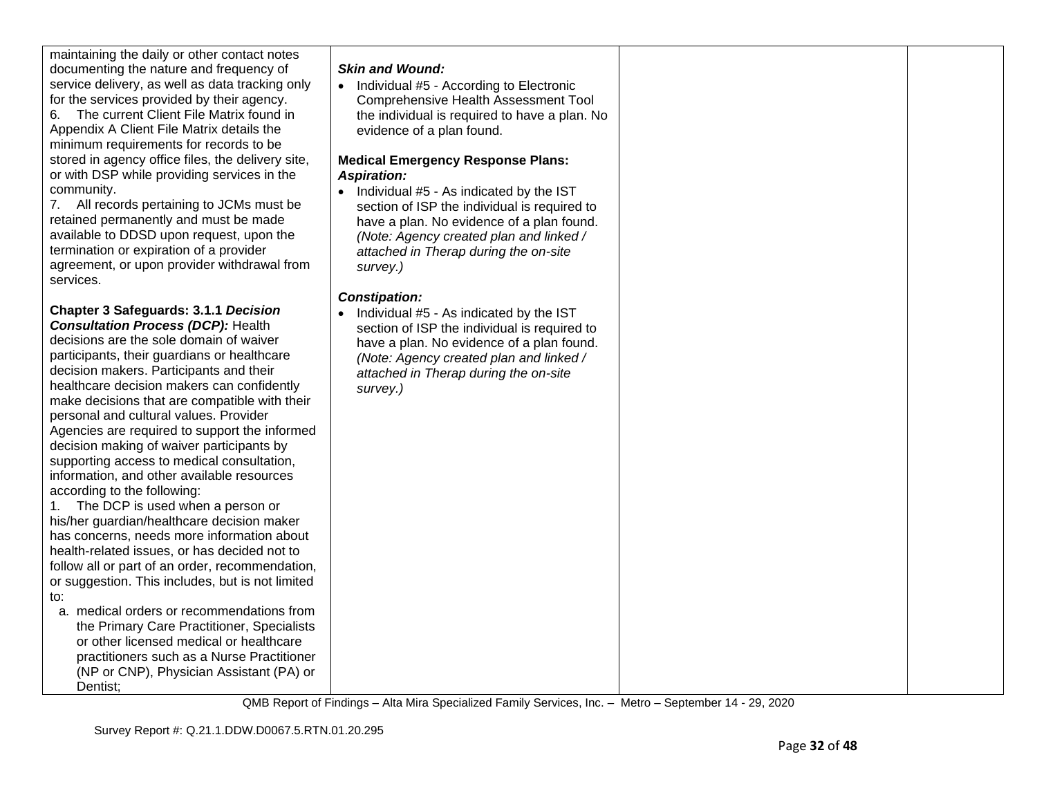maintaining the daily or other contact notes documenting the nature and frequency of service delivery, as well as data tracking only for the services provided by their agency.

6. The current Client File Matrix found in Appendix A Client File Matrix details the minimum requirements for records to be stored in agency office files, the delivery site, or with DSP while providing services in the community.

7. All records pertaining to JCMs must be retained permanently and must be made available to DDSD upon request, upon the termination or expiration of a provider agreement, or upon provider withdrawal from services.

### **Chapter 3 Safeguards: 3.1.1** *Decision Consultation Process (DCP):* Health decisions are the sole domain of waiver participants, their guardians or healthcare decision makers. Participants and their healthcare decision makers can confidently make decisions that are compatible with their personal and cultural values. Provider Agencies are required to support the informed decision making of waiver participants by supporting access to medical consultation, information, and other available resources according to the following:

1. The DCP is used when a person or his/her guardian/healthcare decision maker has concerns, needs more information about health-related issues, or has decided not to follow all or part of an order, recommendation, or suggestion. This includes, but is not limited to:

a. medical orders or recommendations from the Primary Care Practitioner, Specialists or other licensed medical or healthcare practitioners such as a Nurse Practitioner (NP or CNP), Physician Assistant (PA) or Dentist;

# *Skin and Wound:*

• Individual #5 - According to Electronic Comprehensive Health Assessment Tool the individual is required to have a plan. No evidence of a plan found.

#### **Medical Emergency Response Plans:** *Aspiration:*

• Individual #5 - As indicated by the IST section of ISP the individual is required to have a plan. No evidence of a plan found. *(Note: Agency created plan and linked / attached in Therap during the on-site survey.)*

# *Constipation:*

• Individual #5 - As indicated by the IST section of ISP the individual is required to have a plan. No evidence of a plan found. *(Note: Agency created plan and linked / attached in Therap during the on-site survey.)*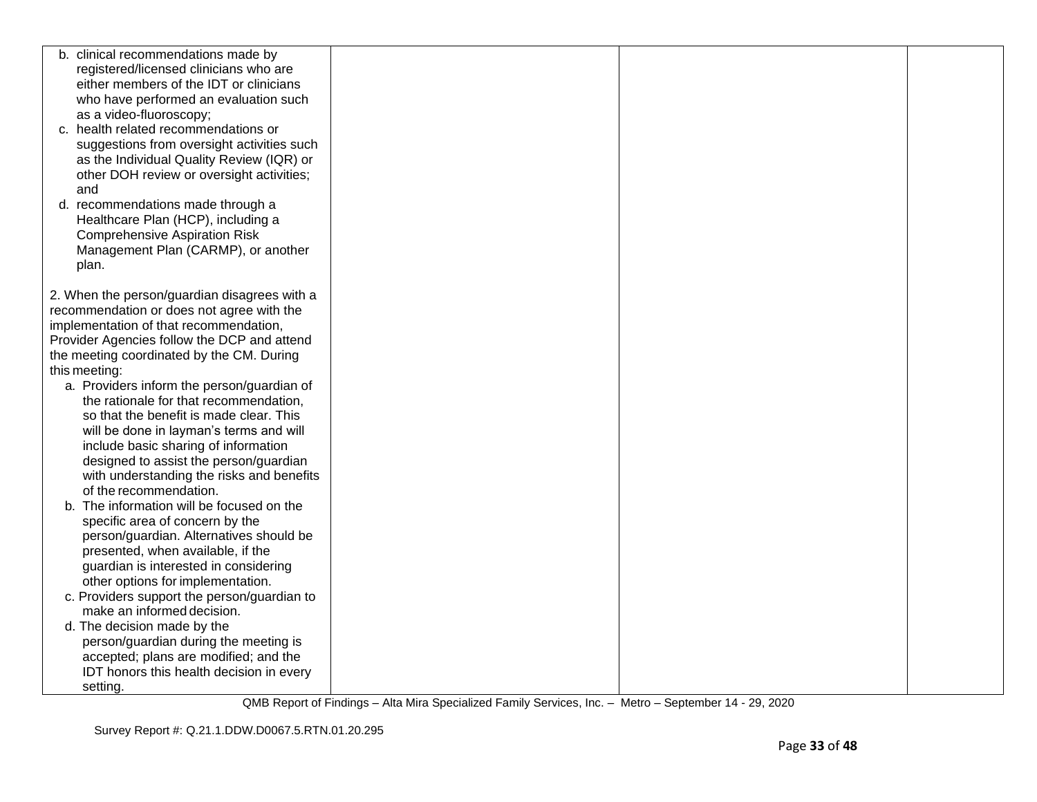| b. clinical recommendations made by          |  |  |
|----------------------------------------------|--|--|
| registered/licensed clinicians who are       |  |  |
| either members of the IDT or clinicians      |  |  |
| who have performed an evaluation such        |  |  |
| as a video-fluoroscopy;                      |  |  |
| c. health related recommendations or         |  |  |
| suggestions from oversight activities such   |  |  |
| as the Individual Quality Review (IQR) or    |  |  |
| other DOH review or oversight activities;    |  |  |
| and                                          |  |  |
| d. recommendations made through a            |  |  |
|                                              |  |  |
| Healthcare Plan (HCP), including a           |  |  |
| <b>Comprehensive Aspiration Risk</b>         |  |  |
| Management Plan (CARMP), or another          |  |  |
| plan.                                        |  |  |
|                                              |  |  |
| 2. When the person/guardian disagrees with a |  |  |
| recommendation or does not agree with the    |  |  |
| implementation of that recommendation,       |  |  |
| Provider Agencies follow the DCP and attend  |  |  |
| the meeting coordinated by the CM. During    |  |  |
| this meeting:                                |  |  |
| a. Providers inform the person/guardian of   |  |  |
| the rationale for that recommendation,       |  |  |
| so that the benefit is made clear. This      |  |  |
| will be done in layman's terms and will      |  |  |
| include basic sharing of information         |  |  |
| designed to assist the person/guardian       |  |  |
| with understanding the risks and benefits    |  |  |
| of the recommendation.                       |  |  |
| The information will be focused on the<br>b. |  |  |
| specific area of concern by the              |  |  |
| person/guardian. Alternatives should be      |  |  |
| presented, when available, if the            |  |  |
| guardian is interested in considering        |  |  |
| other options for implementation.            |  |  |
| c. Providers support the person/guardian to  |  |  |
| make an informed decision.                   |  |  |
| d. The decision made by the                  |  |  |
| person/guardian during the meeting is        |  |  |
| accepted; plans are modified; and the        |  |  |
| IDT honors this health decision in every     |  |  |
| setting.                                     |  |  |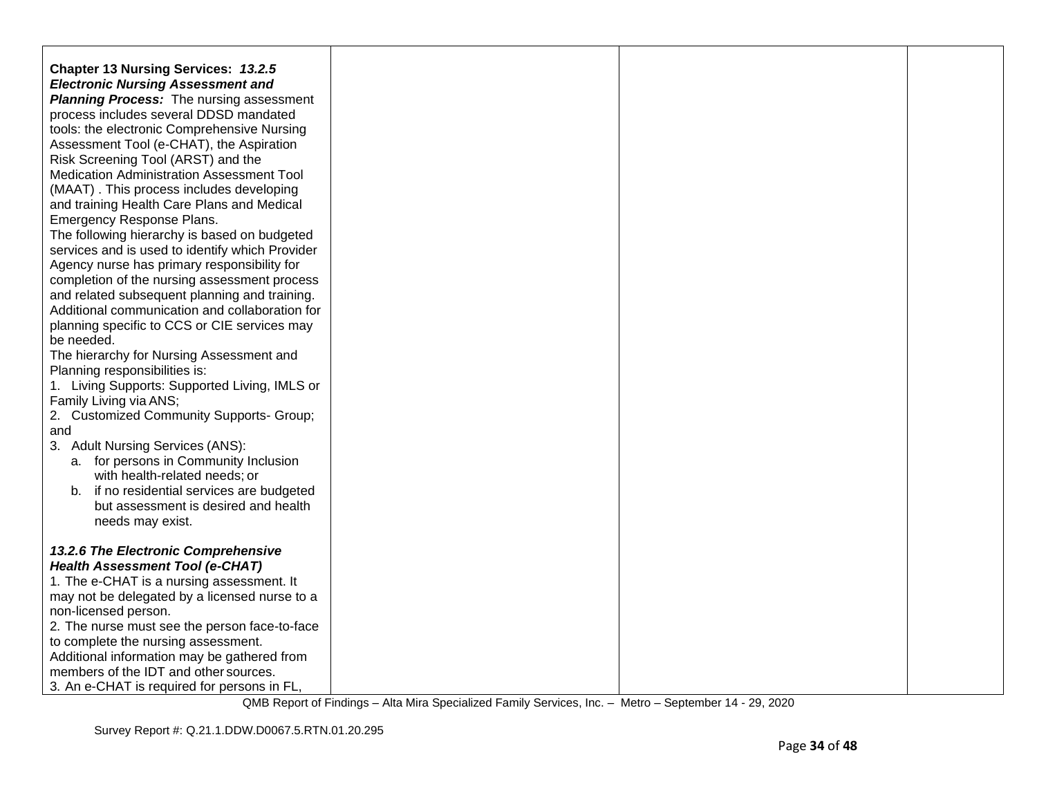| <b>Chapter 13 Nursing Services: 13.2.5</b><br><b>Electronic Nursing Assessment and</b><br><b>Planning Process:</b> The nursing assessment<br>process includes several DDSD mandated<br>tools: the electronic Comprehensive Nursing |  |  |
|------------------------------------------------------------------------------------------------------------------------------------------------------------------------------------------------------------------------------------|--|--|
| Assessment Tool (e-CHAT), the Aspiration<br>Risk Screening Tool (ARST) and the<br>Medication Administration Assessment Tool<br>(MAAT). This process includes developing                                                            |  |  |
| and training Health Care Plans and Medical<br>Emergency Response Plans.<br>The following hierarchy is based on budgeted                                                                                                            |  |  |
| services and is used to identify which Provider<br>Agency nurse has primary responsibility for<br>completion of the nursing assessment process                                                                                     |  |  |
| and related subsequent planning and training.<br>Additional communication and collaboration for<br>planning specific to CCS or CIE services may                                                                                    |  |  |
| be needed.<br>The hierarchy for Nursing Assessment and<br>Planning responsibilities is:                                                                                                                                            |  |  |
| 1. Living Supports: Supported Living, IMLS or<br>Family Living via ANS;<br>2. Customized Community Supports- Group;                                                                                                                |  |  |
| and<br>3. Adult Nursing Services (ANS):<br>a. for persons in Community Inclusion                                                                                                                                                   |  |  |
| with health-related needs; or<br>b. if no residential services are budgeted<br>but assessment is desired and health<br>needs may exist.                                                                                            |  |  |
| 13.2.6 The Electronic Comprehensive<br><b>Health Assessment Tool (e-CHAT)</b>                                                                                                                                                      |  |  |
| 1. The e-CHAT is a nursing assessment. It<br>may not be delegated by a licensed nurse to a<br>non-licensed person.                                                                                                                 |  |  |
| 2. The nurse must see the person face-to-face<br>to complete the nursing assessment.<br>Additional information may be gathered from                                                                                                |  |  |
| members of the IDT and other sources.<br>3. An e-CHAT is required for persons in FL,                                                                                                                                               |  |  |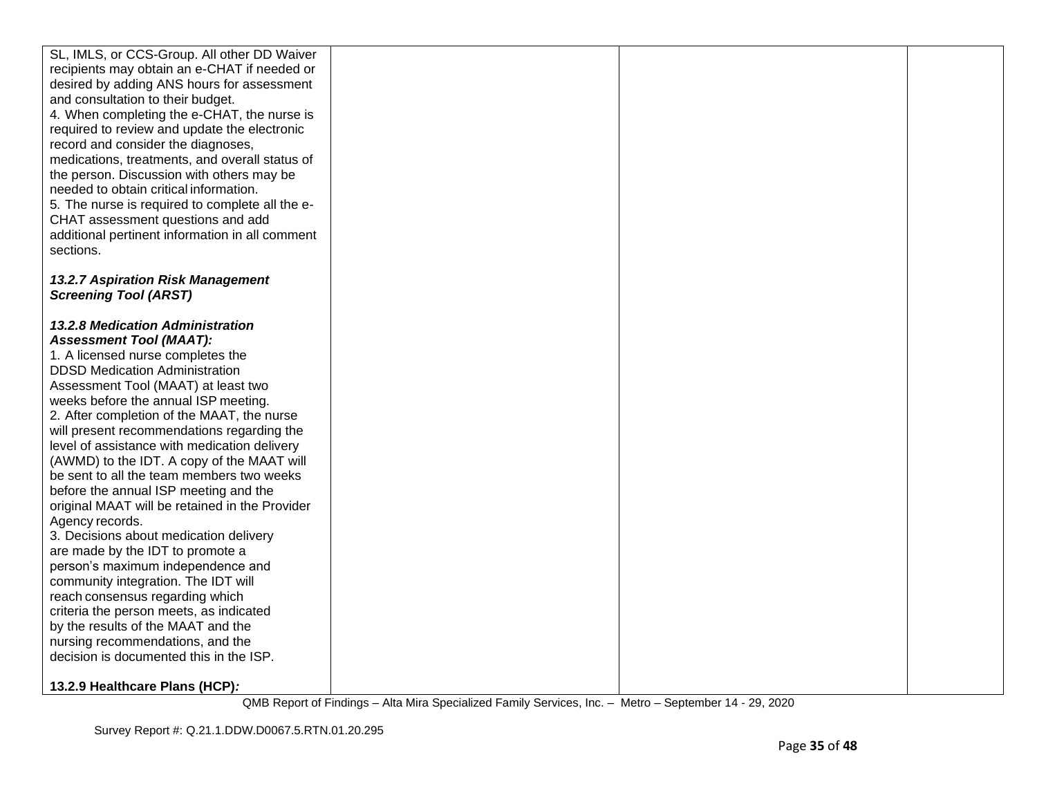| SL, IMLS, or CCS-Group. All other DD Waiver<br>recipients may obtain an e-CHAT if needed or<br>desired by adding ANS hours for assessment<br>and consultation to their budget.<br>4. When completing the e-CHAT, the nurse is<br>required to review and update the electronic<br>record and consider the diagnoses,<br>medications, treatments, and overall status of<br>the person. Discussion with others may be<br>needed to obtain critical information.<br>5. The nurse is required to complete all the e-<br>CHAT assessment questions and add<br>additional pertinent information in all comment<br>sections.                                                                                                                                                                                                                                                                                                                              |  |  |
|---------------------------------------------------------------------------------------------------------------------------------------------------------------------------------------------------------------------------------------------------------------------------------------------------------------------------------------------------------------------------------------------------------------------------------------------------------------------------------------------------------------------------------------------------------------------------------------------------------------------------------------------------------------------------------------------------------------------------------------------------------------------------------------------------------------------------------------------------------------------------------------------------------------------------------------------------|--|--|
| 13.2.7 Aspiration Risk Management<br><b>Screening Tool (ARST)</b>                                                                                                                                                                                                                                                                                                                                                                                                                                                                                                                                                                                                                                                                                                                                                                                                                                                                                 |  |  |
|                                                                                                                                                                                                                                                                                                                                                                                                                                                                                                                                                                                                                                                                                                                                                                                                                                                                                                                                                   |  |  |
| 13.2.8 Medication Administration<br><b>Assessment Tool (MAAT):</b><br>1. A licensed nurse completes the<br><b>DDSD Medication Administration</b><br>Assessment Tool (MAAT) at least two<br>weeks before the annual ISP meeting.<br>2. After completion of the MAAT, the nurse<br>will present recommendations regarding the<br>level of assistance with medication delivery<br>(AWMD) to the IDT. A copy of the MAAT will<br>be sent to all the team members two weeks<br>before the annual ISP meeting and the<br>original MAAT will be retained in the Provider<br>Agency records.<br>3. Decisions about medication delivery<br>are made by the IDT to promote a<br>person's maximum independence and<br>community integration. The IDT will<br>reach consensus regarding which<br>criteria the person meets, as indicated<br>by the results of the MAAT and the<br>nursing recommendations, and the<br>decision is documented this in the ISP. |  |  |
| 13.2.9 Healthcare Plans (HCP):                                                                                                                                                                                                                                                                                                                                                                                                                                                                                                                                                                                                                                                                                                                                                                                                                                                                                                                    |  |  |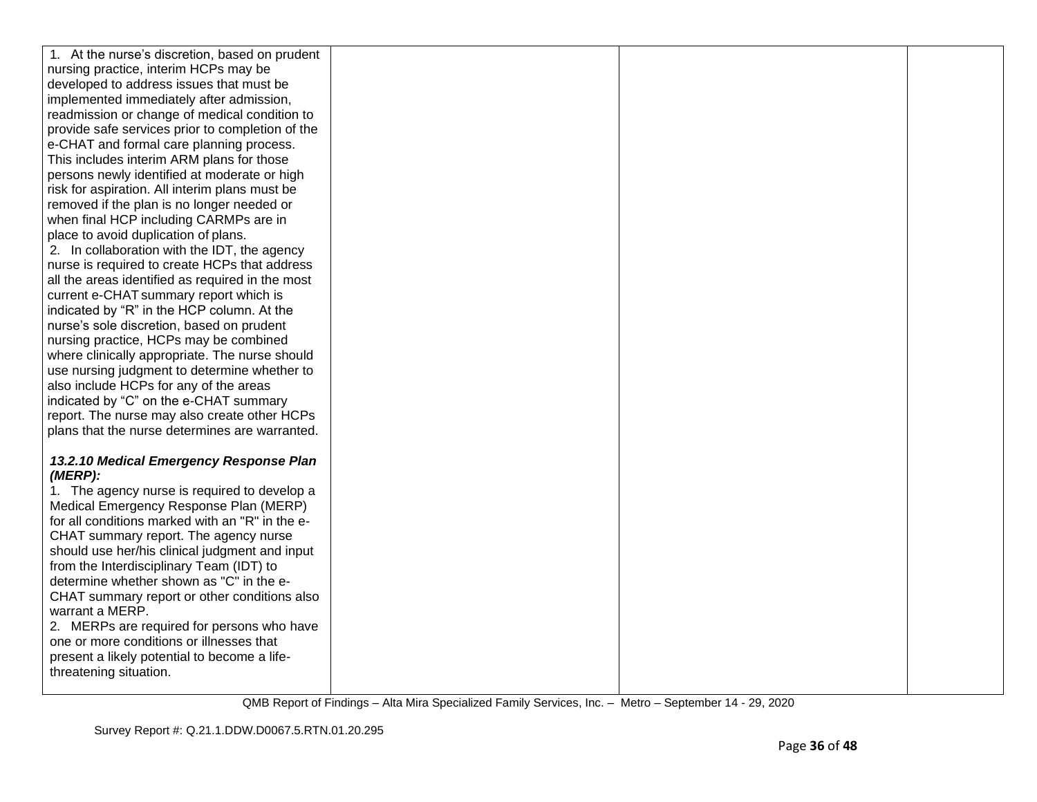| 1. At the nurse's discretion, based on prudent                                            |  |  |
|-------------------------------------------------------------------------------------------|--|--|
| nursing practice, interim HCPs may be                                                     |  |  |
| developed to address issues that must be                                                  |  |  |
| implemented immediately after admission,                                                  |  |  |
| readmission or change of medical condition to                                             |  |  |
| provide safe services prior to completion of the                                          |  |  |
| e-CHAT and formal care planning process.                                                  |  |  |
| This includes interim ARM plans for those                                                 |  |  |
| persons newly identified at moderate or high                                              |  |  |
| risk for aspiration. All interim plans must be                                            |  |  |
| removed if the plan is no longer needed or                                                |  |  |
| when final HCP including CARMPs are in                                                    |  |  |
| place to avoid duplication of plans.                                                      |  |  |
| 2. In collaboration with the IDT, the agency                                              |  |  |
| nurse is required to create HCPs that address                                             |  |  |
| all the areas identified as required in the most                                          |  |  |
| current e-CHAT summary report which is                                                    |  |  |
| indicated by "R" in the HCP column. At the                                                |  |  |
| nurse's sole discretion, based on prudent                                                 |  |  |
| nursing practice, HCPs may be combined                                                    |  |  |
| where clinically appropriate. The nurse should                                            |  |  |
| use nursing judgment to determine whether to                                              |  |  |
| also include HCPs for any of the areas                                                    |  |  |
| indicated by "C" on the e-CHAT summary                                                    |  |  |
| report. The nurse may also create other HCPs                                              |  |  |
| plans that the nurse determines are warranted.                                            |  |  |
|                                                                                           |  |  |
| 13.2.10 Medical Emergency Response Plan                                                   |  |  |
| (MERP):                                                                                   |  |  |
| 1. The agency nurse is required to develop a                                              |  |  |
| Medical Emergency Response Plan (MERP)<br>for all conditions marked with an "R" in the e- |  |  |
| CHAT summary report. The agency nurse                                                     |  |  |
| should use her/his clinical judgment and input                                            |  |  |
| from the Interdisciplinary Team (IDT) to                                                  |  |  |
| determine whether shown as "C" in the e-                                                  |  |  |
| CHAT summary report or other conditions also                                              |  |  |
| warrant a MERP.                                                                           |  |  |
| 2. MERPs are required for persons who have                                                |  |  |
| one or more conditions or illnesses that                                                  |  |  |
| present a likely potential to become a life-                                              |  |  |
| threatening situation.                                                                    |  |  |
|                                                                                           |  |  |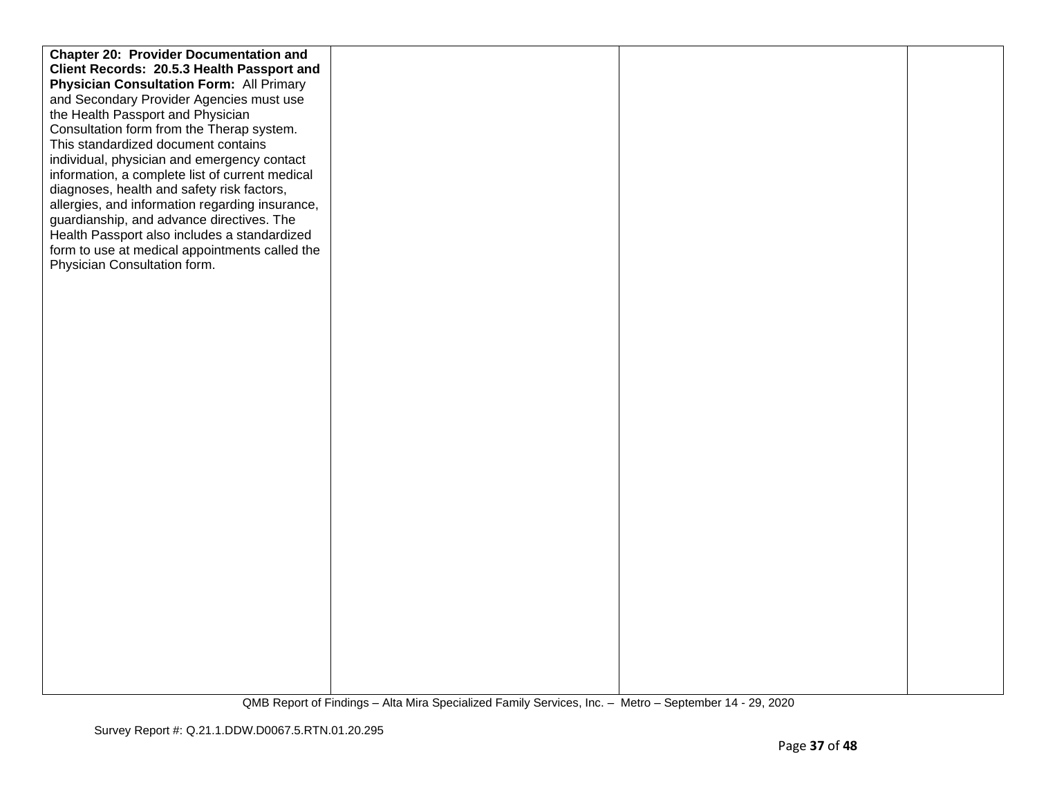| <b>Chapter 20: Provider Documentation and</b>   |  |  |
|-------------------------------------------------|--|--|
| Client Records: 20.5.3 Health Passport and      |  |  |
| <b>Physician Consultation Form: All Primary</b> |  |  |
| and Secondary Provider Agencies must use        |  |  |
| the Health Passport and Physician               |  |  |
| Consultation form from the Therap system.       |  |  |
| This standardized document contains             |  |  |
| individual, physician and emergency contact     |  |  |
| information, a complete list of current medical |  |  |
| diagnoses, health and safety risk factors,      |  |  |
| allergies, and information regarding insurance, |  |  |
| guardianship, and advance directives. The       |  |  |
| Health Passport also includes a standardized    |  |  |
| form to use at medical appointments called the  |  |  |
| Physician Consultation form.                    |  |  |
|                                                 |  |  |
|                                                 |  |  |
|                                                 |  |  |
|                                                 |  |  |
|                                                 |  |  |
|                                                 |  |  |
|                                                 |  |  |
|                                                 |  |  |
|                                                 |  |  |
|                                                 |  |  |
|                                                 |  |  |
|                                                 |  |  |
|                                                 |  |  |
|                                                 |  |  |
|                                                 |  |  |
|                                                 |  |  |
|                                                 |  |  |
|                                                 |  |  |
|                                                 |  |  |
|                                                 |  |  |
|                                                 |  |  |
|                                                 |  |  |
|                                                 |  |  |
|                                                 |  |  |
|                                                 |  |  |
|                                                 |  |  |
|                                                 |  |  |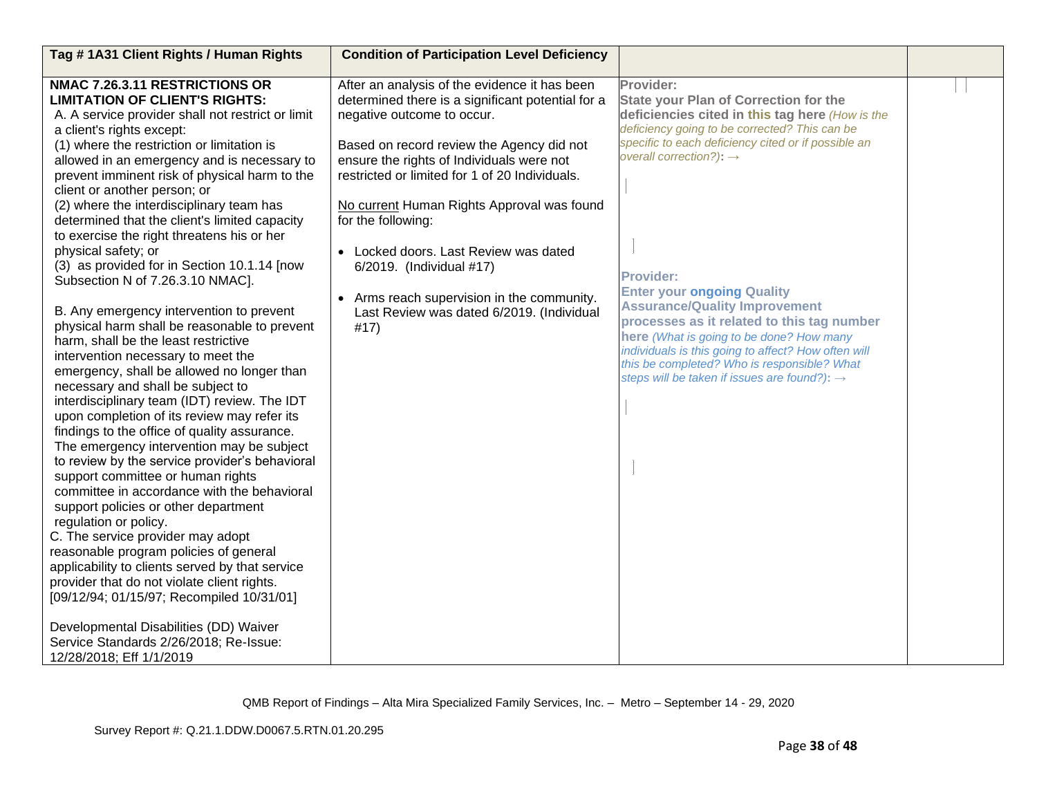| Tag #1A31 Client Rights / Human Rights                                                                                                                                                                                                                                                                                                                                                                                                                                                                                                                                                                                                                                                                                                                                                                                                                                                                                                                                                                                                                                                                                                                                                                                                                                                                                                                                                                                                                                                                                                                                         | <b>Condition of Participation Level Deficiency</b>                                                                                                                                                                                                                                                                                                                                                                                                                                                                       |                                                                                                                                                                                                                                                                                                                                                                                                                                                                                                                                                                                                                          |  |
|--------------------------------------------------------------------------------------------------------------------------------------------------------------------------------------------------------------------------------------------------------------------------------------------------------------------------------------------------------------------------------------------------------------------------------------------------------------------------------------------------------------------------------------------------------------------------------------------------------------------------------------------------------------------------------------------------------------------------------------------------------------------------------------------------------------------------------------------------------------------------------------------------------------------------------------------------------------------------------------------------------------------------------------------------------------------------------------------------------------------------------------------------------------------------------------------------------------------------------------------------------------------------------------------------------------------------------------------------------------------------------------------------------------------------------------------------------------------------------------------------------------------------------------------------------------------------------|--------------------------------------------------------------------------------------------------------------------------------------------------------------------------------------------------------------------------------------------------------------------------------------------------------------------------------------------------------------------------------------------------------------------------------------------------------------------------------------------------------------------------|--------------------------------------------------------------------------------------------------------------------------------------------------------------------------------------------------------------------------------------------------------------------------------------------------------------------------------------------------------------------------------------------------------------------------------------------------------------------------------------------------------------------------------------------------------------------------------------------------------------------------|--|
| NMAC 7.26.3.11 RESTRICTIONS OR<br><b>LIMITATION OF CLIENT'S RIGHTS:</b><br>A. A service provider shall not restrict or limit<br>a client's rights except:<br>(1) where the restriction or limitation is<br>allowed in an emergency and is necessary to<br>prevent imminent risk of physical harm to the<br>client or another person; or<br>(2) where the interdisciplinary team has<br>determined that the client's limited capacity<br>to exercise the right threatens his or her<br>physical safety; or<br>(3) as provided for in Section 10.1.14 [now<br>Subsection N of 7.26.3.10 NMAC].<br>B. Any emergency intervention to prevent<br>physical harm shall be reasonable to prevent<br>harm, shall be the least restrictive<br>intervention necessary to meet the<br>emergency, shall be allowed no longer than<br>necessary and shall be subject to<br>interdisciplinary team (IDT) review. The IDT<br>upon completion of its review may refer its<br>findings to the office of quality assurance.<br>The emergency intervention may be subject<br>to review by the service provider's behavioral<br>support committee or human rights<br>committee in accordance with the behavioral<br>support policies or other department<br>regulation or policy.<br>C. The service provider may adopt<br>reasonable program policies of general<br>applicability to clients served by that service<br>provider that do not violate client rights.<br>[09/12/94; 01/15/97; Recompiled 10/31/01]<br>Developmental Disabilities (DD) Waiver<br>Service Standards 2/26/2018; Re-Issue: | After an analysis of the evidence it has been<br>determined there is a significant potential for a<br>negative outcome to occur.<br>Based on record review the Agency did not<br>ensure the rights of Individuals were not<br>restricted or limited for 1 of 20 Individuals.<br>No current Human Rights Approval was found<br>for the following:<br>• Locked doors. Last Review was dated<br>6/2019. (Individual #17)<br>• Arms reach supervision in the community.<br>Last Review was dated 6/2019. (Individual<br>#17) | Provider:<br><b>State your Plan of Correction for the</b><br>deficiencies cited in this tag here (How is the<br>deficiency going to be corrected? This can be<br>specific to each deficiency cited or if possible an<br>overall correction?): $\rightarrow$<br><b>Provider:</b><br><b>Enter your ongoing Quality</b><br><b>Assurance/Quality Improvement</b><br>processes as it related to this tag number<br>here (What is going to be done? How many<br>individuals is this going to affect? How often will<br>this be completed? Who is responsible? What<br>steps will be taken if issues are found?): $\rightarrow$ |  |
| 12/28/2018; Eff 1/1/2019                                                                                                                                                                                                                                                                                                                                                                                                                                                                                                                                                                                                                                                                                                                                                                                                                                                                                                                                                                                                                                                                                                                                                                                                                                                                                                                                                                                                                                                                                                                                                       |                                                                                                                                                                                                                                                                                                                                                                                                                                                                                                                          |                                                                                                                                                                                                                                                                                                                                                                                                                                                                                                                                                                                                                          |  |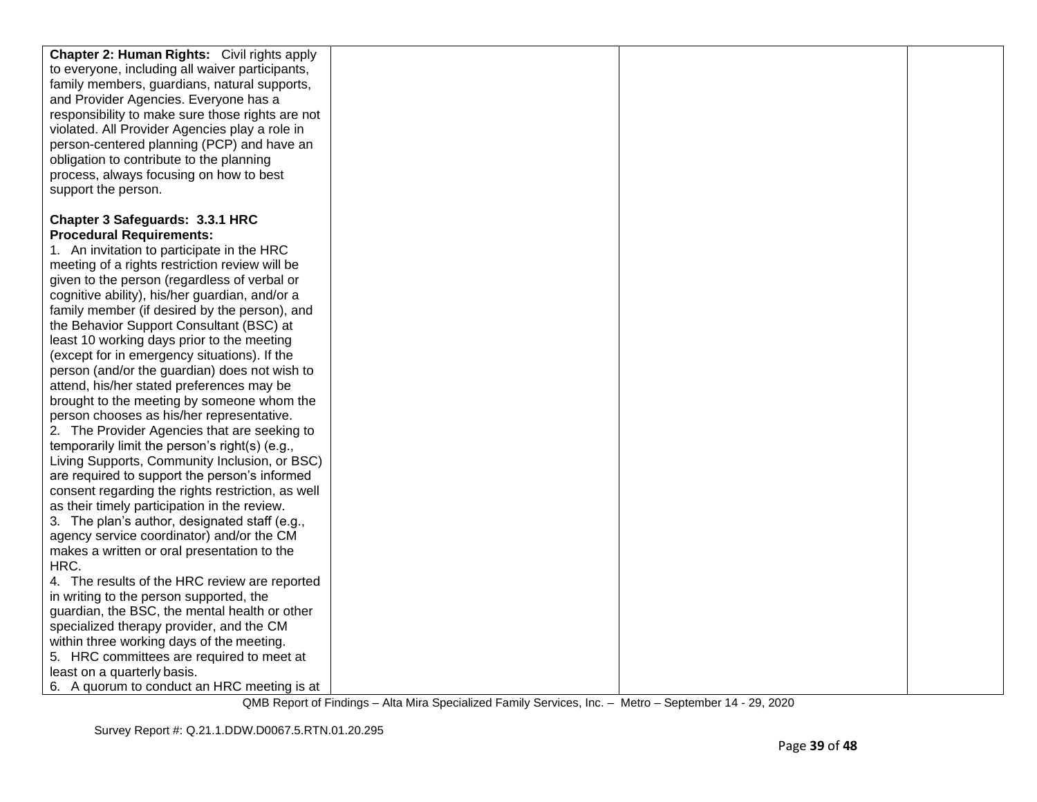| <b>Chapter 2: Human Rights:</b> Civil rights apply |  |  |
|----------------------------------------------------|--|--|
| to everyone, including all waiver participants,    |  |  |
| family members, guardians, natural supports,       |  |  |
| and Provider Agencies. Everyone has a              |  |  |
| responsibility to make sure those rights are not   |  |  |
| violated. All Provider Agencies play a role in     |  |  |
| person-centered planning (PCP) and have an         |  |  |
| obligation to contribute to the planning           |  |  |
| process, always focusing on how to best            |  |  |
| support the person.                                |  |  |
|                                                    |  |  |
| Chapter 3 Safeguards: 3.3.1 HRC                    |  |  |
| <b>Procedural Requirements:</b>                    |  |  |
| 1. An invitation to participate in the HRC         |  |  |
| meeting of a rights restriction review will be     |  |  |
| given to the person (regardless of verbal or       |  |  |
| cognitive ability), his/her guardian, and/or a     |  |  |
| family member (if desired by the person), and      |  |  |
| the Behavior Support Consultant (BSC) at           |  |  |
| least 10 working days prior to the meeting         |  |  |
| (except for in emergency situations). If the       |  |  |
| person (and/or the guardian) does not wish to      |  |  |
| attend, his/her stated preferences may be          |  |  |
| brought to the meeting by someone whom the         |  |  |
| person chooses as his/her representative.          |  |  |
| 2. The Provider Agencies that are seeking to       |  |  |
| temporarily limit the person's right(s) (e.g.,     |  |  |
| Living Supports, Community Inclusion, or BSC)      |  |  |
| are required to support the person's informed      |  |  |
| consent regarding the rights restriction, as well  |  |  |
| as their timely participation in the review.       |  |  |
| 3. The plan's author, designated staff (e.g.,      |  |  |
| agency service coordinator) and/or the CM          |  |  |
| makes a written or oral presentation to the        |  |  |
| HRC.                                               |  |  |
| 4. The results of the HRC review are reported      |  |  |
| in writing to the person supported, the            |  |  |
| guardian, the BSC, the mental health or other      |  |  |
| specialized therapy provider, and the CM           |  |  |
| within three working days of the meeting.          |  |  |
| 5. HRC committees are required to meet at          |  |  |
| least on a quarterly basis.                        |  |  |
| 6. A quorum to conduct an HRC meeting is at        |  |  |
|                                                    |  |  |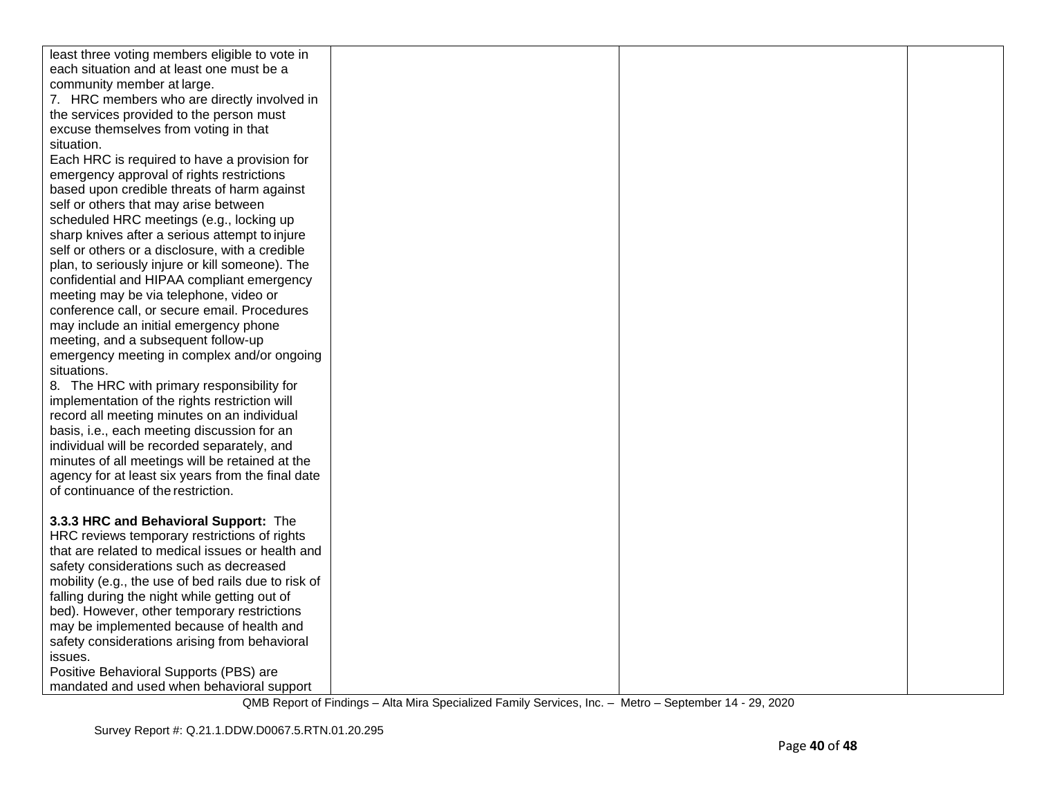| least three voting members eligible to vote in      |  |  |
|-----------------------------------------------------|--|--|
| each situation and at least one must be a           |  |  |
| community member at large.                          |  |  |
| 7. HRC members who are directly involved in         |  |  |
| the services provided to the person must            |  |  |
| excuse themselves from voting in that               |  |  |
| situation.                                          |  |  |
| Each HRC is required to have a provision for        |  |  |
| emergency approval of rights restrictions           |  |  |
| based upon credible threats of harm against         |  |  |
| self or others that may arise between               |  |  |
| scheduled HRC meetings (e.g., locking up            |  |  |
| sharp knives after a serious attempt to injure      |  |  |
| self or others or a disclosure, with a credible     |  |  |
| plan, to seriously injure or kill someone). The     |  |  |
| confidential and HIPAA compliant emergency          |  |  |
| meeting may be via telephone, video or              |  |  |
| conference call, or secure email. Procedures        |  |  |
| may include an initial emergency phone              |  |  |
| meeting, and a subsequent follow-up                 |  |  |
| emergency meeting in complex and/or ongoing         |  |  |
| situations.                                         |  |  |
| 8. The HRC with primary responsibility for          |  |  |
| implementation of the rights restriction will       |  |  |
| record all meeting minutes on an individual         |  |  |
| basis, i.e., each meeting discussion for an         |  |  |
| individual will be recorded separately, and         |  |  |
| minutes of all meetings will be retained at the     |  |  |
| agency for at least six years from the final date   |  |  |
| of continuance of the restriction.                  |  |  |
|                                                     |  |  |
| 3.3.3 HRC and Behavioral Support: The               |  |  |
| HRC reviews temporary restrictions of rights        |  |  |
| that are related to medical issues or health and    |  |  |
| safety considerations such as decreased             |  |  |
| mobility (e.g., the use of bed rails due to risk of |  |  |
| falling during the night while getting out of       |  |  |
| bed). However, other temporary restrictions         |  |  |
| may be implemented because of health and            |  |  |
| safety considerations arising from behavioral       |  |  |
| issues.                                             |  |  |
| Positive Behavioral Supports (PBS) are              |  |  |
| mandated and used when behavioral support           |  |  |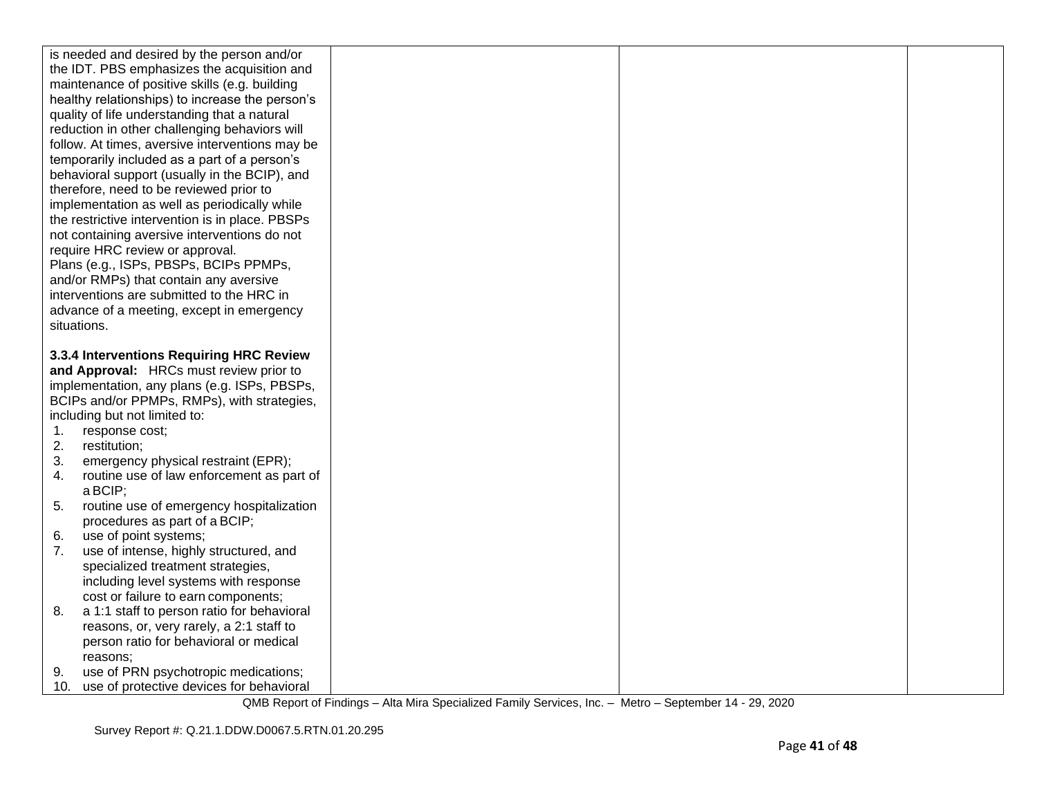|    | is needed and desired by the person and/or<br>the IDT. PBS emphasizes the acquisition and |  |  |
|----|-------------------------------------------------------------------------------------------|--|--|
|    | maintenance of positive skills (e.g. building                                             |  |  |
|    | healthy relationships) to increase the person's                                           |  |  |
|    | quality of life understanding that a natural                                              |  |  |
|    | reduction in other challenging behaviors will                                             |  |  |
|    | follow. At times, aversive interventions may be                                           |  |  |
|    | temporarily included as a part of a person's                                              |  |  |
|    | behavioral support (usually in the BCIP), and                                             |  |  |
|    | therefore, need to be reviewed prior to                                                   |  |  |
|    | implementation as well as periodically while                                              |  |  |
|    | the restrictive intervention is in place. PBSPs                                           |  |  |
|    | not containing aversive interventions do not                                              |  |  |
|    | require HRC review or approval.                                                           |  |  |
|    | Plans (e.g., ISPs, PBSPs, BCIPs PPMPs,                                                    |  |  |
|    | and/or RMPs) that contain any aversive                                                    |  |  |
|    | interventions are submitted to the HRC in                                                 |  |  |
|    | advance of a meeting, except in emergency                                                 |  |  |
|    | situations.                                                                               |  |  |
|    | 3.3.4 Interventions Requiring HRC Review                                                  |  |  |
|    | and Approval: HRCs must review prior to                                                   |  |  |
|    |                                                                                           |  |  |
|    |                                                                                           |  |  |
|    | implementation, any plans (e.g. ISPs, PBSPs,                                              |  |  |
|    | BCIPs and/or PPMPs, RMPs), with strategies,                                               |  |  |
|    | including but not limited to:                                                             |  |  |
| 1. | response cost;                                                                            |  |  |
| 2. | restitution;                                                                              |  |  |
| 3. | emergency physical restraint (EPR);                                                       |  |  |
| 4. | routine use of law enforcement as part of                                                 |  |  |
| 5. | a BCIP;                                                                                   |  |  |
|    | routine use of emergency hospitalization                                                  |  |  |
|    | procedures as part of a BCIP;                                                             |  |  |
| 6. | use of point systems;                                                                     |  |  |
| 7. | use of intense, highly structured, and                                                    |  |  |
|    | specialized treatment strategies,<br>including level systems with response                |  |  |
|    | cost or failure to earn components;                                                       |  |  |
| 8. |                                                                                           |  |  |
|    | a 1:1 staff to person ratio for behavioral<br>reasons, or, very rarely, a 2:1 staff to    |  |  |
|    | person ratio for behavioral or medical                                                    |  |  |
|    | reasons:                                                                                  |  |  |
| 9. | use of PRN psychotropic medications;                                                      |  |  |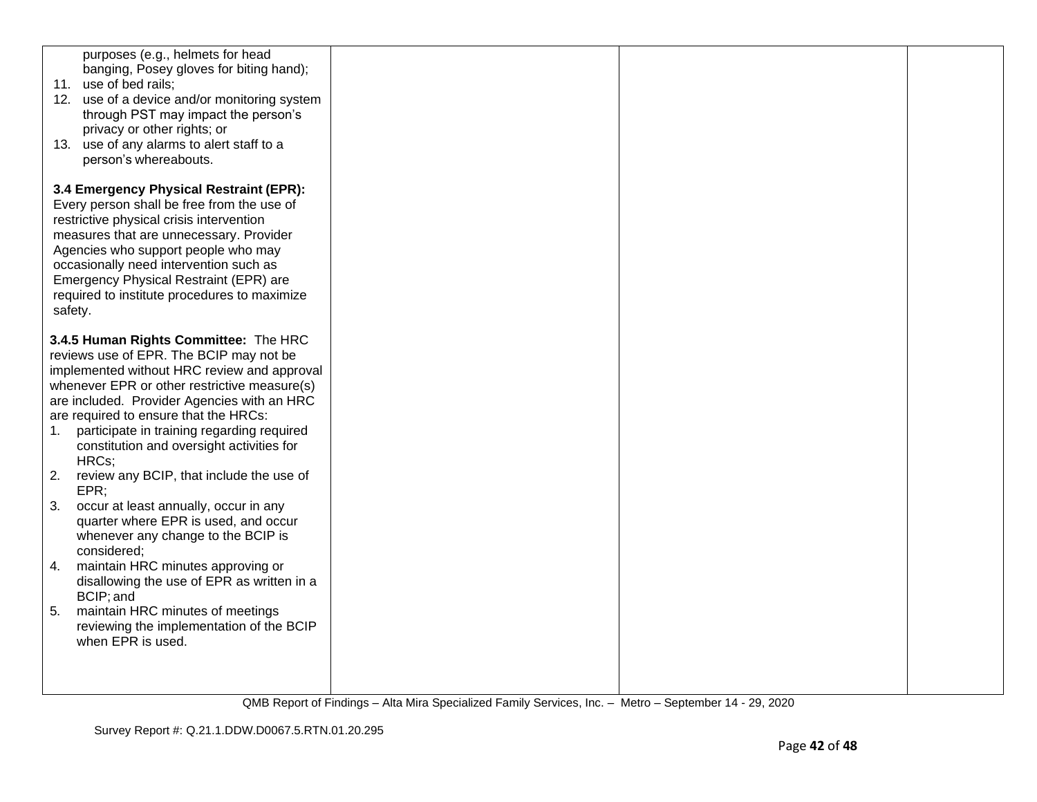| 11. use of bed rails;    | purposes (e.g., helmets for head<br>banging, Posey gloves for biting hand);<br>12. use of a device and/or monitoring system<br>through PST may impact the person's<br>privacy or other rights; or<br>13. use of any alarms to alert staff to a<br>person's whereabouts.                                                                                                                                        |  |  |
|--------------------------|----------------------------------------------------------------------------------------------------------------------------------------------------------------------------------------------------------------------------------------------------------------------------------------------------------------------------------------------------------------------------------------------------------------|--|--|
| safety.                  | 3.4 Emergency Physical Restraint (EPR):<br>Every person shall be free from the use of<br>restrictive physical crisis intervention<br>measures that are unnecessary. Provider<br>Agencies who support people who may<br>occasionally need intervention such as<br>Emergency Physical Restraint (EPR) are<br>required to institute procedures to maximize                                                        |  |  |
| 1.<br>HRCs;<br>2.        | 3.4.5 Human Rights Committee: The HRC<br>reviews use of EPR. The BCIP may not be<br>implemented without HRC review and approval<br>whenever EPR or other restrictive measure(s)<br>are included. Provider Agencies with an HRC<br>are required to ensure that the HRCs:<br>participate in training regarding required<br>constitution and oversight activities for<br>review any BCIP, that include the use of |  |  |
| EPR<br>3.<br>considered: | occur at least annually, occur in any<br>quarter where EPR is used, and occur<br>whenever any change to the BCIP is                                                                                                                                                                                                                                                                                            |  |  |
| 4.<br>BCIP; and<br>5.    | maintain HRC minutes approving or<br>disallowing the use of EPR as written in a<br>maintain HRC minutes of meetings<br>reviewing the implementation of the BCIP<br>when EPR is used.                                                                                                                                                                                                                           |  |  |
|                          |                                                                                                                                                                                                                                                                                                                                                                                                                |  |  |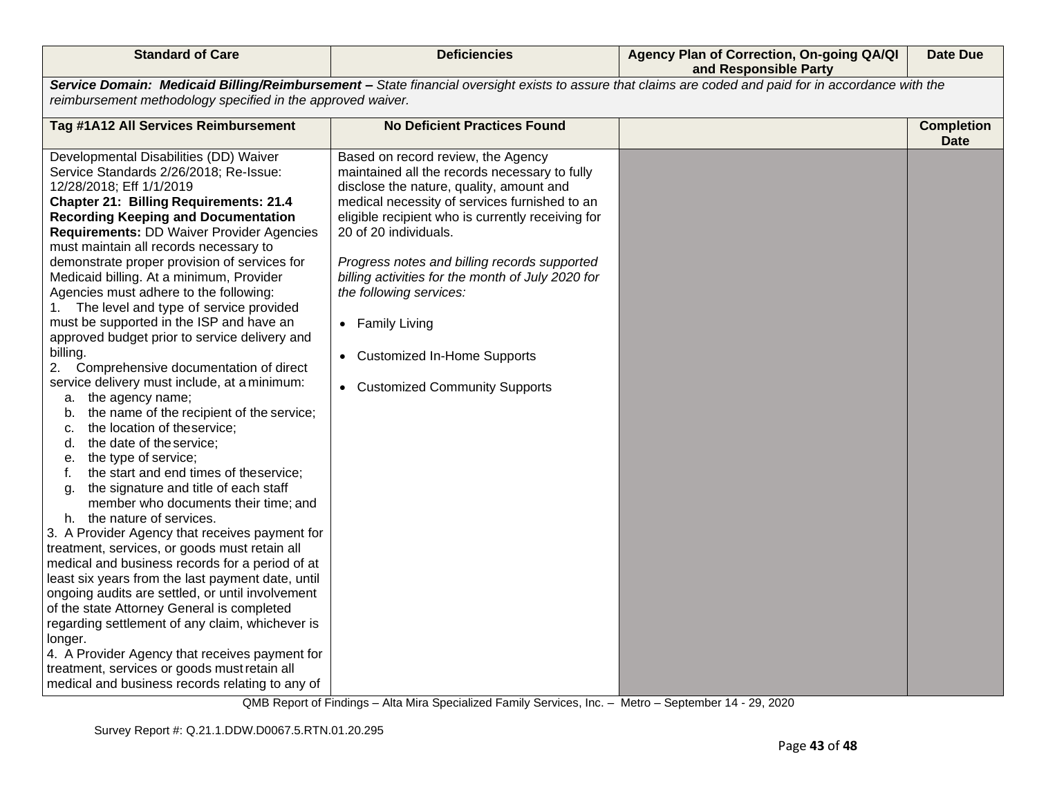| <b>Standard of Care</b>                                                                                                                                                                                                                                                                                                                                                                                                                                                                                                                                                                                                                                                                                                                                                                                                                                                                                                                                                                                                                                                                                                                                                                                                                                                                                                                                                                                                                                                                                                                                                            | <b>Deficiencies</b>                                                                                                                                                                                                                                                                                                                                                                                                                                                                   | Agency Plan of Correction, On-going QA/QI<br>and Responsible Party | <b>Date Due</b>                  |
|------------------------------------------------------------------------------------------------------------------------------------------------------------------------------------------------------------------------------------------------------------------------------------------------------------------------------------------------------------------------------------------------------------------------------------------------------------------------------------------------------------------------------------------------------------------------------------------------------------------------------------------------------------------------------------------------------------------------------------------------------------------------------------------------------------------------------------------------------------------------------------------------------------------------------------------------------------------------------------------------------------------------------------------------------------------------------------------------------------------------------------------------------------------------------------------------------------------------------------------------------------------------------------------------------------------------------------------------------------------------------------------------------------------------------------------------------------------------------------------------------------------------------------------------------------------------------------|---------------------------------------------------------------------------------------------------------------------------------------------------------------------------------------------------------------------------------------------------------------------------------------------------------------------------------------------------------------------------------------------------------------------------------------------------------------------------------------|--------------------------------------------------------------------|----------------------------------|
| Service Domain: Medicaid Billing/Reimbursement - State financial oversight exists to assure that claims are coded and paid for in accordance with the<br>reimbursement methodology specified in the approved waiver.                                                                                                                                                                                                                                                                                                                                                                                                                                                                                                                                                                                                                                                                                                                                                                                                                                                                                                                                                                                                                                                                                                                                                                                                                                                                                                                                                               |                                                                                                                                                                                                                                                                                                                                                                                                                                                                                       |                                                                    |                                  |
| Tag #1A12 All Services Reimbursement                                                                                                                                                                                                                                                                                                                                                                                                                                                                                                                                                                                                                                                                                                                                                                                                                                                                                                                                                                                                                                                                                                                                                                                                                                                                                                                                                                                                                                                                                                                                               | <b>No Deficient Practices Found</b>                                                                                                                                                                                                                                                                                                                                                                                                                                                   |                                                                    | <b>Completion</b><br><b>Date</b> |
| Developmental Disabilities (DD) Waiver<br>Service Standards 2/26/2018; Re-Issue:<br>12/28/2018; Eff 1/1/2019<br><b>Chapter 21: Billing Requirements: 21.4</b><br><b>Recording Keeping and Documentation</b><br><b>Requirements: DD Waiver Provider Agencies</b><br>must maintain all records necessary to<br>demonstrate proper provision of services for<br>Medicaid billing. At a minimum, Provider<br>Agencies must adhere to the following:<br>1. The level and type of service provided<br>must be supported in the ISP and have an<br>approved budget prior to service delivery and<br>billing.<br>2. Comprehensive documentation of direct<br>service delivery must include, at a minimum:<br>a. the agency name;<br>b. the name of the recipient of the service;<br>the location of theservice;<br>c.<br>the date of the service;<br>d.<br>the type of service;<br>е.<br>the start and end times of theservice;<br>t.<br>the signature and title of each staff<br>g.<br>member who documents their time; and<br>h. the nature of services.<br>3. A Provider Agency that receives payment for<br>treatment, services, or goods must retain all<br>medical and business records for a period of at<br>least six years from the last payment date, until<br>ongoing audits are settled, or until involvement<br>of the state Attorney General is completed<br>regarding settlement of any claim, whichever is<br>longer.<br>4. A Provider Agency that receives payment for<br>treatment, services or goods must retain all<br>medical and business records relating to any of | Based on record review, the Agency<br>maintained all the records necessary to fully<br>disclose the nature, quality, amount and<br>medical necessity of services furnished to an<br>eligible recipient who is currently receiving for<br>20 of 20 individuals.<br>Progress notes and billing records supported<br>billing activities for the month of July 2020 for<br>the following services:<br>• Family Living<br>• Customized In-Home Supports<br>• Customized Community Supports |                                                                    |                                  |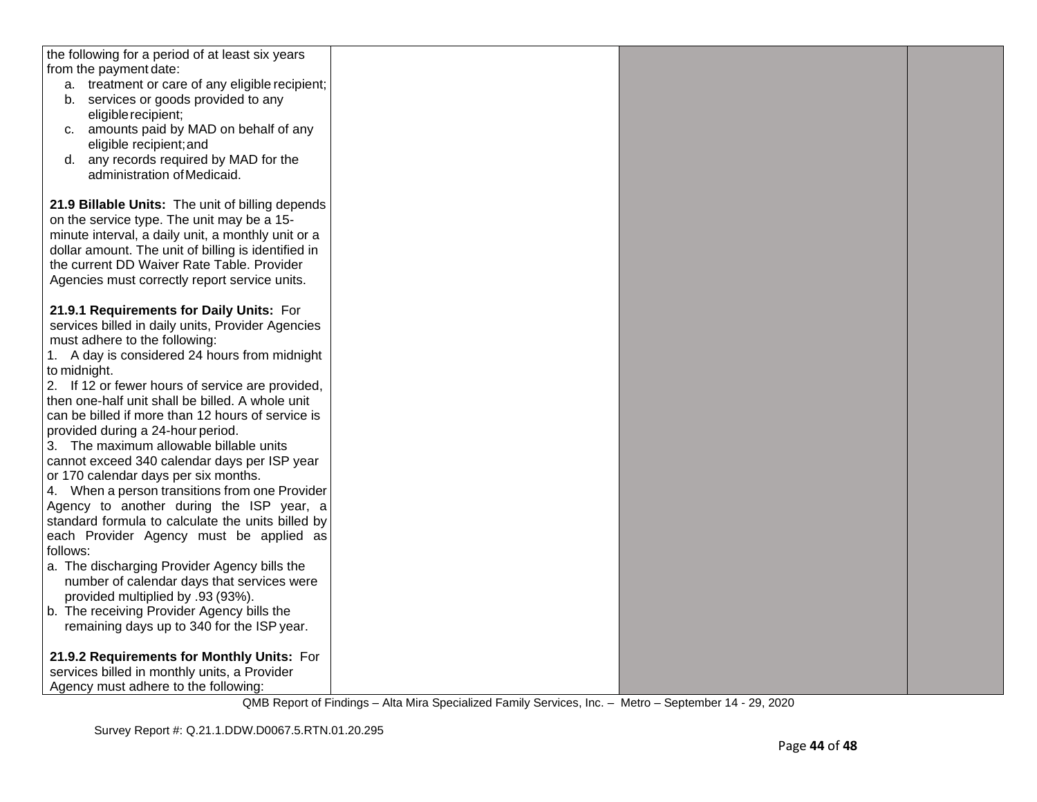| the following for a period of at least six years               |  |  |
|----------------------------------------------------------------|--|--|
| from the payment date:                                         |  |  |
| a. treatment or care of any eligible recipient;                |  |  |
| b. services or goods provided to any                           |  |  |
| eligible recipient;                                            |  |  |
| amounts paid by MAD on behalf of any<br>C.                     |  |  |
| eligible recipient; and<br>any records required by MAD for the |  |  |
| d.<br>administration of Medicaid.                              |  |  |
|                                                                |  |  |
| 21.9 Billable Units: The unit of billing depends               |  |  |
| on the service type. The unit may be a 15-                     |  |  |
| minute interval, a daily unit, a monthly unit or a             |  |  |
| dollar amount. The unit of billing is identified in            |  |  |
| the current DD Waiver Rate Table. Provider                     |  |  |
| Agencies must correctly report service units.                  |  |  |
|                                                                |  |  |
| 21.9.1 Requirements for Daily Units: For                       |  |  |
| services billed in daily units, Provider Agencies              |  |  |
| must adhere to the following:                                  |  |  |
| 1. A day is considered 24 hours from midnight                  |  |  |
| to midnight.                                                   |  |  |
| 2. If 12 or fewer hours of service are provided,               |  |  |
| then one-half unit shall be billed. A whole unit               |  |  |
| can be billed if more than 12 hours of service is              |  |  |
| provided during a 24-hour period.                              |  |  |
| 3. The maximum allowable billable units                        |  |  |
| cannot exceed 340 calendar days per ISP year                   |  |  |
| or 170 calendar days per six months.                           |  |  |
| 4. When a person transitions from one Provider                 |  |  |
| Agency to another during the ISP year, a                       |  |  |
| standard formula to calculate the units billed by              |  |  |
| each Provider Agency must be applied as                        |  |  |
| follows:                                                       |  |  |
| a. The discharging Provider Agency bills the                   |  |  |
| number of calendar days that services were                     |  |  |
| provided multiplied by .93 (93%).                              |  |  |
| b. The receiving Provider Agency bills the                     |  |  |
| remaining days up to 340 for the ISP year.                     |  |  |
| 21.9.2 Requirements for Monthly Units: For                     |  |  |
| services billed in monthly units, a Provider                   |  |  |
| Agency must adhere to the following:                           |  |  |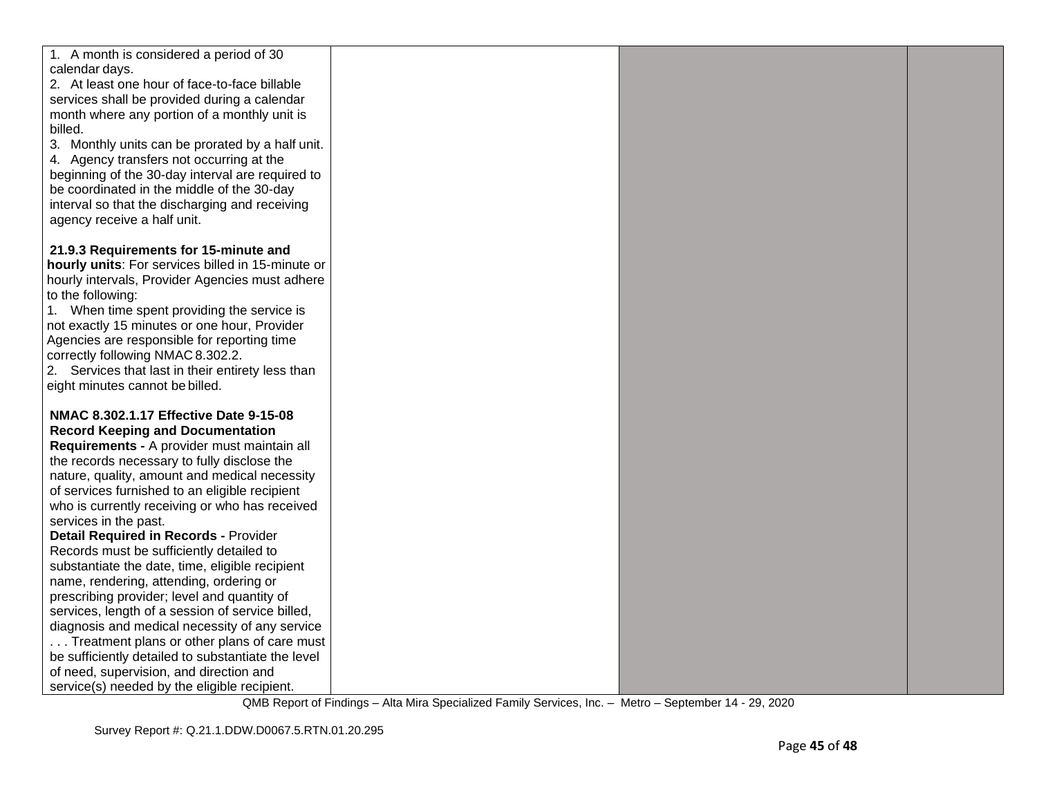| 1. A month is considered a period of 30            |  |  |
|----------------------------------------------------|--|--|
| calendar days.                                     |  |  |
| 2. At least one hour of face-to-face billable      |  |  |
| services shall be provided during a calendar       |  |  |
| month where any portion of a monthly unit is       |  |  |
| billed.                                            |  |  |
| 3. Monthly units can be prorated by a half unit.   |  |  |
| 4. Agency transfers not occurring at the           |  |  |
| beginning of the 30-day interval are required to   |  |  |
| be coordinated in the middle of the 30-day         |  |  |
| interval so that the discharging and receiving     |  |  |
| agency receive a half unit.                        |  |  |
|                                                    |  |  |
| 21.9.3 Requirements for 15-minute and              |  |  |
| hourly units: For services billed in 15-minute or  |  |  |
| hourly intervals, Provider Agencies must adhere    |  |  |
| to the following:                                  |  |  |
| 1. When time spent providing the service is        |  |  |
| not exactly 15 minutes or one hour, Provider       |  |  |
| Agencies are responsible for reporting time        |  |  |
| correctly following NMAC 8.302.2.                  |  |  |
| 2. Services that last in their entirety less than  |  |  |
| eight minutes cannot be billed.                    |  |  |
| NMAC 8.302.1.17 Effective Date 9-15-08             |  |  |
| <b>Record Keeping and Documentation</b>            |  |  |
| Requirements - A provider must maintain all        |  |  |
| the records necessary to fully disclose the        |  |  |
| nature, quality, amount and medical necessity      |  |  |
| of services furnished to an eligible recipient     |  |  |
| who is currently receiving or who has received     |  |  |
| services in the past.                              |  |  |
| <b>Detail Required in Records - Provider</b>       |  |  |
| Records must be sufficiently detailed to           |  |  |
| substantiate the date, time, eligible recipient    |  |  |
| name, rendering, attending, ordering or            |  |  |
| prescribing provider; level and quantity of        |  |  |
| services, length of a session of service billed,   |  |  |
| diagnosis and medical necessity of any service     |  |  |
| Treatment plans or other plans of care must        |  |  |
| be sufficiently detailed to substantiate the level |  |  |
| of need, supervision, and direction and            |  |  |
| service(s) needed by the eligible recipient.       |  |  |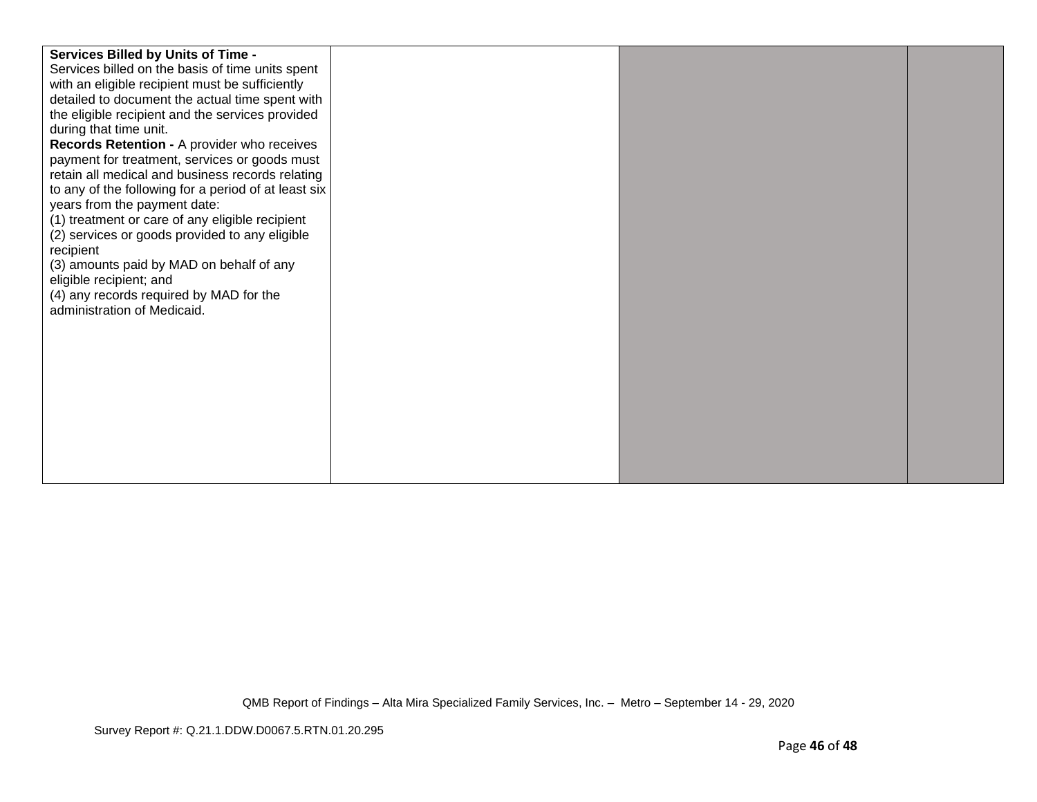| <b>Services Billed by Units of Time -</b><br>Services billed on the basis of time units spent<br>with an eligible recipient must be sufficiently<br>detailed to document the actual time spent with<br>the eligible recipient and the services provided<br>during that time unit.<br>Records Retention - A provider who receives<br>payment for treatment, services or goods must<br>retain all medical and business records relating<br>to any of the following for a period of at least six<br>years from the payment date:<br>(1) treatment or care of any eligible recipient<br>(2) services or goods provided to any eligible<br>recipient<br>(3) amounts paid by MAD on behalf of any<br>eligible recipient; and<br>(4) any records required by MAD for the<br>administration of Medicaid. |  |  |  |
|--------------------------------------------------------------------------------------------------------------------------------------------------------------------------------------------------------------------------------------------------------------------------------------------------------------------------------------------------------------------------------------------------------------------------------------------------------------------------------------------------------------------------------------------------------------------------------------------------------------------------------------------------------------------------------------------------------------------------------------------------------------------------------------------------|--|--|--|
|--------------------------------------------------------------------------------------------------------------------------------------------------------------------------------------------------------------------------------------------------------------------------------------------------------------------------------------------------------------------------------------------------------------------------------------------------------------------------------------------------------------------------------------------------------------------------------------------------------------------------------------------------------------------------------------------------------------------------------------------------------------------------------------------------|--|--|--|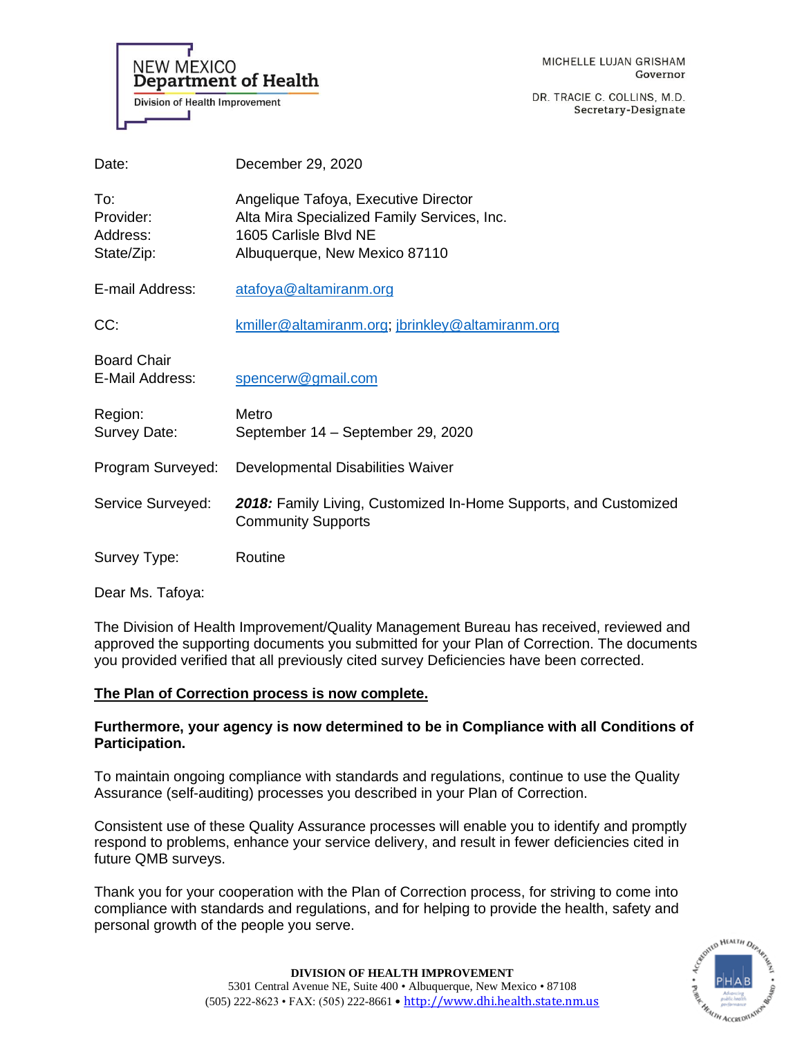

DR. TRACIE C. COLLINS, M.D. Secretary-Designate

| Date:                                      | December 29, 2020                                                                                                                             |
|--------------------------------------------|-----------------------------------------------------------------------------------------------------------------------------------------------|
| To:<br>Provider:<br>Address:<br>State/Zip: | Angelique Tafoya, Executive Director<br>Alta Mira Specialized Family Services, Inc.<br>1605 Carlisle Blvd NE<br>Albuquerque, New Mexico 87110 |
| E-mail Address:                            | atafoya@altamiranm.org                                                                                                                        |
| CC:                                        | kmiller@altamiranm.org; jbrinkley@altamiranm.org                                                                                              |
| <b>Board Chair</b><br>E-Mail Address:      | spencerw@gmail.com                                                                                                                            |
| Region:<br>Survey Date:                    | Metro<br>September 14 - September 29, 2020                                                                                                    |
| Program Surveyed:                          | Developmental Disabilities Waiver                                                                                                             |
| Service Surveyed:                          | 2018: Family Living, Customized In-Home Supports, and Customized<br><b>Community Supports</b>                                                 |
| Survey Type:                               | Routine                                                                                                                                       |

Dear Ms. Tafoya:

The Division of Health Improvement/Quality Management Bureau has received, reviewed and approved the supporting documents you submitted for your Plan of Correction. The documents you provided verified that all previously cited survey Deficiencies have been corrected.

# **The Plan of Correction process is now complete.**

# **Furthermore, your agency is now determined to be in Compliance with all Conditions of Participation.**

To maintain ongoing compliance with standards and regulations, continue to use the Quality Assurance (self-auditing) processes you described in your Plan of Correction.

Consistent use of these Quality Assurance processes will enable you to identify and promptly respond to problems, enhance your service delivery, and result in fewer deficiencies cited in future QMB surveys.

Thank you for your cooperation with the Plan of Correction process, for striving to come into compliance with standards and regulations, and for helping to provide the health, safety and personal growth of the people you serve.